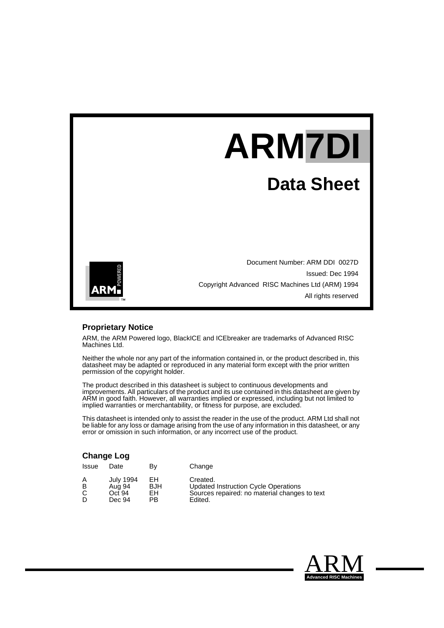

#### **Proprietary Notice**

ARM, the ARM Powered logo, BlackICE and ICEbreaker are trademarks of Advanced RISC Machines Ltd.

Neither the whole nor any part of the information contained in, or the product described in, this datasheet may be adapted or reproduced in any material form except with the prior written permission of the copyright holder.

The product described in this datasheet is subject to continuous developments and improvements. All particulars of the product and its use contained in this datasheet are given by ARM in good faith. However, all warranties implied or expressed, including but not limited to implied warranties or merchantability, or fitness for purpose, are excluded.

This datasheet is intended only to assist the reader in the use of the product. ARM Ltd shall not be liable for any loss or damage arising from the use of any information in this datasheet, or any error or omission in such information, or any incorrect use of the product.

#### **Change Log**

| <b>Issue</b>   | Date             | B٧  | Change                                        |
|----------------|------------------|-----|-----------------------------------------------|
| $\overline{A}$ | <b>July 1994</b> | FН  | Created.                                      |
| B              | Aug 94           | BJH | Updated Instruction Cycle Operations          |
| C              | Oct 94           | FН  | Sources repaired: no material changes to text |
| D              | Dec 94           | РB  | Edited.                                       |

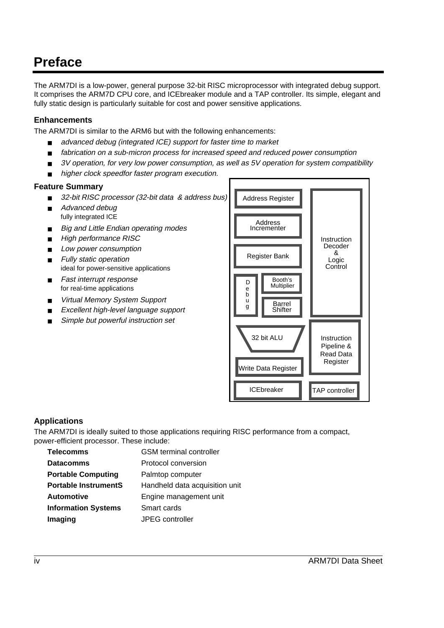# **Preface**

The ARM7DI is a low-power, general purpose 32-bit RISC microprocessor with integrated debug support. It comprises the ARM7D CPU core, and ICEbreaker module and a TAP controller. Its simple, elegant and fully static design is particularly suitable for cost and power sensitive applications.

#### **Enhancements**

The ARM7DI is similar to the ARM6 but with the following enhancements:

- advanced debug (integrated ICE) support for faster time to market
- fabrication on a sub-micron process for increased speed and reduced power consumption
- 3V operation, for very low power consumption, as well as 5V operation for system compatibility
- higher clock speedfor faster program execution.

#### **Feature Summary**

- 32-bit RISC processor (32-bit data & address bus)
- Advanced debug fully integrated ICE
- Big and Little Endian operating modes
- **High performance RISC**
- Low power consumption
- **Fully static operation** ideal for power-sensitive applications
- Fast interrupt response for real-time applications
- **Virtual Memory System Support**
- Excellent high-level language support
- Simple but powerful instruction set



#### **Applications**

The ARM7DI is ideally suited to those applications requiring RISC performance from a compact, power-efficient processor. These include:

| <b>Telecomms</b>            | <b>GSM</b> terminal controller |
|-----------------------------|--------------------------------|
| <b>Datacomms</b>            | Protocol conversion            |
| <b>Portable Computing</b>   | Palmtop computer               |
| <b>Portable InstrumentS</b> | Handheld data acquisition unit |
| <b>Automotive</b>           | Engine management unit         |
| <b>Information Systems</b>  | Smart cards                    |
| Imaging                     | JPEG controller                |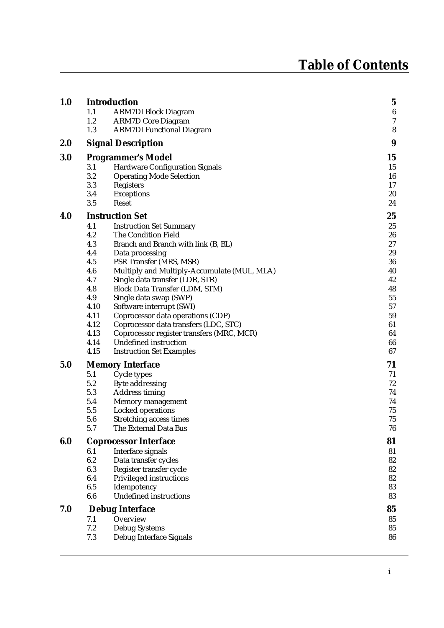| 1.0 |      | <b>Introduction</b>                         | $\mathbf 5$      |
|-----|------|---------------------------------------------|------------------|
|     | 1.1  | <b>ARM7DI Block Diagram</b>                 | $\bf 6$          |
|     | 1.2  | <b>ARM7D Core Diagram</b>                   | $\boldsymbol{7}$ |
|     | 1.3  | <b>ARM7DI Functional Diagram</b>            | ${\bf 8}$        |
| 2.0 |      | <b>Signal Description</b>                   | $\boldsymbol{9}$ |
| 3.0 |      | <b>Programmer's Model</b>                   | 15               |
|     | 3.1  | <b>Hardware Configuration Signals</b>       | 15               |
|     | 3.2  | <b>Operating Mode Selection</b>             | 16               |
|     | 3.3  | Registers                                   | 17               |
|     | 3.4  | <b>Exceptions</b>                           | $20\,$           |
|     | 3.5  | Reset                                       | 24               |
| 4.0 |      | <b>Instruction Set</b>                      | 25               |
|     | 4.1  | <b>Instruction Set Summary</b>              | 25               |
|     | 4.2  | The Condition Field                         | 26               |
|     | 4.3  | Branch and Branch with link (B, BL)         | $27\,$           |
|     | 4.4  | Data processing                             | 29               |
|     | 4.5  | PSR Transfer (MRS, MSR)                     | 36               |
|     | 4.6  | Multiply and Multiply-Accumulate (MUL, MLA) | 40               |
|     | 4.7  | Single data transfer (LDR, STR)             | 42               |
|     | 4.8  | <b>Block Data Transfer (LDM, STM)</b>       | 48               |
|     | 4.9  | Single data swap (SWP)                      | 55               |
|     | 4.10 | Software interrupt (SWI)                    | $57\,$           |
|     | 4.11 | Coprocessor data operations (CDP)           | 59               |
|     | 4.12 | Coprocessor data transfers (LDC, STC)       | 61               |
|     | 4.13 | Coprocessor register transfers (MRC, MCR)   | 64               |
|     | 4.14 | <b>Undefined instruction</b>                | 66               |
|     | 4.15 | <b>Instruction Set Examples</b>             | 67               |
| 5.0 |      | <b>Memory Interface</b>                     | 71               |
|     | 5.1  | Cycle types                                 | 71               |
|     | 5.2  | <b>Byte addressing</b>                      | 72               |
|     | 5.3  | <b>Address timing</b>                       | 74               |
|     | 5.4  | Memory management                           | 74               |
|     | 5.5  | Locked operations                           | 75               |
|     | 5.6  | Stretching access times                     | 75               |
|     | 5.7  | The External Data Bus                       | ${\bf 76}$       |
| 6.0 |      | <b>Coprocessor Interface</b>                | 81               |
|     | 6.1  | Interface signals                           | 81               |
|     | 6.2  | Data transfer cycles                        | 82               |
|     | 6.3  | Register transfer cycle                     | 82               |
|     | 6.4  | Privileged instructions                     | 82               |
|     | 6.5  | Idempotency                                 | 83               |
|     | 6.6  | <b>Undefined instructions</b>               | 83               |
| 7.0 |      | <b>Debug Interface</b>                      | 85               |
|     | 7.1  | Overview                                    | 85               |
|     | 7.2  | <b>Debug Systems</b>                        | 85               |
|     | 7.3  | Debug Interface Signals                     | 86               |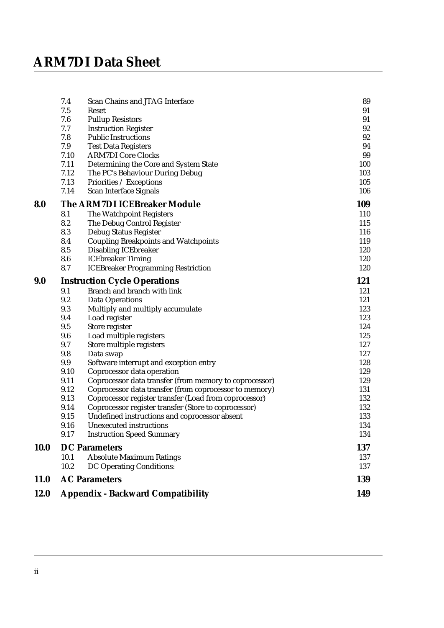|      | 7.4  | <b>Scan Chains and JTAG Interface</b>                  | 89  |
|------|------|--------------------------------------------------------|-----|
|      | 7.5  | Reset                                                  | 91  |
|      | 7.6  | <b>Pullup Resistors</b>                                | 91  |
|      | 7.7  | <b>Instruction Register</b>                            | 92  |
|      | 7.8  | <b>Public Instructions</b>                             | 92  |
|      | 7.9  | <b>Test Data Registers</b>                             | 94  |
|      | 7.10 | <b>ARM7DI Core Clocks</b>                              | 99  |
|      | 7.11 | Determining the Core and System State                  | 100 |
|      | 7.12 | The PC's Behaviour During Debug                        | 103 |
|      | 7.13 | Priorities / Exceptions                                | 105 |
|      | 7.14 | Scan Interface Signals                                 | 106 |
| 8.0  |      | <b>The ARM7DI ICEBreaker Module</b>                    | 109 |
|      | 8.1  | The Watchpoint Registers                               | 110 |
|      | 8.2  | The Debug Control Register                             | 115 |
|      | 8.3  | Debug Status Register                                  | 116 |
|      | 8.4  | <b>Coupling Breakpoints and Watchpoints</b>            | 119 |
|      | 8.5  | <b>Disabling ICEbreaker</b>                            | 120 |
|      | 8.6  | <b>ICEbreaker Timing</b>                               | 120 |
|      | 8.7  | <b>ICEBreaker Programming Restriction</b>              | 120 |
| 9.0  |      | <b>Instruction Cycle Operations</b>                    | 121 |
|      | 9.1  | Branch and branch with link                            | 121 |
|      | 9.2  | <b>Data Operations</b>                                 | 121 |
|      | 9.3  | Multiply and multiply accumulate                       | 123 |
|      | 9.4  | Load register                                          | 123 |
|      | 9.5  | Store register                                         | 124 |
|      | 9.6  | Load multiple registers                                | 125 |
|      | 9.7  | Store multiple registers                               | 127 |
|      | 9.8  | Data swap                                              | 127 |
|      | 9.9  | Software interrupt and exception entry                 | 128 |
|      | 9.10 | Coprocessor data operation                             | 129 |
|      | 9.11 | Coprocessor data transfer (from memory to coprocessor) | 129 |
|      | 9.12 | Coprocessor data transfer (from coprocessor to memory) | 131 |
|      | 9.13 | Coprocessor register transfer (Load from coprocessor)  | 132 |
|      | 9.14 | Coprocessor register transfer (Store to coprocessor)   | 132 |
|      | 9.15 | Undefined instructions and coprocessor absent          | 133 |
|      | 9.16 | <b>Unexecuted instructions</b>                         | 134 |
|      | 9.17 | <b>Instruction Speed Summary</b>                       | 134 |
| 10.0 |      | <b>DC</b> Parameters                                   | 137 |
|      | 10.1 | <b>Absolute Maximum Ratings</b>                        | 137 |
|      | 10.2 | DC Operating Conditions:                               | 137 |
| 11.0 |      | <b>AC Parameters</b>                                   | 139 |
| 12.0 |      | <b>Appendix - Backward Compatibility</b>               | 149 |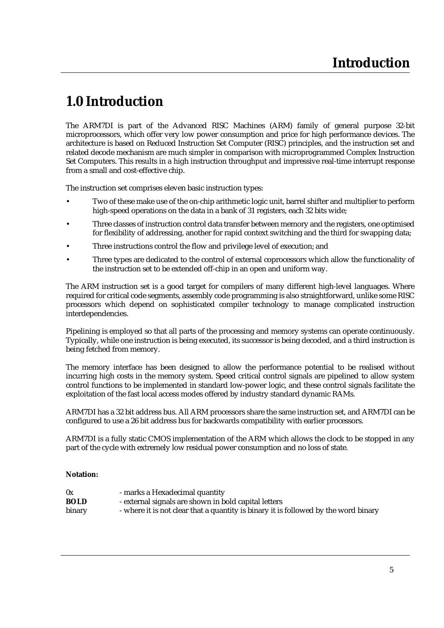# **1.0 Introduction**

The ARM7DI is part of the Advanced RISC Machines (ARM) family of general purpose 32-bit microprocessors, which offer very low power consumption and price for high performance devices. The architecture is based on Reduced Instruction Set Computer (RISC) principles, and the instruction set and related decode mechanism are much simpler in comparison with microprogrammed Complex Instruction Set Computers. This results in a high instruction throughput and impressive real-time interrupt response from a small and cost-effective chip.

The instruction set comprises eleven basic instruction types:

- Two of these make use of the on-chip arithmetic logic unit, barrel shifter and multiplier to perform high-speed operations on the data in a bank of 31 registers, each 32 bits wide:
- Three classes of instruction control data transfer between memory and the registers, one optimised for flexibility of addressing, another for rapid context switching and the third for swapping data;
- Three instructions control the flow and privilege level of execution; and
- Three types are dedicated to the control of external coprocessors which allow the functionality of the instruction set to be extended off-chip in an open and uniform way.

The ARM instruction set is a good target for compilers of many different high-level languages. Where required for critical code segments, assembly code programming is also straightforward, unlike some RISC processors which depend on sophisticated compiler technology to manage complicated instruction interdependencies.

Pipelining is employed so that all parts of the processing and memory systems can operate continuously. Typically, while one instruction is being executed, its successor is being decoded, and a third instruction is being fetched from memory.

The memory interface has been designed to allow the performance potential to be realised without incurring high costs in the memory system. Speed critical control signals are pipelined to allow system control functions to be implemented in standard low-power logic, and these control signals facilitate the exploitation of the fast local access modes offered by industry standard dynamic RAMs.

ARM7DI has a 32 bit address bus. All ARM processors share the same instruction set, and ARM7DI can be configured to use a 26 bit address bus for backwards compatibility with earlier processors.

ARM7DI is a fully static CMOS implementation of the ARM which allows the clock to be stopped in any part of the cycle with extremely low residual power consumption and no loss of state.

#### **Notation:**

| 0x          | - marks a Hexadecimal quantity                                                      |
|-------------|-------------------------------------------------------------------------------------|
| <b>BOLD</b> | - external signals are shown in bold capital letters                                |
| binary      | - where it is not clear that a quantity is binary it is followed by the word binary |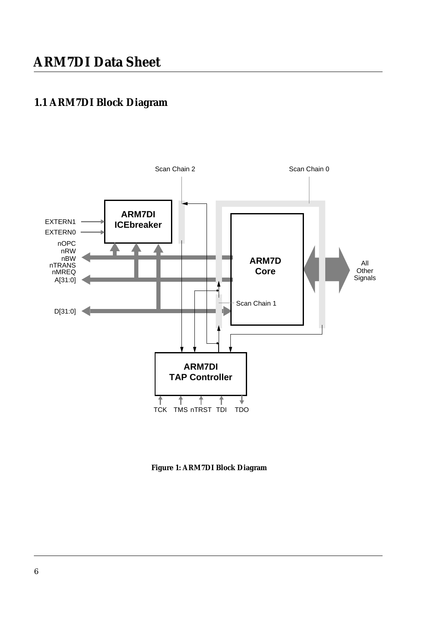## **1.1 ARM7DI Block Diagram**



 **Figure 1: ARM7DI Block Diagram**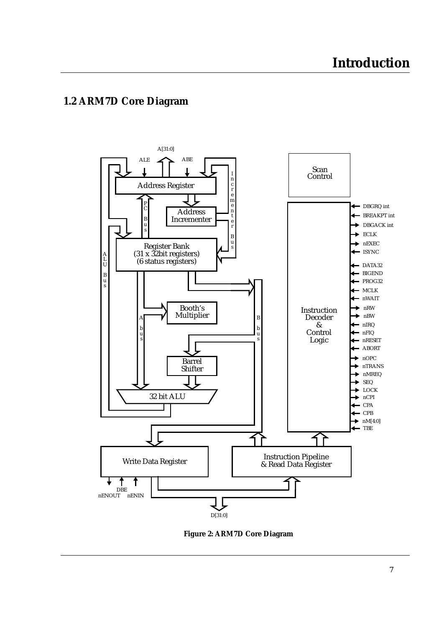## **1.2 ARM7D Core Diagram**



 **Figure 2: ARM7D Core Diagram**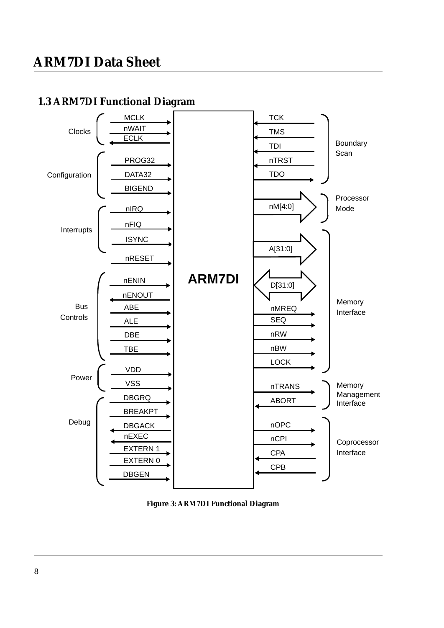

### **1.3 ARM7DI Functional Diagram**

 **Figure 3: ARM7DI Functional Diagram**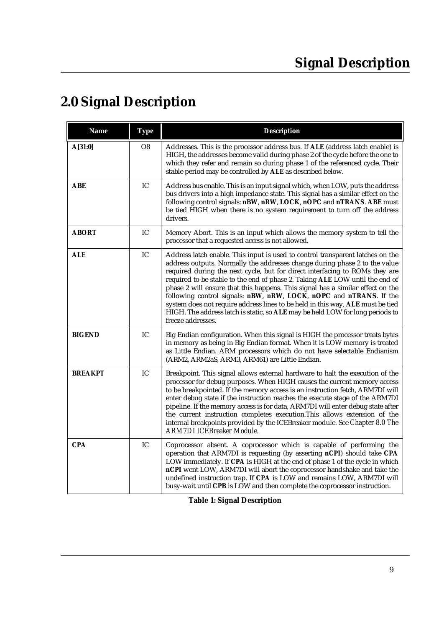# **2.0 Signal Description**

| <b>Name</b>    | <b>Type</b> | <b>Description</b>                                                                                                                                                                                                                                                                                                                                                                                                                                                                                                                                                                                                                                                          |  |  |  |  |  |  |
|----------------|-------------|-----------------------------------------------------------------------------------------------------------------------------------------------------------------------------------------------------------------------------------------------------------------------------------------------------------------------------------------------------------------------------------------------------------------------------------------------------------------------------------------------------------------------------------------------------------------------------------------------------------------------------------------------------------------------------|--|--|--|--|--|--|
| A[31:0]        | O8          | Addresses. This is the processor address bus. If ALE (address latch enable) is<br>HIGH, the addresses become valid during phase 2 of the cycle before the one to<br>which they refer and remain so during phase 1 of the referenced cycle. Their<br>stable period may be controlled by ALE as described below.                                                                                                                                                                                                                                                                                                                                                              |  |  |  |  |  |  |
| ABE            | IC          | Address bus enable. This is an input signal which, when LOW, puts the address<br>bus drivers into a high impedance state. This signal has a similar effect on the<br>following control signals: nBW, nRW, LOCK, nOPC and nTRANS. ABE must<br>be tied HIGH when there is no system requirement to turn off the address<br>drivers.                                                                                                                                                                                                                                                                                                                                           |  |  |  |  |  |  |
| <b>ABORT</b>   | IC          | Memory Abort. This is an input which allows the memory system to tell the<br>processor that a requested access is not allowed.                                                                                                                                                                                                                                                                                                                                                                                                                                                                                                                                              |  |  |  |  |  |  |
| ALE            | IC          | Address latch enable. This input is used to control transparent latches on the<br>address outputs. Normally the addresses change during phase 2 to the value<br>required during the next cycle, but for direct interfacing to ROMs they are<br>required to be stable to the end of phase 2. Taking ALE LOW until the end of<br>phase 2 will ensure that this happens. This signal has a similar effect on the<br>following control signals: nBW, nRW, LOCK, nOPC and nTRANS. If the<br>system does not require address lines to be held in this way, ALE must be tied<br>HIGH. The address latch is static, so ALE may be held LOW for long periods to<br>freeze addresses. |  |  |  |  |  |  |
| <b>BIGEND</b>  | IC          | Big Endian configuration. When this signal is HIGH the processor treats bytes<br>in memory as being in Big Endian format. When it is LOW memory is treated<br>as Little Endian. ARM processors which do not have selectable Endianism<br>(ARM2, ARM2aS, ARM3, ARM61) are Little Endian.                                                                                                                                                                                                                                                                                                                                                                                     |  |  |  |  |  |  |
| <b>BREAKPT</b> | IC          | Breakpoint. This signal allows external hardware to halt the execution of the<br>processor for debug purposes. When HIGH causes the current memory access<br>to be breakpointed. If the memory access is an instruction fetch, ARM7DI will<br>enter debug state if the instruction reaches the execute stage of the ARM7DI<br>pipeline. If the memory access is for data, ARM7DI will enter debug state after<br>the current instruction completes execution. This allows extension of the<br>internal breakpoints provided by the ICEBreaker module. See Chapter 8.0 The<br><b>ARM7DI ICEBreaker Module.</b>                                                               |  |  |  |  |  |  |
| <b>CPA</b>     | IC          | Coprocessor absent. A coprocessor which is capable of performing the<br>operation that ARM7DI is requesting (by asserting nCPI) should take CPA<br>LOW immediately. If CPA is HIGH at the end of phase 1 of the cycle in which<br>nCPI went LOW, ARM7DI will abort the coprocessor handshake and take the<br>undefined instruction trap. If CPA is LOW and remains LOW, ARM7DI will<br>busy-wait until CPB is LOW and then complete the coprocessor instruction.                                                                                                                                                                                                            |  |  |  |  |  |  |

**Table 1: Signal Description**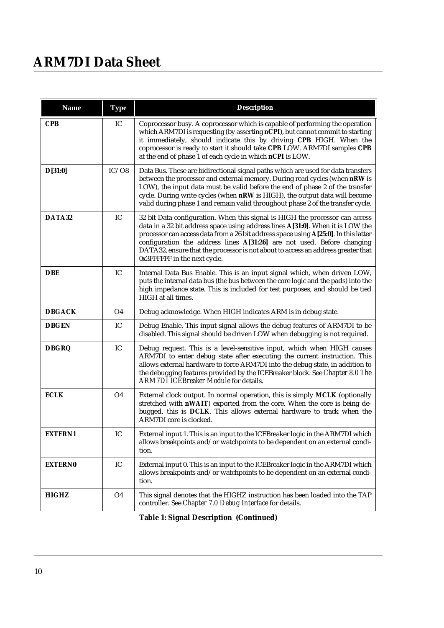| <b>Name</b>    | <b>Type</b>    | <b>Description</b>                                                                                                                                                                                                                                                                                                                                                                                                                                  |
|----------------|----------------|-----------------------------------------------------------------------------------------------------------------------------------------------------------------------------------------------------------------------------------------------------------------------------------------------------------------------------------------------------------------------------------------------------------------------------------------------------|
| <b>CPB</b>     | IC             | Coprocessor busy. A coprocessor which is capable of performing the operation<br>which ARM7DI is requesting (by asserting nCPI), but cannot commit to starting<br>it immediately, should indicate this by driving CPB HIGH. When the<br>coprocessor is ready to start it should take CPB LOW. ARM7DI samples CPB<br>at the end of phase 1 of each cycle in which nCPI is LOW.                                                                        |
| D[31:0]        | IC/08          | Data Bus. These are bidirectional signal paths which are used for data transfers<br>between the processor and external memory. During read cycles (when nRW is<br>LOW), the input data must be valid before the end of phase 2 of the transfer<br>cycle. During write cycles (when nRW is HIGH), the output data will become<br>valid during phase 1 and remain valid throughout phase 2 of the transfer cycle.                                     |
| DATA32         | IC             | 32 bit Data configuration. When this signal is HIGH the processor can access<br>data in a 32 bit address space using address lines A[31:0]. When it is LOW the<br>processor can access data from a 26 bit address space using A[25:0]. In this latter<br>configuration the address lines A[31:26] are not used. Before changing<br>DATA32, ensure that the processor is not about to access an address greater that<br>0x3FFFFFF in the next cycle. |
| <b>DBE</b>     | IC             | Internal Data Bus Enable. This is an input signal which, when driven LOW,<br>puts the internal data bus (the bus between the core logic and the pads) into the<br>high impedance state. This is included for test purposes, and should be tied<br>HIGH at all times.                                                                                                                                                                                |
| <b>DBGACK</b>  | O <sub>4</sub> | Debug acknowledge. When HIGH indicates ARM is in debug state.                                                                                                                                                                                                                                                                                                                                                                                       |
| <b>DBGEN</b>   | IC             | Debug Enable. This input signal allows the debug features of ARM7DI to be<br>disabled. This signal should be driven LOW when debugging is not required.                                                                                                                                                                                                                                                                                             |
| <b>DBGRQ</b>   | IC             | Debug request. This is a level-sensitive input, which when HIGH causes<br>ARM7DI to enter debug state after executing the current instruction. This<br>allows external hardware to force ARM7DI into the debug state, in addition to<br>the debugging features provided by the ICEBreaker block. See Chapter 8.0 The<br><b>ARM7DI ICEBreaker Module for details.</b>                                                                                |
| <b>ECLK</b>    | O <sub>4</sub> | External clock output. In normal operation, this is simply MCLK (optionally<br>stretched with nWAIT) exported from the core. When the core is being de-<br>bugged, this is DCLK. This allows external hardware to track when the<br>ARM7DI core is clocked.                                                                                                                                                                                         |
| <b>EXTERN1</b> | IC             | External input 1. This is an input to the ICEBreaker logic in the ARM7DI which<br>allows breakpoints and/or watchpoints to be dependent on an external condi-<br>tion.                                                                                                                                                                                                                                                                              |
| <b>EXTERN0</b> | IC             | External input 0. This is an input to the ICEBreaker logic in the ARM7DI which<br>allows breakpoints and/or watchpoints to be dependent on an external condi-<br>tion.                                                                                                                                                                                                                                                                              |
| <b>HIGHZ</b>   | O <sub>4</sub> | This signal denotes that the HIGHZ instruction has been loaded into the TAP<br>controller. See Chapter 7.0 Debug Interface for details.                                                                                                                                                                                                                                                                                                             |

**Table 1: Signal Description (Continued)**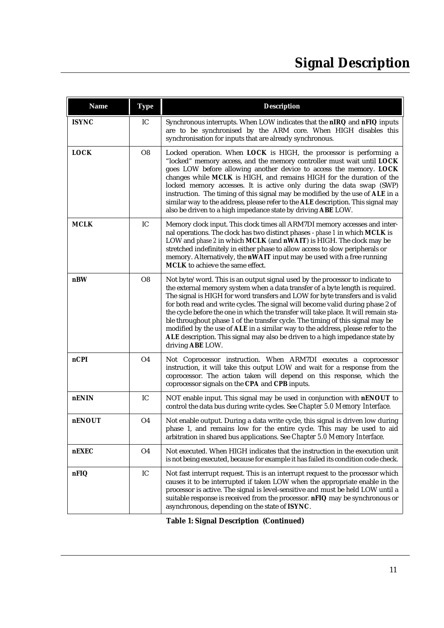| <b>Name</b>  | <b>Type</b>    | <b>Description</b>                                                                                                                                                                                                                                                                                                                                                                                                                                                                                                                                                                                                                                                                               |  |  |  |  |  |
|--------------|----------------|--------------------------------------------------------------------------------------------------------------------------------------------------------------------------------------------------------------------------------------------------------------------------------------------------------------------------------------------------------------------------------------------------------------------------------------------------------------------------------------------------------------------------------------------------------------------------------------------------------------------------------------------------------------------------------------------------|--|--|--|--|--|
| <b>ISYNC</b> | IC             | Synchronous interrupts. When LOW indicates that the nIRQ and nFIQ inputs<br>are to be synchronised by the ARM core. When HIGH disables this<br>synchronisation for inputs that are already synchronous.                                                                                                                                                                                                                                                                                                                                                                                                                                                                                          |  |  |  |  |  |
| <b>LOCK</b>  | O <sub>8</sub> | Locked operation. When LOCK is HIGH, the processor is performing a<br>"locked" memory access, and the memory controller must wait until LOCK<br>goes LOW before allowing another device to access the memory. LOCK<br>changes while MCLK is HIGH, and remains HIGH for the duration of the<br>locked memory accesses. It is active only during the data swap (SWP)<br>instruction. The timing of this signal may be modified by the use of ALE in a<br>similar way to the address, please refer to the ALE description. This signal may<br>also be driven to a high impedance state by driving ABE LOW.                                                                                          |  |  |  |  |  |
| <b>MCLK</b>  | IC             | Memory clock input. This clock times all ARM7DI memory accesses and inter-<br>nal operations. The clock has two distinct phases - phase 1 in which MCLK is<br>LOW and phase 2 in which MCLK (and nWAIT) is HIGH. The clock may be<br>stretched indefinitely in either phase to allow access to slow peripherals or<br>memory. Alternatively, the nWAIT input may be used with a free running<br>MCLK to achieve the same effect.                                                                                                                                                                                                                                                                 |  |  |  |  |  |
| nBW          | O <sub>8</sub> | Not byte/word. This is an output signal used by the processor to indicate to<br>the external memory system when a data transfer of a byte length is required.<br>The signal is HIGH for word transfers and LOW for byte transfers and is valid<br>for both read and write cycles. The signal will become valid during phase 2 of<br>the cycle before the one in which the transfer will take place. It will remain sta-<br>ble throughout phase 1 of the transfer cycle. The timing of this signal may be<br>modified by the use of ALE in a similar way to the address, please refer to the<br>ALE description. This signal may also be driven to a high impedance state by<br>driving ABE LOW. |  |  |  |  |  |
| nCPI         | O <sub>4</sub> | Not Coprocessor instruction. When ARM7DI executes a coprocessor<br>instruction, it will take this output LOW and wait for a response from the<br>coprocessor. The action taken will depend on this response, which the<br>coprocessor signals on the CPA and CPB inputs.                                                                                                                                                                                                                                                                                                                                                                                                                         |  |  |  |  |  |
| nENIN        | IC             | NOT enable input. This signal may be used in conjunction with nENOUT to<br>control the data bus during write cycles. See Chapter 5.0 Memory Interface.                                                                                                                                                                                                                                                                                                                                                                                                                                                                                                                                           |  |  |  |  |  |
| nENOUT       | O <sub>4</sub> | Not enable output. During a data write cycle, this signal is driven low during<br>phase 1, and remains low for the entire cycle. This may be used to aid<br>arbitration in shared bus applications. See Chapter 5.0 Memory Interface.                                                                                                                                                                                                                                                                                                                                                                                                                                                            |  |  |  |  |  |
| nEXEC        | O <sub>4</sub> | Not executed. When HIGH indicates that the instruction in the execution unit<br>is not being executed, because for example it has failed its condition code check.                                                                                                                                                                                                                                                                                                                                                                                                                                                                                                                               |  |  |  |  |  |
| nFIQ         | IC             | Not fast interrupt request. This is an interrupt request to the processor which<br>causes it to be interrupted if taken LOW when the appropriate enable in the<br>processor is active. The signal is level-sensitive and must be held LOW until a<br>suitable response is received from the processor. nFIQ may be synchronous or<br>asynchronous, depending on the state of ISYNC.                                                                                                                                                                                                                                                                                                              |  |  |  |  |  |

**Table 1: Signal Description (Continued)**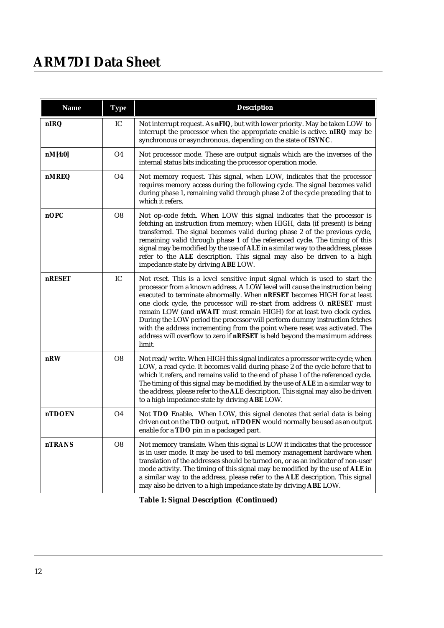| <b>Name</b> | <b>Type</b>    | <b>Description</b>                                                                                                                                                                                                                                                                                                                                                                                                                                                                                                                                                                                                                                 |  |  |  |  |  |
|-------------|----------------|----------------------------------------------------------------------------------------------------------------------------------------------------------------------------------------------------------------------------------------------------------------------------------------------------------------------------------------------------------------------------------------------------------------------------------------------------------------------------------------------------------------------------------------------------------------------------------------------------------------------------------------------------|--|--|--|--|--|
| nIRQ        | IC             | Not interrupt request. As nFIQ, but with lower priority. May be taken LOW to<br>interrupt the processor when the appropriate enable is active. nIRQ may be<br>synchronous or asynchronous, depending on the state of ISYNC.                                                                                                                                                                                                                                                                                                                                                                                                                        |  |  |  |  |  |
| nM[4:0]     | O <sub>4</sub> | Not processor mode. These are output signals which are the inverses of the<br>internal status bits indicating the processor operation mode.                                                                                                                                                                                                                                                                                                                                                                                                                                                                                                        |  |  |  |  |  |
| nMREQ       | O <sub>4</sub> | Not memory request. This signal, when LOW, indicates that the processor<br>requires memory access during the following cycle. The signal becomes valid<br>during phase 1, remaining valid through phase 2 of the cycle preceding that to<br>which it refers.                                                                                                                                                                                                                                                                                                                                                                                       |  |  |  |  |  |
| nOPC        | O <sub>8</sub> | Not op-code fetch. When LOW this signal indicates that the processor is<br>fetching an instruction from memory; when HIGH, data (if present) is being<br>transferred. The signal becomes valid during phase 2 of the previous cycle,<br>remaining valid through phase 1 of the referenced cycle. The timing of this<br>signal may be modified by the use of ALE in a similar way to the address, please<br>refer to the ALE description. This signal may also be driven to a high<br>impedance state by driving ABE LOW.                                                                                                                           |  |  |  |  |  |
| nRESET      | IC             | Not reset. This is a level sensitive input signal which is used to start the<br>processor from a known address. A LOW level will cause the instruction being<br>executed to terminate abnormally. When nRESET becomes HIGH for at least<br>one clock cycle, the processor will re-start from address 0. nRESET must<br>remain LOW (and nWAIT must remain HIGH) for at least two clock cycles.<br>During the LOW period the processor will perform dummy instruction fetches<br>with the address incrementing from the point where reset was activated. The<br>address will overflow to zero if nRESET is held beyond the maximum address<br>limit. |  |  |  |  |  |
| nRW         | O <sub>8</sub> | Not read/write. When HIGH this signal indicates a processor write cycle; when<br>LOW, a read cycle. It becomes valid during phase 2 of the cycle before that to<br>which it refers, and remains valid to the end of phase 1 of the referenced cycle.<br>The timing of this signal may be modified by the use of ALE in a similar way to<br>the address, please refer to the ALE description. This signal may also be driven<br>to a high impedance state by driving ABE LOW.                                                                                                                                                                       |  |  |  |  |  |
| nTDOEN      | O <sub>4</sub> | Not TDO Enable. When LOW, this signal denotes that serial data is being<br>driven out on the TDO output. nTDOEN would normally be used as an output<br>enable for a TDO pin in a packaged part.                                                                                                                                                                                                                                                                                                                                                                                                                                                    |  |  |  |  |  |
| nTRANS      | O <sub>8</sub> | Not memory translate. When this signal is LOW it indicates that the processor<br>is in user mode. It may be used to tell memory management hardware when<br>translation of the addresses should be turned on, or as an indicator of non-user<br>mode activity. The timing of this signal may be modified by the use of ALE in<br>a similar way to the address, please refer to the ALE description. This signal<br>may also be driven to a high impedance state by driving ABE LOW.                                                                                                                                                                |  |  |  |  |  |

**Table 1: Signal Description (Continued)**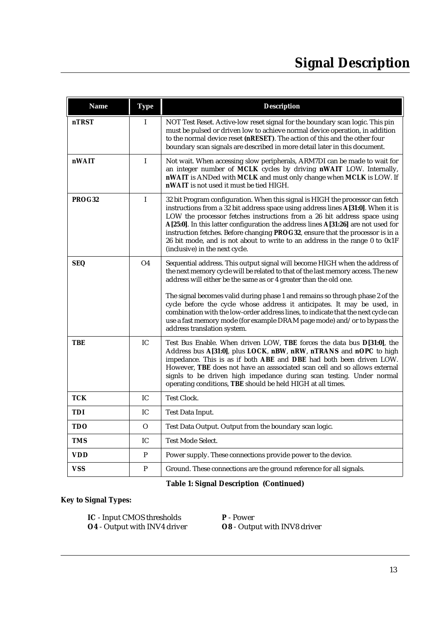# **Signal Description**

| <b>Name</b> | <b>Type</b>    | <b>Description</b>                                                                                                                                                                                                                                                                                                                                                                                                                                                                                                                     |  |  |  |  |  |  |
|-------------|----------------|----------------------------------------------------------------------------------------------------------------------------------------------------------------------------------------------------------------------------------------------------------------------------------------------------------------------------------------------------------------------------------------------------------------------------------------------------------------------------------------------------------------------------------------|--|--|--|--|--|--|
| nTRST       | $\mathbf{I}$   | NOT Test Reset. Active-low reset signal for the boundary scan logic. This pin<br>must be pulsed or driven low to achieve normal device operation, in addition<br>to the normal device reset (nRESET). The action of this and the other four<br>boundary scan signals are described in more detail later in this document.                                                                                                                                                                                                              |  |  |  |  |  |  |
| nWAIT       | $\mathbf I$    | Not wait. When accessing slow peripherals, ARM7DI can be made to wait for<br>an integer number of MCLK cycles by driving nWAIT LOW. Internally,<br>nWAIT is ANDed with MCLK and must only change when MCLK is LOW. If<br>nWAIT is not used it must be tied HIGH.                                                                                                                                                                                                                                                                       |  |  |  |  |  |  |
| PROG32      | $\mathbf{I}$   | 32 bit Program configuration. When this signal is HIGH the processor can fetch<br>instructions from a 32 bit address space using address lines A[31:0]. When it is<br>LOW the processor fetches instructions from a 26 bit address space using<br>A[25:0]. In this latter configuration the address lines A[31:26] are not used for<br>instruction fetches. Before changing PROG32, ensure that the processor is in a<br>26 bit mode, and is not about to write to an address in the range 0 to 0x1F<br>(inclusive) in the next cycle. |  |  |  |  |  |  |
| <b>SEQ</b>  | O <sub>4</sub> | Sequential address. This output signal will become HIGH when the address of<br>the next memory cycle will be related to that of the last memory access. The new<br>address will either be the same as or 4 greater than the old one.                                                                                                                                                                                                                                                                                                   |  |  |  |  |  |  |
|             |                | The signal becomes valid during phase 1 and remains so through phase 2 of the<br>cycle before the cycle whose address it anticipates. It may be used, in<br>combination with the low-order address lines, to indicate that the next cycle can<br>use a fast memory mode (for example DRAM page mode) and/or to bypass the<br>address translation system.                                                                                                                                                                               |  |  |  |  |  |  |
| TBE         | IC             | Test Bus Enable. When driven LOW, TBE forces the data bus D[31:0], the<br>Address bus A[31:0], plus LOCK, nBW, nRW, nTRANS and nOPC to high<br>impedance. This is as if both ABE and DBE had both been driven LOW.<br>However, TBE does not have an asssociated scan cell and so allows external<br>signls to be driven high impedance during scan testing. Under normal<br>operating conditions, TBE should be held HIGH at all times.                                                                                                |  |  |  |  |  |  |
| <b>TCK</b>  | IC             | Test Clock.                                                                                                                                                                                                                                                                                                                                                                                                                                                                                                                            |  |  |  |  |  |  |
| TDI         | IC             | Test Data Input.                                                                                                                                                                                                                                                                                                                                                                                                                                                                                                                       |  |  |  |  |  |  |
| <b>TDO</b>  | $\Omega$       | Test Data Output. Output from the boundary scan logic.                                                                                                                                                                                                                                                                                                                                                                                                                                                                                 |  |  |  |  |  |  |
| TMS         | IC             | <b>Test Mode Select.</b>                                                                                                                                                                                                                                                                                                                                                                                                                                                                                                               |  |  |  |  |  |  |
| <b>VDD</b>  | ${\bf P}$      | Power supply. These connections provide power to the device.                                                                                                                                                                                                                                                                                                                                                                                                                                                                           |  |  |  |  |  |  |
| <b>VSS</b>  | P              | Ground. These connections are the ground reference for all signals.                                                                                                                                                                                                                                                                                                                                                                                                                                                                    |  |  |  |  |  |  |

### **Table 1: Signal Description (Continued)**

### **Key to Signal Types:**

**IC** - Input CMOS thresholds<br> **P** - Power<br> **OB** - Output with INV8 driver<br> **OB** - Output with INV8 driver **O4** - Output with INV4 driver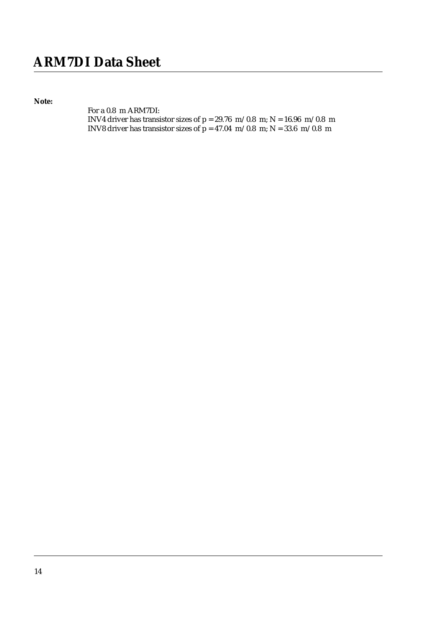**Note:**

For a 0.8 µm ARM7DI: INV4 driver has transistor sizes of p = 29.76 µm/0.8 µm; N = 16.96 µm/0.8 µm INV8 driver has transistor sizes of p = 47.04 µm/0.8 µm; N = 33.6 µm/0.8 µm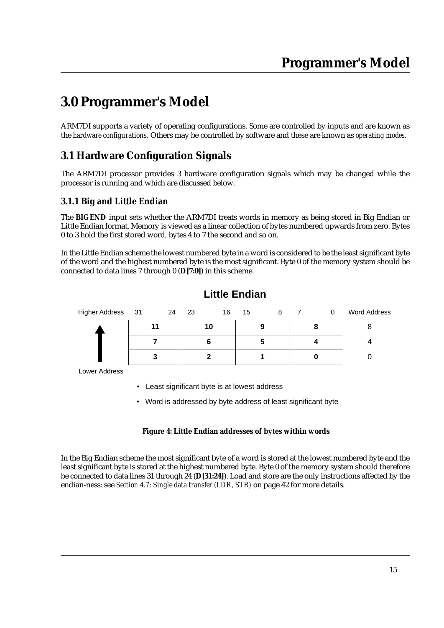# **3.0 Programmer's Model**

ARM7DI supports a variety of operating configurations. Some are controlled by inputs and are known as the *hardware configurations*. Others may be controlled by software and these are known as *operating modes*.

## **3.1 Hardware Configuration Signals**

The ARM7DI processor provides 3 hardware configuration signals which may be changed while the processor is running and which are discussed below.

### **3.1.1 Big and Little Endian**

The **BIGEND** input sets whether the ARM7DI treats words in memory as being stored in Big Endian or Little Endian format. Memory is viewed as a linear collection of bytes numbered upwards from zero. Bytes 0 to 3 hold the first stored word, bytes 4 to 7 the second and so on.

In the Little Endian scheme the lowest numbered byte in a word is considered to be the least significant byte of the word and the highest numbered byte is the most significant. Byte 0 of the memory system should be connected to data lines 7 through 0 (**D[7:0]**) in this scheme.

| Higher Address 31 | -24 | 23 | 16 | 15 | 8 | $7^{\circ}$ | 0 | <b>Word Address</b> |
|-------------------|-----|----|----|----|---|-------------|---|---------------------|
|                   |     |    | 10 |    | 9 |             |   | 8                   |
|                   |     |    |    |    |   |             |   |                     |
|                   |     |    |    |    |   |             |   |                     |
| Lower Address     |     |    |    |    |   |             |   |                     |

## **Little Endian**

Lower Addres

- Least significant byte is at lowest address
- Word is addressed by byte address of least significant byte

#### **Figure 4: Little Endian addresses of bytes within words**

In the Big Endian scheme the most significant byte of a word is stored at the lowest numbered byte and the least significant byte is stored at the highest numbered byte. Byte 0 of the memory system should therefore be connected to data lines 31 through 24 (**D[31:24]**). Load and store are the only instructions affected by the endian-ness: see *Section 4.7: Single data transfer (LDR, STR)* on page 42 for more details.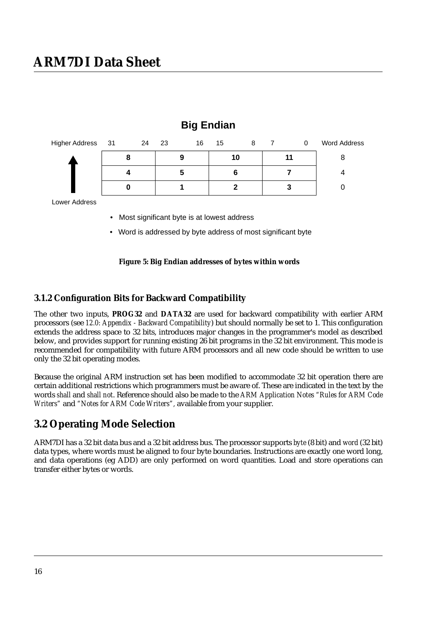

- Most significant byte is at lowest address
- Word is addressed by byte address of most significant byte

#### **Figure 5: Big Endian addresses of bytes within words**

#### **3.1.2 Configuration Bits for Backward Compatibility**

The other two inputs, **PROG32** and **DATA32** are used for backward compatibility with earlier ARM processors (see *12.0: Appendix - Backward Compatibility*) but should normally be set to 1. This configuration extends the address space to 32 bits, introduces major changes in the programmer's model as described below, and provides support for running existing 26 bit programs in the 32 bit environment. This mode is recommended for compatibility with future ARM processors and all new code should be written to use only the 32 bit operating modes.

Because the original ARM instruction set has been modified to accommodate 32 bit operation there are certain additional restrictions which programmers must be aware of. These are indicated in the text by the words *shall* and *shall not*. Reference should also be made to the *ARM Application Notes "Rules for ARM Code Writers"* and *"Notes for ARM Code Writers",* available from your supplier.

### **3.2 Operating Mode Selection**

ARM7DI has a 32 bit data bus and a 32 bit address bus. The processor supports *byte* (8 bit) and *word* (32 bit) data types, where words must be aligned to four byte boundaries. Instructions are exactly one word long, and data operations (eg ADD) are only performed on word quantities. Load and store operations can transfer either bytes or words.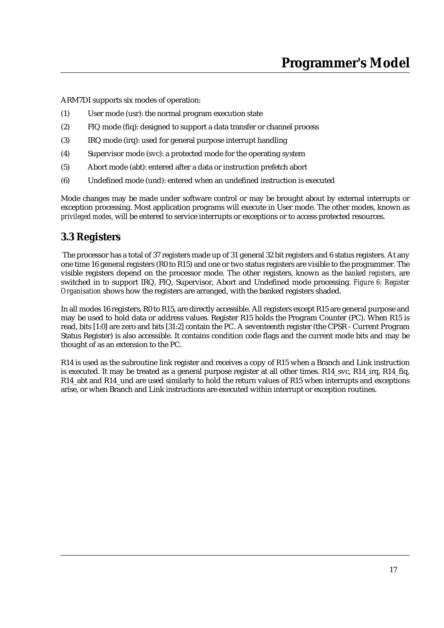ARM7DI supports six modes of operation:

- (1) User mode (usr): the normal program execution state
- (2) FIQ mode (fiq): designed to support a data transfer or channel process
- (3) IRQ mode (irq): used for general purpose interrupt handling
- (4) Supervisor mode (svc): a protected mode for the operating system
- (5) Abort mode (abt): entered after a data or instruction prefetch abort
- (6) Undefined mode (und): entered when an undefined instruction is executed

Mode changes may be made under software control or may be brought about by external interrupts or exception processing. Most application programs will execute in User mode. The other modes, known as *privileged modes*, will be entered to service interrupts or exceptions or to access protected resources.

### **3.3 Registers**

 The processor has a total of 37 registers made up of 31 general 32 bit registers and 6 status registers. At any one time 16 general registers (R0 to R15) and one or two status registers are visible to the programmer. The visible registers depend on the processor mode. The other registers, known as the *banked registers*, are switched in to support IRQ, FIQ, Supervisor, Abort and Undefined mode processing. *Figure 6: Register Organisation* shows how the registers are arranged, with the banked registers shaded.

In all modes 16 registers, R0 to R15, are directly accessible. All registers except R15 are general purpose and may be used to hold data or address values. Register R15 holds the Program Counter (PC). When R15 is read, bits [1:0] are zero and bits [31:2] contain the PC. A seventeenth register (the CPSR - Current Program Status Register) is also accessible. It contains condition code flags and the current mode bits and may be thought of as an extension to the PC.

R14 is used as the subroutine link register and receives a copy of R15 when a Branch and Link instruction is executed. It may be treated as a general purpose register at all other times. R14 svc, R14 irq, R14 fiq, R14\_abt and R14\_und are used similarly to hold the return values of R15 when interrupts and exceptions arise, or when Branch and Link instructions are executed within interrupt or exception routines.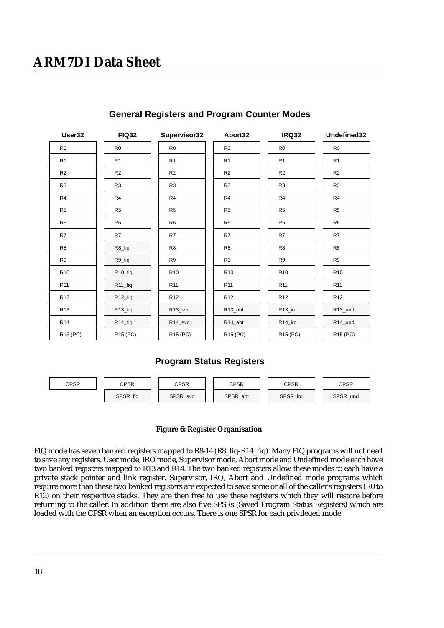| User32               | <b>FIQ32</b>         | Supervisor32         | Abort32              | <b>IRQ32</b>         | Undefined32          |
|----------------------|----------------------|----------------------|----------------------|----------------------|----------------------|
| R <sub>0</sub>       | R <sub>0</sub>       | R <sub>0</sub>       | R <sub>0</sub>       | R <sub>0</sub>       | R <sub>0</sub>       |
| R1                   | R1                   | R <sub>1</sub>       | R1                   | R <sub>1</sub>       | R1                   |
| R <sub>2</sub>       | R <sub>2</sub>       | R <sub>2</sub>       | R <sub>2</sub>       | R <sub>2</sub>       | R <sub>2</sub>       |
| R <sub>3</sub>       | R <sub>3</sub>       | R <sub>3</sub>       | R <sub>3</sub>       | R <sub>3</sub>       | R <sub>3</sub>       |
| R4                   | R4                   | R4                   | R4                   | R <sub>4</sub>       | R4                   |
| R <sub>5</sub>       | R <sub>5</sub>       | R <sub>5</sub>       | R <sub>5</sub>       | R <sub>5</sub>       | R <sub>5</sub>       |
| R <sub>6</sub>       | R <sub>6</sub>       | R <sub>6</sub>       | R <sub>6</sub>       | R <sub>6</sub>       | R <sub>6</sub>       |
| R7                   | R7                   | R7                   | R7                   | R7                   | R7                   |
| R <sub>8</sub>       | R8_fiq               | R <sub>8</sub>       | R <sub>8</sub>       | R <sub>8</sub>       | R <sub>8</sub>       |
| R9                   | R9_fiq               | R <sub>9</sub>       | R <sub>9</sub>       | R <sub>9</sub>       | R9                   |
| R <sub>10</sub>      | R <sub>10_fiq</sub>  | R <sub>10</sub>      | R <sub>10</sub>      | R <sub>10</sub>      | R <sub>10</sub>      |
| R <sub>11</sub>      | $R11$ _fiq           | R <sub>11</sub>      | R <sub>11</sub>      | R <sub>11</sub>      | R <sub>11</sub>      |
| R <sub>12</sub>      | $R12$ _fiq           | R <sub>12</sub>      | R <sub>12</sub>      | R <sub>12</sub>      | R <sub>12</sub>      |
| R <sub>13</sub>      | R <sub>13_fiq</sub>  | R <sub>13_svc</sub>  | R <sub>13_abt</sub>  | R <sub>13_irq</sub>  | R <sub>13_und</sub>  |
| R <sub>14</sub>      | $R14$ _fiq           | R <sub>14_svc</sub>  | R <sub>14_abt</sub>  | R <sub>14_irq</sub>  | R14_und              |
| R <sub>15</sub> (PC) | R <sub>15</sub> (PC) | R <sub>15</sub> (PC) | R <sub>15</sub> (PC) | R <sub>15</sub> (PC) | R <sub>15</sub> (PC) |

### **General Registers and Program Counter Modes**

#### **Program Status Registers**

| CPSR | CPSR     | CPSR     | CPSR     | <b>CPSR</b> | CPSR     |
|------|----------|----------|----------|-------------|----------|
|      | SPSR_fiq | SPSR_svc | SPSR_abt | SPSR_irq    | SPSR_und |

#### **Figure 6: Register Organisation**

FIQ mode has seven banked registers mapped to R8-14 (R8\_fiq-R14\_fiq). Many FIQ programs will not need to save any registers. User mode, IRQ mode, Supervisor mode, Abort mode and Undefined mode each have two banked registers mapped to R13 and R14. The two banked registers allow these modes to each have a private stack pointer and link register. Supervisor, IRQ, Abort and Undefined mode programs which require more than these two banked registers are expected to save some or all of the caller's registers (R0 to R12) on their respective stacks. They are then free to use these registers which they will restore before returning to the caller. In addition there are also five SPSRs (Saved Program Status Registers) which are loaded with the CPSR when an exception occurs. There is one SPSR for each privileged mode.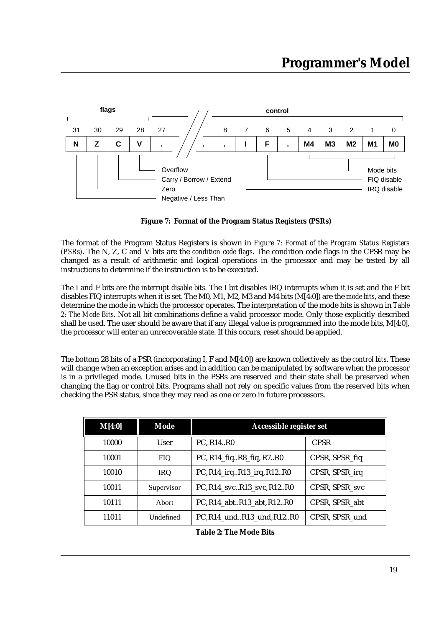

 **Figure 7: Format of the Program Status Registers (PSRs)**

The format of the Program Status Registers is shown in *Figure 7: Format of the Program Status Registers (PSRs)*. The N, Z, C and V bits are the *condition code flags*. The condition code flags in the CPSR may be changed as a result of arithmetic and logical operations in the processor and may be tested by all instructions to determine if the instruction is to be executed.

The I and F bits are the *interrupt disable bits.* The I bit disables IRQ interrupts when it is set and the F bit disables FIQ interrupts when it is set. The M0, M1, M2, M3 and M4 bits (M[4:0]) are the *mode bits*, and these determine the mode in which the processor operates. The interpretation of the mode bits is shown in *Table 2: The Mode Bits*. Not all bit combinations define a valid processor mode. Only those explicitly described shall be used. The user should be aware that if any illegal value is programmed into the mode bits, M[4:0], the processor will enter an unrecoverable state. If this occurs, reset should be applied.

The bottom 28 bits of a PSR (incorporating I, F and M[4:0]) are known collectively as the *control bits*. These will change when an exception arises and in addition can be manipulated by software when the processor is in a privileged mode. Unused bits in the PSRs are reserved and their state shall be preserved when changing the flag or control bits. Programs shall not rely on specific values from the reserved bits when checking the PSR status, since they may read as one or zero in future processors.

| M[4:0] | Mode        | <b>Accessible register set</b> |                |  |  |
|--------|-------------|--------------------------------|----------------|--|--|
| 10000  | <b>User</b> | PC, R14R0                      | <b>CPSR</b>    |  |  |
| 10001  | <b>FIQ</b>  | PC, R14_fiqR8_fiq, R7R0        | CPSR, SPSR_fiq |  |  |
| 10010  | <b>IRQ</b>  | PC, R14_irqR13_irq, R12R0      | CPSR, SPSR_irq |  |  |
| 10011  | Supervisor  | PC, R14_svcR13_svc, R12R0      | CPSR, SPSR svc |  |  |
| 10111  | Abort       | PC, R14 abtR13 abt, R12R0      | CPSR, SPSR_abt |  |  |
| 11011  | Undefined   | PC, R14 undR13 und, R12R0      | CPSR, SPSR und |  |  |

**Table 2: The Mode Bits**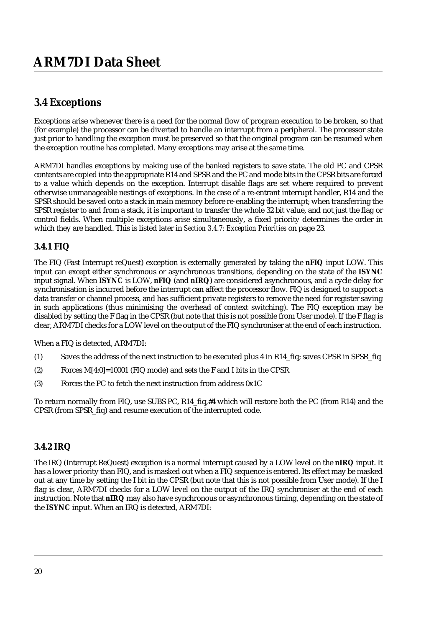## **3.4 Exceptions**

Exceptions arise whenever there is a need for the normal flow of program execution to be broken, so that (for example) the processor can be diverted to handle an interrupt from a peripheral. The processor state just prior to handling the exception must be preserved so that the original program can be resumed when the exception routine has completed. Many exceptions may arise at the same time.

ARM7DI handles exceptions by making use of the banked registers to save state. The old PC and CPSR contents are copied into the appropriate R14 and SPSR and the PC and mode bits in the CPSR bits are forced to a value which depends on the exception. Interrupt disable flags are set where required to prevent otherwise unmanageable nestings of exceptions. In the case of a re-entrant interrupt handler, R14 and the SPSR should be saved onto a stack in main memory before re-enabling the interrupt; when transferring the SPSR register to and from a stack, it is important to transfer the whole 32 bit value, and not just the flag or control fields. When multiple exceptions arise simultaneously, a fixed priority determines the order in which they are handled. This is listed later in *Section 3.4.7: Exception Priorities* on page 23.

### **3.4.1 FIQ**

The FIQ (Fast Interrupt reQuest) exception is externally generated by taking the **nFIQ** input LOW. This input can except either synchronous or asynchronous transitions, depending on the state of the **ISYNC** input signal. When **ISYNC** is LOW, **nFIQ** (and **nIRQ**) are considered asynchronous, and a cycle delay for synchronisation is incurred before the interrupt can affect the processor flow. FIQ is designed to support a data transfer or channel process, and has sufficient private registers to remove the need for register saving in such applications (thus minimising the overhead of context switching). The FIQ exception may be disabled by setting the F flag in the CPSR (but note that this is not possible from User mode). If the F flag is clear, ARM7DI checks for a LOW level on the output of the FIQ synchroniser at the end of each instruction.

When a FIQ is detected, ARM7DI:

- (1) Saves the address of the next instruction to be executed plus 4 in R14\_fiq; saves CPSR in SPSR\_fiq
- (2) Forces M[4:0]=10001 (FIQ mode) and sets the F and I bits in the CPSR
- (3) Forces the PC to fetch the next instruction from address 0x1C

To return normally from FIQ, use SUBS PC, R14\_fiq,#4 which will restore both the PC (from R14) and the CPSR (from SPSR\_fiq) and resume execution of the interrupted code.

### **3.4.2 IRQ**

The IRQ (Interrupt ReQuest) exception is a normal interrupt caused by a LOW level on the **nIRQ** input. It has a lower priority than FIQ, and is masked out when a FIQ sequence is entered. Its effect may be masked out at any time by setting the I bit in the CPSR (but note that this is not possible from User mode). If the I flag is clear, ARM7DI checks for a LOW level on the output of the IRQ synchroniser at the end of each instruction. Note that **nIRQ** may also have synchronous or asynchronous timing, depending on the state of the **ISYNC** input. When an IRQ is detected, ARM7DI: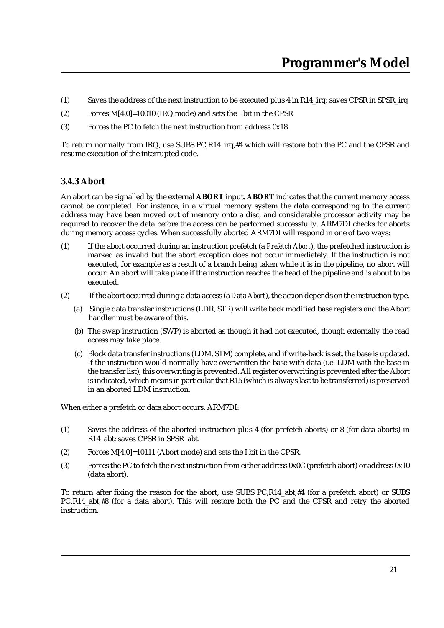- (1) Saves the address of the next instruction to be executed plus 4 in R14\_irq; saves CPSR in SPSR\_irq
- (2) Forces M[4:0]=10010 (IRQ mode) and sets the I bit in the CPSR
- (3) Forces the PC to fetch the next instruction from address 0x18

To return normally from IRQ, use SUBS PC,R14\_irq,#4 which will restore both the PC and the CPSR and resume execution of the interrupted code.

#### **3.4.3 Abort**

An abort can be signalled by the external **ABORT** input. **ABORT** indicates that the current memory access cannot be completed. For instance, in a virtual memory system the data corresponding to the current address may have been moved out of memory onto a disc, and considerable processor activity may be required to recover the data before the access can be performed successfully. ARM7DI checks for aborts during memory access cycles. When successfully aborted ARM7DI will respond in one of two ways:

- (1) If the abort occurred during an instruction prefetch (a *Prefetch Abort*), the prefetched instruction is marked as invalid but the abort exception does not occur immediately. If the instruction is not executed, for example as a result of a branch being taken while it is in the pipeline, no abort will occur. An abort will take place if the instruction reaches the head of the pipeline and is about to be executed.
- (2) If the abort occurred during a data access (a *Dat*a *Abort*), the action depends on the instruction type.
	- (a) Single data transfer instructions (LDR, STR) will write back modified base registers and the Abort handler must be aware of this.
	- (b) The swap instruction (SWP) is aborted as though it had not executed, though externally the read access may take place.
	- (c) Block data transfer instructions (LDM, STM) complete, and if write-back is set, the base is updated. If the instruction would normally have overwritten the base with data (i.e. LDM with the base in the transfer list), this overwriting is prevented. All register overwriting is prevented after the Abort is indicated, which means in particular that R15 (which is always last to be transferred) is preserved in an aborted LDM instruction.

When either a prefetch or data abort occurs, ARM7DI:

- (1) Saves the address of the aborted instruction plus 4 (for prefetch aborts) or 8 (for data aborts) in R14\_abt; saves CPSR in SPSR\_abt.
- (2) Forces M[4:0]=10111 (Abort mode) and sets the I bit in the CPSR.
- (3) Forces the PC to fetch the next instruction from either address 0x0C (prefetch abort) or address 0x10 (data abort).

To return after fixing the reason for the abort, use SUBS PC,R14\_abt,#4 (for a prefetch abort) or SUBS PC,R14\_abt,#8 (for a data abort). This will restore both the PC and the CPSR and retry the aborted instruction.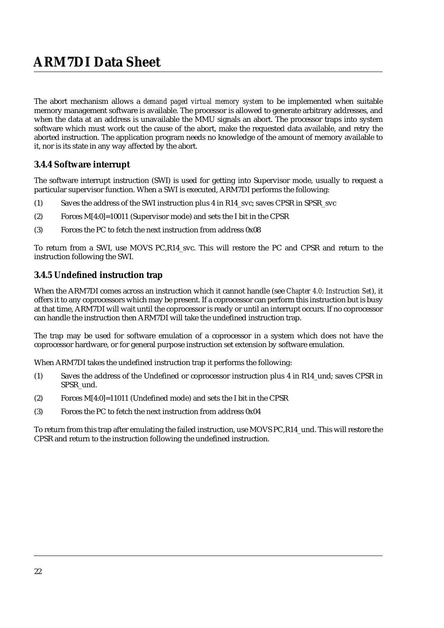The abort mechanism allows a *demand paged virtual memory system* to be implemented when suitable memory management software is available. The processor is allowed to generate arbitrary addresses, and when the data at an address is unavailable the MMU signals an abort. The processor traps into system software which must work out the cause of the abort, make the requested data available, and retry the aborted instruction. The application program needs no knowledge of the amount of memory available to it, nor is its state in any way affected by the abort.

### **3.4.4 Software interrupt**

The software interrupt instruction (SWI) is used for getting into Supervisor mode, usually to request a particular supervisor function. When a SWI is executed, ARM7DI performs the following:

- (1) Saves the address of the SWI instruction plus 4 in R14\_svc; saves CPSR in SPSR\_svc
- (2) Forces M[4:0]=10011 (Supervisor mode) and sets the I bit in the CPSR
- (3) Forces the PC to fetch the next instruction from address 0x08

To return from a SWI, use MOVS PC,R14\_svc. This will restore the PC and CPSR and return to the instruction following the SWI.

### **3.4.5 Undefined instruction trap**

When the ARM7DI comes across an instruction which it cannot handle (see *Chapter 4.0: Instruction Set*), it offers it to any coprocessors which may be present. If a coprocessor can perform this instruction but is busy at that time, ARM7DI will wait until the coprocessor is ready or until an interrupt occurs. If no coprocessor can handle the instruction then ARM7DI will take the undefined instruction trap.

The trap may be used for software emulation of a coprocessor in a system which does not have the coprocessor hardware, or for general purpose instruction set extension by software emulation.

When ARM7DI takes the undefined instruction trap it performs the following:

- (1) Saves the address of the Undefined or coprocessor instruction plus 4 in R14\_und; saves CPSR in SPSR\_und.
- (2) Forces M[4:0]=11011 (Undefined mode) and sets the I bit in the CPSR
- (3) Forces the PC to fetch the next instruction from address 0x04

To return from this trap after emulating the failed instruction, use MOVS PC,R14\_und. This will restore the CPSR and return to the instruction following the undefined instruction.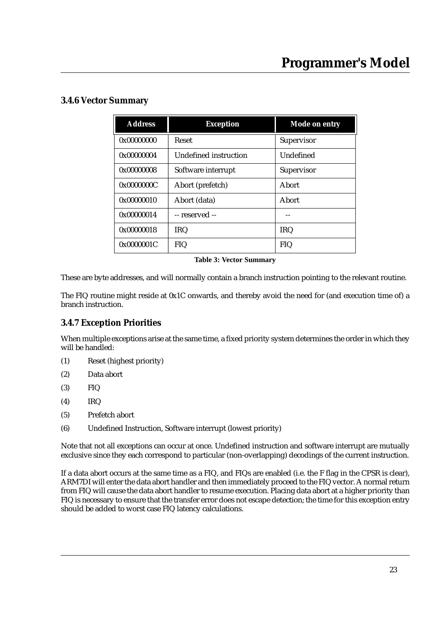#### **3.4.6 Vector Summary**

| <b>Address</b> | <b>Exception</b>             | <b>Mode on entry</b> |
|----------------|------------------------------|----------------------|
| 0x00000000     | Reset                        | Supervisor           |
| 0x00000004     | <b>Undefined instruction</b> | Undefined            |
| 0x00000008     | Software interrupt           | Supervisor           |
| 0x0000000C     | Abort (prefetch)             | Abort                |
| 0x00000010     | Abort (data)                 | Abort                |
| 0x00000014     | -- reserved --               |                      |
| 0x00000018     | <b>IRQ</b>                   | <b>IRQ</b>           |
| 0x0000001C     | FIQ                          | FIQ                  |

**Table 3: Vector Summary**

These are byte addresses, and will normally contain a branch instruction pointing to the relevant routine.

The FIQ routine might reside at 0x1C onwards, and thereby avoid the need for (and execution time of) a branch instruction.

#### **3.4.7 Exception Priorities**

When multiple exceptions arise at the same time, a fixed priority system determines the order in which they will be handled:

- (1) Reset (highest priority)
- (2) Data abort
- (3) FIQ
- (4) IRQ
- (5) Prefetch abort
- (6) Undefined Instruction, Software interrupt (lowest priority)

Note that not all exceptions can occur at once. Undefined instruction and software interrupt are mutually exclusive since they each correspond to particular (non-overlapping) decodings of the current instruction.

If a data abort occurs at the same time as a FIQ, and FIQs are enabled (i.e. the F flag in the CPSR is clear), ARM7DI will enter the data abort handler and then immediately proceed to the FIQ vector. A normal return from FIQ will cause the data abort handler to resume execution. Placing data abort at a higher priority than FIQ is necessary to ensure that the transfer error does not escape detection; the time for this exception entry should be added to worst case FIQ latency calculations.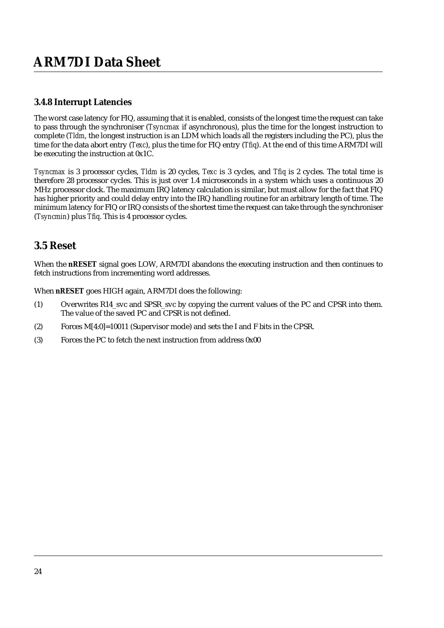### **3.4.8 Interrupt Latencies**

The worst case latency for FIQ, assuming that it is enabled, consists of the longest time the request can take to pass through the synchroniser (*Tsyncmax* if asynchronous), plus the time for the longest instruction to complete (*Tldm*, the longest instruction is an LDM which loads all the registers including the PC), plus the time for the data abort entry (*Texc*), plus the time for FIQ entry (*Tfiq*). At the end of this time ARM7DI will be executing the instruction at 0x1C.

*Tsyncmax* is 3 processor cycles, *Tldm* is 20 cycles, *Texc* is 3 cycles, and *Tfiq* is 2 cycles. The total time is therefore 28 processor cycles. This is just over 1.4 microseconds in a system which uses a continuous 20 MHz processor clock. The maximum IRQ latency calculation is similar, but must allow for the fact that FIQ has higher priority and could delay entry into the IRQ handling routine for an arbitrary length of time. The minimum latency for FIQ or IRQ consists of the shortest time the request can take through the synchroniser (*Tsyncmin*) plus *Tfiq*. This is 4 processor cycles.

### **3.5 Reset**

When the **nRESET** signal goes LOW, ARM7DI abandons the executing instruction and then continues to fetch instructions from incrementing word addresses.

When **nRESET** goes HIGH again, ARM7DI does the following:

- (1) Overwrites R14\_svc and SPSR\_svc by copying the current values of the PC and CPSR into them. The value of the saved PC and CPSR is not defined.
- (2) Forces  $M[4:0]=10011$  (Supervisor mode) and sets the I and F bits in the CPSR.
- (3) Forces the PC to fetch the next instruction from address 0x00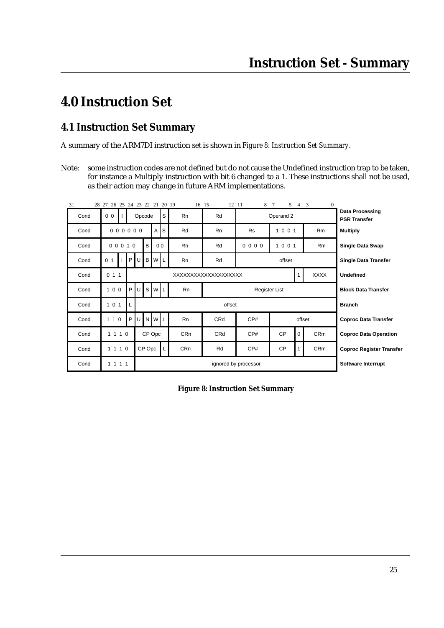# **4.0 Instruction Set**

## **4.1 Instruction Set Summary**

A summary of the ARM7DI instruction set is shown in *Figure 8: Instruction Set Summary*.

Note: some instruction codes are not defined but do not cause the Undefined instruction trap to be taken, for instance a Multiply instruction with bit 6 changed to a 1. These instructions shall not be used, as their action may change in future ARM implementations.

| 31                                                            | 28 27          |                         |                                    |        | 26 25 24 23 22 21 20 19 |                |                |                 | 12 11<br>16 15 | 8                    | 5<br>$7\phantom{.0}$ | $\overline{4}$ | 3<br>$\Omega$ |                                               |
|---------------------------------------------------------------|----------------|-------------------------|------------------------------------|--------|-------------------------|----------------|----------------|-----------------|----------------|----------------------|----------------------|----------------|---------------|-----------------------------------------------|
| Cond                                                          | 0 <sub>0</sub> |                         |                                    |        | Opcode                  |                | S              | Rn              | Rd             |                      | Operand 2            |                |               | <b>Data Processing</b><br><b>PSR Transfer</b> |
| Cond                                                          |                |                         |                                    | 000000 |                         | $\overline{A}$ | S              | Rd              | Rn             | <b>Rs</b>            | 1 0 0 1              |                | Rm            | <b>Multiply</b>                               |
| Cond                                                          | 00010          |                         |                                    |        | B                       |                | 0 <sub>0</sub> | Rn              | Rd             | 0000                 | 1001                 |                | Rm            | Single Data Swap                              |
| Cond                                                          | 0 <sub>1</sub> |                         | P                                  | U      | B                       | W.             |                | Rn              | Rd             |                      | offset               |                |               | <b>Single Data Transfer</b>                   |
| Cond                                                          | 011            |                         | <b>XXXX</b><br>XXXXXXXXXXXXXXXXXXX |        |                         |                |                |                 |                | <b>Undefined</b>     |                      |                |               |                                               |
| Cond                                                          | 100            |                         | P                                  | U      | S                       | W I            |                | Rn              |                | <b>Register List</b> |                      |                |               | <b>Block Data Transfer</b>                    |
| Cond                                                          | 101            | <b>Branch</b><br>offset |                                    |        |                         |                |                |                 |                |                      |                      |                |               |                                               |
| Cond                                                          | 110            |                         | P                                  | U      |                         | NWL            |                | Rn              | CRd            | CP#                  |                      | offset         |               | <b>Coproc Data Transfer</b>                   |
| Cond                                                          | 1 1 1 0        |                         |                                    |        | CP Opc                  |                |                | C <sub>Rn</sub> | CRd            | CP#                  | <b>CP</b>            | 0              | <b>CRm</b>    | <b>Coproc Data Operation</b>                  |
| Cond                                                          | 1 1 1 0        |                         |                                    |        | $CP$ Opc                |                |                | <b>CRn</b>      | Rd             | CP#                  | CP                   |                | CRm           | <b>Coproc Register Transfer</b>               |
| Software Interrupt<br>Cond<br>1 1 1 1<br>ignored by processor |                |                         |                                    |        |                         |                |                |                 |                |                      |                      |                |               |                                               |

 **Figure 8: Instruction Set Summary**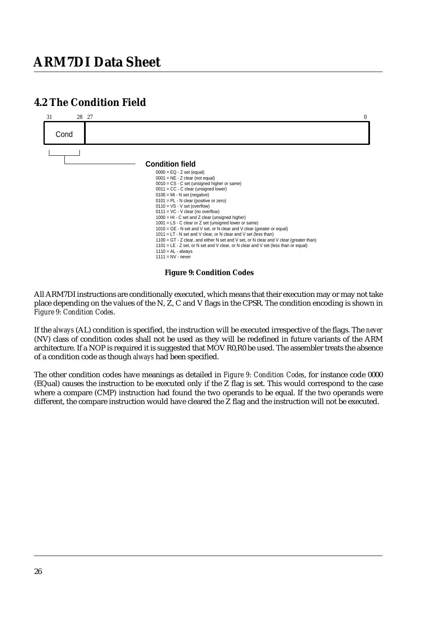## **4.2 The Condition Field**



 **Figure 9: Condition Codes**

All ARM7DI instructions are conditionally executed, which means that their execution may or may not take place depending on the values of the N, Z, C and V flags in the CPSR. The condition encoding is shown in *Figure 9: Condition Codes*.

If the *always* (AL) condition is specified, the instruction will be executed irrespective of the flags. The *never* (NV) class of condition codes shall not be used as they will be redefined in future variants of the ARM architecture. If a NOP is required it is suggested that MOV R0,R0 be used. The assembler treats the absence of a condition code as though *always* had been specified.

The other condition codes have meanings as detailed in *Figure 9: Condition Codes*, for instance code 0000 (EQual) causes the instruction to be executed only if the Z flag is set. This would correspond to the case where a compare (CMP) instruction had found the two operands to be equal. If the two operands were different, the compare instruction would have cleared the Z flag and the instruction will not be executed.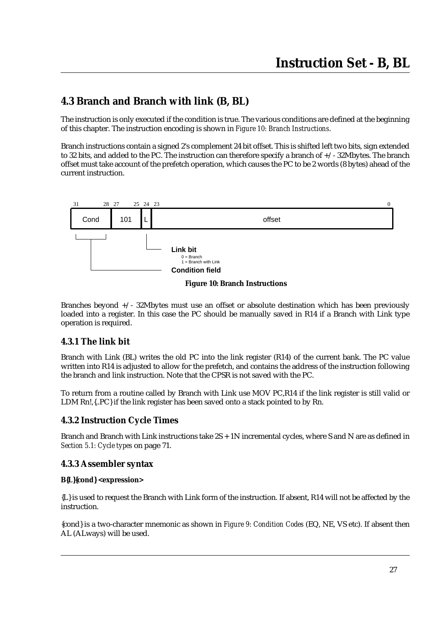## **4.3 Branch and Branch with link (B, BL)**

The instruction is only executed if the condition is true. The various conditions are defined at the beginning of this chapter. The instruction encoding is shown in *Figure 10: Branch Instructions*.

Branch instructions contain a signed 2's complement 24 bit offset. This is shifted left two bits, sign extended to 32 bits, and added to the PC. The instruction can therefore specify a branch of +/- 32Mbytes. The branch offset must take account of the prefetch operation, which causes the PC to be 2 words (8 bytes) ahead of the current instruction.





Branches beyond  $+\prime$ - 32Mbytes must use an offset or absolute destination which has been previously loaded into a register. In this case the PC should be manually saved in R14 if a Branch with Link type operation is required.

### **4.3.1 The link bit**

Branch with Link (BL) writes the old PC into the link register (R14) of the current bank. The PC value written into R14 is adjusted to allow for the prefetch, and contains the address of the instruction following the branch and link instruction. Note that the CPSR is not saved with the PC.

To return from a routine called by Branch with Link use MOV PC,R14 if the link register is still valid or LDM Rn!,{..PC} if the link register has been saved onto a stack pointed to by Rn.

#### **4.3.2 Instruction Cycle Times**

Branch and Branch with Link instructions take 2S + 1N incremental cycles, where S and N are as defined in *Section 5.1: Cycle types* on page 71.

#### **4.3.3 Assembler syntax**

#### **B{L}{cond} <expression>**

{L} is used to request the Branch with Link form of the instruction. If absent, R14 will not be affected by the instruction.

{cond} is a two-character mnemonic as shown in *Figure 9: Condition Codes* (EQ, NE, VS etc). If absent then AL (ALways) will be used.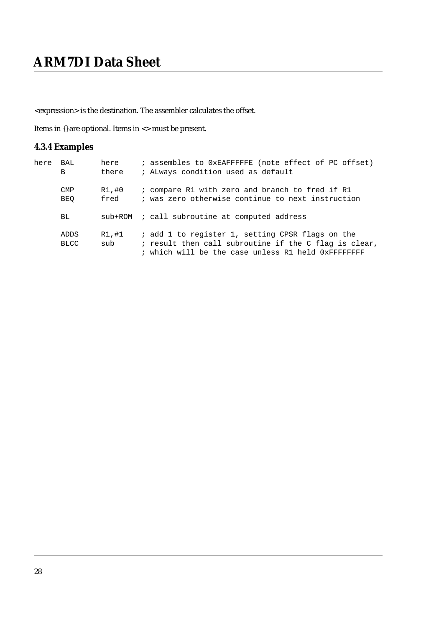<expression> is the destination. The assembler calculates the offset.

Items in {} are optional. Items in <> must be present.

## **4.3.4 Examples**

| here BAL | В                   | here<br>there | ; assembles to OxEAFFFFFE (note effect of PC offset)<br>; ALways condition used as default                                                                      |
|----------|---------------------|---------------|-----------------------------------------------------------------------------------------------------------------------------------------------------------------|
|          | <b>CMP</b><br>BEO   | R1,#0<br>fred | ; compare R1 with zero and branch to fred if R1<br>; was zero otherwise continue to next instruction                                                            |
|          | BL                  |               | sub+ROM ; call subroutine at computed address                                                                                                                   |
|          | ADDS<br><b>BLCC</b> | R1,#1<br>sub  | ; add 1 to register 1, setting CPSR flags on the<br>; result then call subroutine if the C flag is clear,<br>; which will be the case unless R1 held OxFFFFFFFF |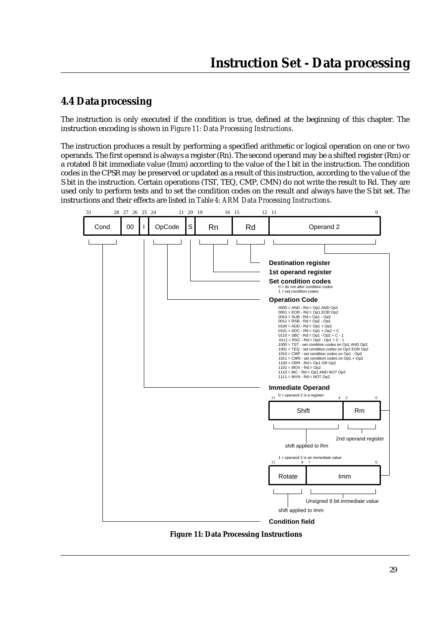## **4.4 Data processing**

The instruction is only executed if the condition is true, defined at the beginning of this chapter. The instruction encoding is shown in *Figure 11: Data Processing Instructions*.

The instruction produces a result by performing a specified arithmetic or logical operation on one or two operands. The first operand is always a register (Rn). The second operand may be a shifted register (Rm) or a rotated 8 bit immediate value (Imm) according to the value of the I bit in the instruction. The condition codes in the CPSR may be preserved or updated as a result of this instruction, according to the value of the S bit in the instruction. Certain operations (TST, TEQ, CMP, CMN) do not write the result to Rd. They are used only to perform tests and to set the condition codes on the result and always have the S bit set. The instructions and their effects are listed in *Table 4: ARM Data Processing Instructions*.



 **Figure 11: Data Processing Instructions**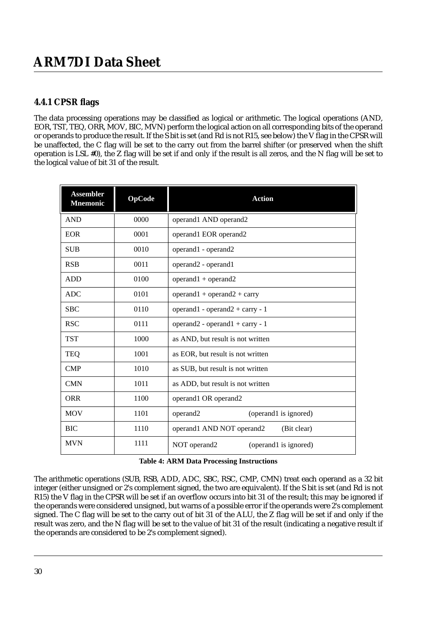### **4.4.1 CPSR flags**

The data processing operations may be classified as logical or arithmetic. The logical operations (AND, EOR, TST, TEQ, ORR, MOV, BIC, MVN) perform the logical action on all corresponding bits of the operand or operands to produce the result. If the S bit is set (and Rd is not R15, see below) the V flag in the CPSR will be unaffected, the C flag will be set to the carry out from the barrel shifter (or preserved when the shift operation is LSL #0), the Z flag will be set if and only if the result is all zeros, and the N flag will be set to the logical value of bit 31 of the result.

| <b>Assembler</b><br><b>Mnemonic</b> | OpCode | <b>Action</b>                                 |
|-------------------------------------|--------|-----------------------------------------------|
| <b>AND</b>                          | 0000   | operand1 AND operand2                         |
| <b>EOR</b>                          | 0001   | operand1 EOR operand2                         |
| <b>SUB</b>                          | 0010   | operand1 - operand2                           |
| <b>RSB</b>                          | 0011   | operand2 - operand1                           |
| <b>ADD</b>                          | 0100   | $operand1 + operand2$                         |
| <b>ADC</b>                          | 0101   | $operand1 + operand2 + carry$                 |
| <b>SBC</b>                          | 0110   | operand1 - operand2 + carry - 1               |
| <b>RSC</b>                          | 0111   | $operand2 - operand1 + carry - 1$             |
| <b>TST</b>                          | 1000   | as AND, but result is not written             |
| <b>TEQ</b>                          | 1001   | as EOR, but result is not written             |
| <b>CMP</b>                          | 1010   | as SUB, but result is not written             |
| <b>CMN</b>                          | 1011   | as ADD, but result is not written             |
| <b>ORR</b>                          | 1100   | operand1 OR operand2                          |
| <b>MOV</b>                          | 1101   | operand <sub>2</sub><br>(operand1 is ignored) |
| <b>BIC</b>                          | 1110   | operand1 AND NOT operand2<br>(Bit clear)      |
| <b>MVN</b>                          | 1111   | NOT operand2<br>(operand1 is ignored)         |

**Table 4: ARM Data Processing Instructions**

The arithmetic operations (SUB, RSB, ADD, ADC, SBC, RSC, CMP, CMN) treat each operand as a 32 bit integer (either unsigned or 2's complement signed, the two are equivalent). If the S bit is set (and Rd is not R15) the V flag in the CPSR will be set if an overflow occurs into bit 31 of the result; this may be ignored if the operands were considered unsigned, but warns of a possible error if the operands were 2's complement signed. The C flag will be set to the carry out of bit 31 of the ALU, the Z flag will be set if and only if the result was zero, and the N flag will be set to the value of bit 31 of the result (indicating a negative result if the operands are considered to be 2's complement signed).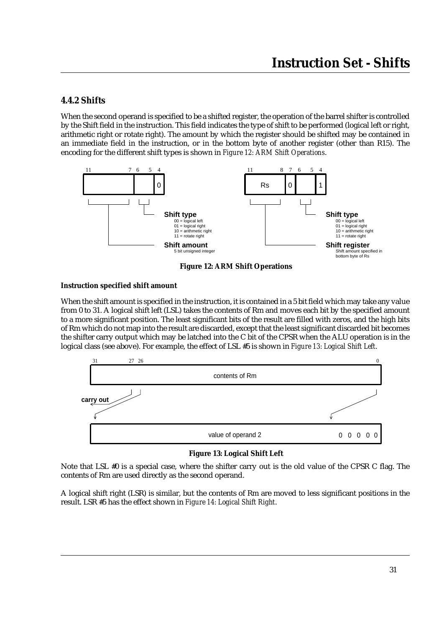#### **4.4.2 Shifts**

When the second operand is specified to be a shifted register, the operation of the barrel shifter is controlled by the Shift field in the instruction. This field indicates the type of shift to be performed (logical left or right, arithmetic right or rotate right). The amount by which the register should be shifted may be contained in an immediate field in the instruction, or in the bottom byte of another register (other than R15). The encoding for the different shift types is shown in *Figure 12: ARM Shift Operations*.



 **Figure 12: ARM Shift Operations**

#### **Instruction specified shift amount**

When the shift amount is specified in the instruction, it is contained in a 5 bit field which may take any value from 0 to 31. A logical shift left (LSL) takes the contents of Rm and moves each bit by the specified amount to a more significant position. The least significant bits of the result are filled with zeros, and the high bits of Rm which do not map into the result are discarded, except that the least significant discarded bit becomes the shifter carry output which may be latched into the C bit of the CPSR when the ALU operation is in the logical class (see above). For example, the effect of LSL #5 is shown in *Figure 13: Logical Shift Left*.



#### **Figure 13: Logical Shift Left**

Note that LSL #0 is a special case, where the shifter carry out is the old value of the CPSR C flag. The contents of Rm are used directly as the second operand.

A logical shift right (LSR) is similar, but the contents of Rm are moved to less significant positions in the result. LSR #5 has the effect shown in *Figure 14: Logical Shift Right*.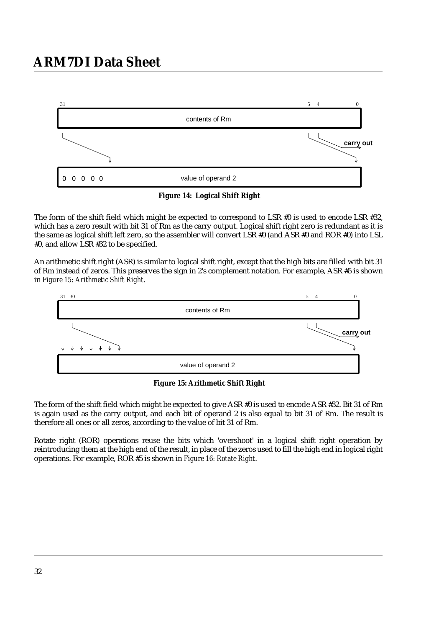

 **Figure 14: Logical Shift Right**

The form of the shift field which might be expected to correspond to LSR #0 is used to encode LSR #32, which has a zero result with bit 31 of Rm as the carry output. Logical shift right zero is redundant as it is the same as logical shift left zero, so the assembler will convert LSR #0 (and ASR #0 and ROR #0) into LSL #0, and allow LSR #32 to be specified.

An arithmetic shift right (ASR) is similar to logical shift right, except that the high bits are filled with bit 31 of Rm instead of zeros. This preserves the sign in 2's complement notation. For example, ASR #5 is shown in *Figure 15: Arithmetic Shift Right*.



 **Figure 15: Arithmetic Shift Right**

The form of the shift field which might be expected to give ASR #0 is used to encode ASR #32. Bit 31 of Rm is again used as the carry output, and each bit of operand 2 is also equal to bit 31 of Rm. The result is therefore all ones or all zeros, according to the value of bit 31 of Rm.

Rotate right (ROR) operations reuse the bits which 'overshoot' in a logical shift right operation by reintroducing them at the high end of the result, in place of the zeros used to fill the high end in logical right operations. For example, ROR #5 is shown in *Figure 16: Rotate Right*.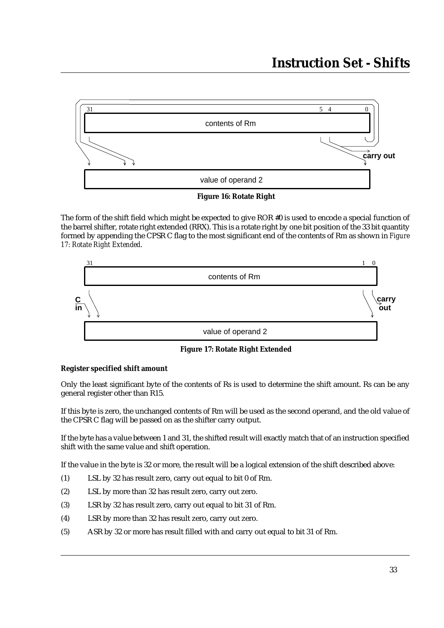

 **Figure 16: Rotate Right**

The form of the shift field which might be expected to give ROR #0 is used to encode a special function of the barrel shifter, rotate right extended (RRX). This is a rotate right by one bit position of the 33 bit quantity formed by appending the CPSR C flag to the most significant end of the contents of Rm as shown in *Figure 17: Rotate Right Extended*.



 **Figure 17: Rotate Right Extended**

#### **Register specified shift amount**

Only the least significant byte of the contents of Rs is used to determine the shift amount. Rs can be any general register other than R15.

If this byte is zero, the unchanged contents of Rm will be used as the second operand, and the old value of the CPSR C flag will be passed on as the shifter carry output.

If the byte has a value between 1 and 31, the shifted result will exactly match that of an instruction specified shift with the same value and shift operation.

If the value in the byte is 32 or more, the result will be a logical extension of the shift described above:

- (1) LSL by 32 has result zero, carry out equal to bit 0 of Rm.
- (2) LSL by more than 32 has result zero, carry out zero.
- (3) LSR by 32 has result zero, carry out equal to bit 31 of Rm.
- (4) LSR by more than 32 has result zero, carry out zero.
- (5) ASR by 32 or more has result filled with and carry out equal to bit 31 of Rm.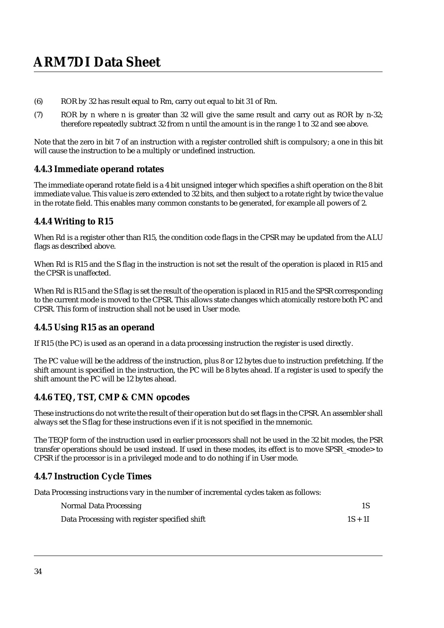- (6) ROR by 32 has result equal to Rm, carry out equal to bit 31 of Rm.
- (7) ROR by n where n is greater than 32 will give the same result and carry out as ROR by n-32; therefore repeatedly subtract 32 from n until the amount is in the range 1 to 32 and see above.

Note that the zero in bit 7 of an instruction with a register controlled shift is compulsory; a one in this bit will cause the instruction to be a multiply or undefined instruction.

#### **4.4.3 Immediate operand rotates**

The immediate operand rotate field is a 4 bit unsigned integer which specifies a shift operation on the 8 bit immediate value. This value is zero extended to 32 bits, and then subject to a rotate right by twice the value in the rotate field. This enables many common constants to be generated, for example all powers of 2.

#### **4.4.4 Writing to R15**

When Rd is a register other than R15, the condition code flags in the CPSR may be updated from the ALU flags as described above.

When Rd is R15 and the S flag in the instruction is not set the result of the operation is placed in R15 and the CPSR is unaffected.

When Rd is R15 and the S flag is set the result of the operation is placed in R15 and the SPSR corresponding to the current mode is moved to the CPSR. This allows state changes which atomically restore both PC and CPSR. This form of instruction shall not be used in User mode.

#### **4.4.5 Using R15 as an operand**

If R15 (the PC) is used as an operand in a data processing instruction the register is used directly.

The PC value will be the address of the instruction, plus 8 or 12 bytes due to instruction prefetching. If the shift amount is specified in the instruction, the PC will be 8 bytes ahead. If a register is used to specify the shift amount the PC will be 12 bytes ahead.

#### **4.4.6 TEQ, TST, CMP & CMN opcodes**

These instructions do not write the result of their operation but do set flags in the CPSR. An assembler shall always set the S flag for these instructions even if it is not specified in the mnemonic.

The TEQP form of the instruction used in earlier processors shall not be used in the 32 bit modes, the PSR transfer operations should be used instead. If used in these modes, its effect is to move SPSR\_<mode> to CPSR if the processor is in a privileged mode and to do nothing if in User mode.

### **4.4.7 Instruction Cycle Times**

Data Processing instructions vary in the number of incremental cycles taken as follows:

| Normal Data Processing                        |           |
|-----------------------------------------------|-----------|
| Data Processing with register specified shift | $1S + 1I$ |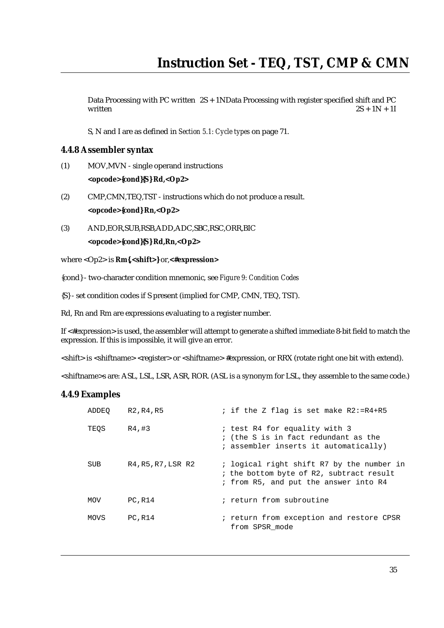Data Processing with PC written 2S + 1NData Processing with register specified shift and PC written  $2S + 1N + 1I$ 

S, N and I are as defined in *Section 5.1: Cycle types* on page 71.

#### **4.4.8 Assembler syntax**

- (1) MOV,MVN single operand instructions **<opcode>{cond}{S} Rd,<Op2>**
- (2) CMP,CMN,TEQ,TST instructions which do not produce a result. **<opcode>{cond} Rn,<Op2>**
- (3) AND,EOR,SUB,RSB,ADD,ADC,SBC,RSC,ORR,BIC **<opcode>{cond}{S} Rd,Rn,<Op2>**

where <Op2> is **Rm{,<shift>}** or,**<#expression>**

{cond} - two-character condition mnemonic, see *Figure 9: Condition Codes*

{S} - set condition codes if S present (implied for CMP, CMN, TEQ, TST).

Rd, Rn and Rm are expressions evaluating to a register number.

If <#expression> is used, the assembler will attempt to generate a shifted immediate 8-bit field to match the expression. If this is impossible, it will give an error.

<shift> is <shiftname> <register> or <shiftname> #expression, or RRX (rotate right one bit with extend).

<shiftname>s are: ASL, LSL, LSR, ASR, ROR. (ASL is a synonym for LSL, they assemble to the same code.)

#### **4.4.9 Examples**

| ADDEO      | R <sub>2</sub> , R <sub>4</sub> , R <sub>5</sub> | ; if the Z flag is set make $R2:=R4+R5$                                                                                        |
|------------|--------------------------------------------------|--------------------------------------------------------------------------------------------------------------------------------|
| TEOS       | R4,#3                                            | ; test R4 for equality with 3<br>; (the S is in fact redundant as the<br>; assembler inserts it automatically)                 |
| <b>SUB</b> | R4, R5, R7, LSR R2                               | ; logical right shift R7 by the number in<br>; the bottom byte of R2, subtract result<br>; from R5, and put the answer into R4 |
| MOV        | PC, R14                                          | ; return from subroutine                                                                                                       |
| MOVS       | PC.R14                                           | ; return from exception and restore CPSR<br>from SPSR mode                                                                     |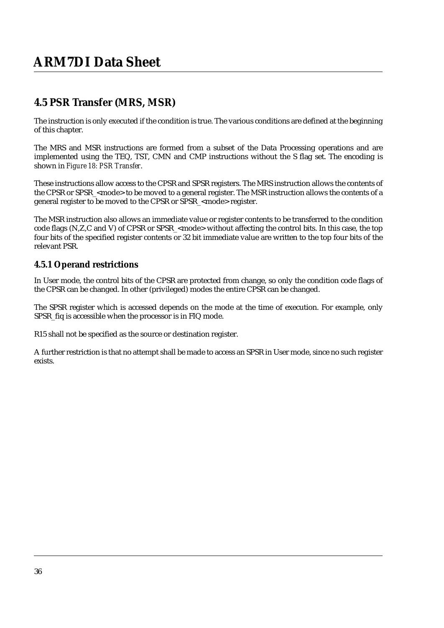## **4.5 PSR Transfer (MRS, MSR)**

The instruction is only executed if the condition is true. The various conditions are defined at the beginning of this chapter.

The MRS and MSR instructions are formed from a subset of the Data Processing operations and are implemented using the TEQ, TST, CMN and CMP instructions without the S flag set. The encoding is shown in *Figure 18: PSR Transfer*.

These instructions allow access to the CPSR and SPSR registers. The MRS instruction allows the contents of the CPSR or SPSR <mode> to be moved to a general register. The MSR instruction allows the contents of a general register to be moved to the CPSR or SPSR\_<mode> register.

The MSR instruction also allows an immediate value or register contents to be transferred to the condition code flags (N,Z,C and V) of CPSR or SPSR\_<mode> without affecting the control bits. In this case, the top four bits of the specified register contents or 32 bit immediate value are written to the top four bits of the relevant PSR.

### **4.5.1 Operand restrictions**

In User mode, the control bits of the CPSR are protected from change, so only the condition code flags of the CPSR can be changed. In other (privileged) modes the entire CPSR can be changed.

The SPSR register which is accessed depends on the mode at the time of execution. For example, only SPSR fig is accessible when the processor is in FIQ mode.

R15 shall not be specified as the source or destination register.

A further restriction is that no attempt shall be made to access an SPSR in User mode, since no such register exists.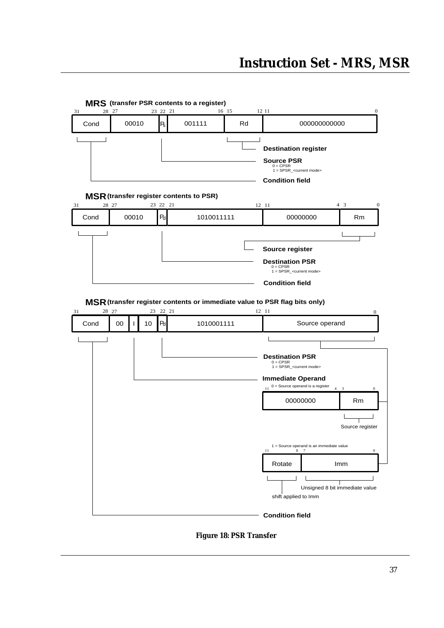

 **Figure 18: PSR Transfer**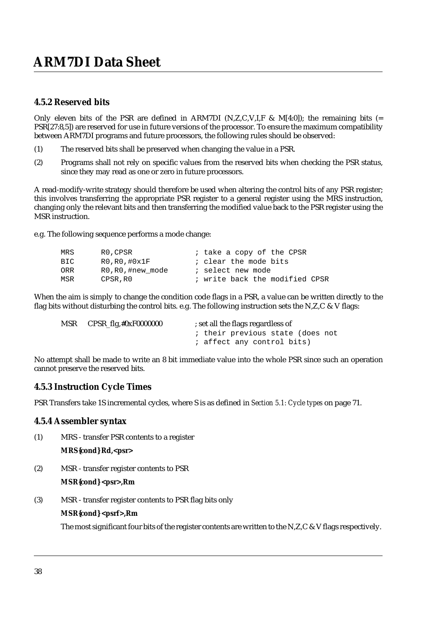### **4.5.2 Reserved bits**

Only eleven bits of the PSR are defined in ARM7DI (N,Z,C,V,I,F & M[4:0]); the remaining bits (= PSR[27:8,5]) are reserved for use in future versions of the processor. To ensure the maximum compatibility between ARM7DI programs and future processors, the following rules should be observed:

- (1) The reserved bits shall be preserved when changing the value in a PSR.
- (2) Programs shall not rely on specific values from the reserved bits when checking the PSR status, since they may read as one or zero in future processors.

A read-modify-write strategy should therefore be used when altering the control bits of any PSR register; this involves transferring the appropriate PSR register to a general register using the MRS instruction, changing only the relevant bits and then transferring the modified value back to the PSR register using the MSR instruction.

e.g. The following sequence performs a mode change:

| MRS | RO.CPSR           | ; take a copy of the CPSR      |
|-----|-------------------|--------------------------------|
| BIC | R0.R0.H0x1F       | ; clear the mode bits          |
| ORR | RO, RO, #new mode | ; select new mode              |
| MSR | CPSR, RO          | ; write back the modified CPSR |

When the aim is simply to change the condition code flags in a PSR, a value can be written directly to the flag bits without disturbing the control bits. e.g. The following instruction sets the N,Z,C & V flags:

```
MSR CPSR flg,#0xF0000000 ; set all the flags regardless of
                                ; their previous state (does not
                                ; affect any control bits)
```
No attempt shall be made to write an 8 bit immediate value into the whole PSR since such an operation cannot preserve the reserved bits.

## **4.5.3 Instruction Cycle Times**

PSR Transfers take 1S incremental cycles, where S is as defined in *Section 5.1: Cycle types* on page 71.

#### **4.5.4 Assembler syntax**

(1) MRS - transfer PSR contents to a register

**MRS{cond} Rd,<psr>**

(2) MSR - transfer register contents to PSR

**MSR{cond} <psr>,Rm**

(3) MSR - transfer register contents to PSR flag bits only

#### **MSR{cond} <psrf>,Rm**

The most significant four bits of the register contents are written to the N,Z,C & V flags respectively.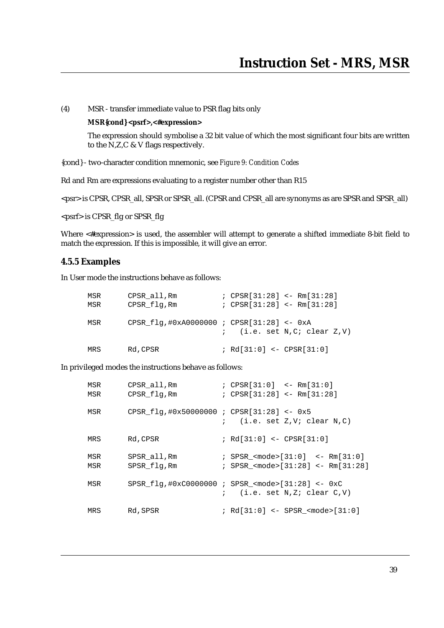(4) MSR - transfer immediate value to PSR flag bits only

#### **MSR{cond} <psrf>,<#expression>**

The expression should symbolise a 32 bit value of which the most significant four bits are written to the N,Z,C & V flags respectively.

{cond} - two-character condition mnemonic, see *Figure 9: Condition Codes*

Rd and Rm are expressions evaluating to a register number other than R15

<psr> is CPSR, CPSR\_all, SPSR or SPSR\_all. (CPSR and CPSR\_all are synonyms as are SPSR and SPSR\_all)

<psrf> is CPSR\_flg or SPSR\_flg

Where <#expression> is used, the assembler will attempt to generate a shifted immediate 8-bit field to match the expression. If this is impossible, it will give an error.

#### **4.5.5 Examples**

In User mode the instructions behave as follows:

| MSR | CPSR all, Rm                                |                             | : $CPSR[31:28] < - Rm[31:28]$   |
|-----|---------------------------------------------|-----------------------------|---------------------------------|
| MSR | CPSR flg, Rm                                |                             | $: CPSR[31:28] < - Rm[31:28]$   |
|     |                                             |                             |                                 |
| MSR | CPSR $flq$ ,#0xA0000000; CPSR[31:28] <- 0xA |                             |                                 |
|     |                                             |                             | $i$ (i.e. set N, C; clear Z, V) |
|     |                                             |                             |                                 |
| MRS | Rd, CPSR                                    | ; $Rd[31:0] < -$ CPSR[31:0] |                                 |

In privileged modes the instructions behave as follows:

| MSR<br>MSR | CPSR all, Rm<br>CPSR flg, Rm              | : $CPSR[31:0]$ <- Rm $[31:0]$<br>: $CPSR[31:28] < - Rm[31:28]$                                              |
|------------|-------------------------------------------|-------------------------------------------------------------------------------------------------------------|
| MSR        | CPSR_flg,#0x50000000 ; CPSR[31:28] <- 0x5 | $i$ (i.e. set Z,V; clear N,C)                                                                               |
| MRS        | Rd, CPSR                                  | ; $Rd[31:0] < -CPSR[31:0]$                                                                                  |
| MSR<br>MSR | SPSR all, Rm<br>SPSR flg, Rm              | $:$ SPSR_ <mode>[31:0] &lt;- Rm[31:0]<br/>; <math>SPSR &lt; model&gt;[31:28] &lt; - Rm[31:28]</math></mode> |
| MSR        |                                           | SPSR $flq$ ,#0xC0000000; SPSR <mode>[31:28] &lt;- 0xC<br/><math>i</math> (i.e. set N,Z; clear C,V)</mode>   |
| MRS        | Rd, SPSR                                  | ; Rd[31:0] <- SPSR_ <mode>[31:0]</mode>                                                                     |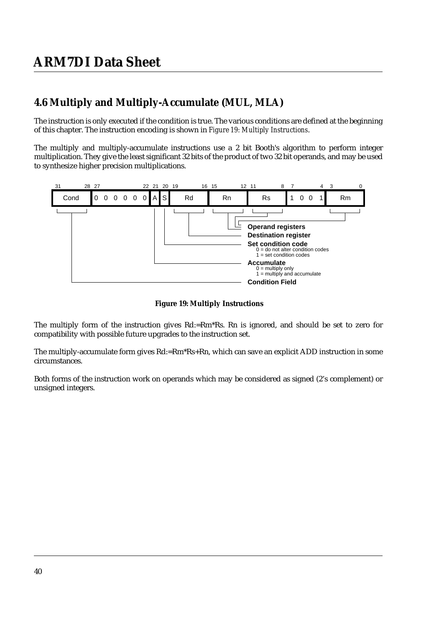# **4.6 Multiply and Multiply-Accumulate (MUL, MLA)**

The instruction is only executed if the condition is true. The various conditions are defined at the beginning of this chapter. The instruction encoding is shown in *Figure 19: Multiply Instructions*.

The multiply and multiply-accumulate instructions use a 2 bit Booth's algorithm to perform integer multiplication. They give the least significant 32 bits of the product of two 32 bit operands, and may be used to synthesize higher precision multiplications.



#### **Figure 19: Multiply Instructions**

The multiply form of the instruction gives Rd:=Rm\*Rs. Rn is ignored, and should be set to zero for compatibility with possible future upgrades to the instruction set.

The multiply-accumulate form gives Rd:=Rm\*Rs+Rn, which can save an explicit ADD instruction in some circumstances.

Both forms of the instruction work on operands which may be considered as signed (2's complement) or unsigned integers.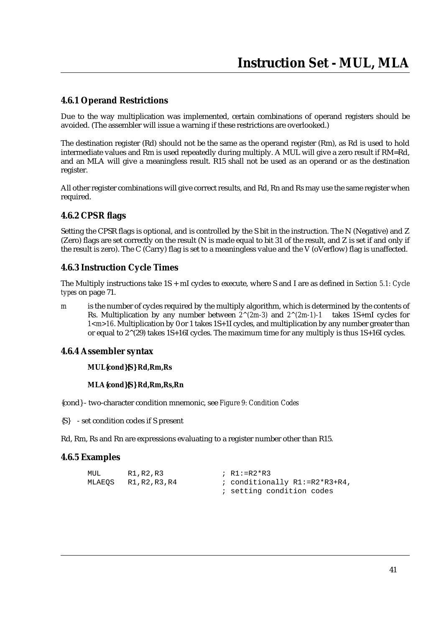## **4.6.1 Operand Restrictions**

Due to the way multiplication was implemented, certain combinations of operand registers should be avoided. (The assembler will issue a warning if these restrictions are overlooked.)

The destination register (Rd) should not be the same as the operand register (Rm), as Rd is used to hold intermediate values and Rm is used repeatedly during multiply. A MUL will give a zero result if RM=Rd, and an MLA will give a meaningless result. R15 shall not be used as an operand or as the destination register.

All other register combinations will give correct results, and Rd, Rn and Rs may use the same register when required.

#### **4.6.2 CPSR flags**

Setting the CPSR flags is optional, and is controlled by the S bit in the instruction. The N (Negative) and Z (Zero) flags are set correctly on the result (N is made equal to bit 31 of the result, and Z is set if and only if the result is zero). The C (Carry) flag is set to a meaningless value and the V (oVerflow) flag is unaffected.

#### **4.6.3 Instruction Cycle Times**

The Multiply instructions take 1S + mI cycles to execute, where S and I are as defined in *Section 5.1: Cycle types* on page 71.

*m* is the number of cycles required by the multiply algorithm, which is determined by the contents of Rs. Multiplication by any number between  $2^{\wedge}(2m-3)$  and  $2^{\wedge}(2m-1)-1$  takes 1S+mI cycles for *1<m>16*. Multiplication by 0 or 1 takes 1S+1I cycles, and multiplication by any number greater than or equal to  $2^{\wedge}(29)$  takes 1S+16I cycles. The maximum time for any multiply is thus 1S+16I cycles.

#### **4.6.4 Assembler syntax**

#### **MUL{cond}{S} Rd,Rm,Rs**

#### **MLA{cond}{S} Rd,Rm,Rs,Rn**

{cond} - two-character condition mnemonic, see *Figure 9: Condition Codes*

{S} - set condition codes if S present

Rd, Rm, Rs and Rn are expressions evaluating to a register number other than R15.

#### **4.6.5 Examples**

| MUL    | R1,R2,R3    | ; $R1 := R2 * R3$                |
|--------|-------------|----------------------------------|
| MLAEOS | R1,R2,R3,R4 | : conditionally $R1:=R2*R3+R4$ , |
|        |             | ; setting condition codes        |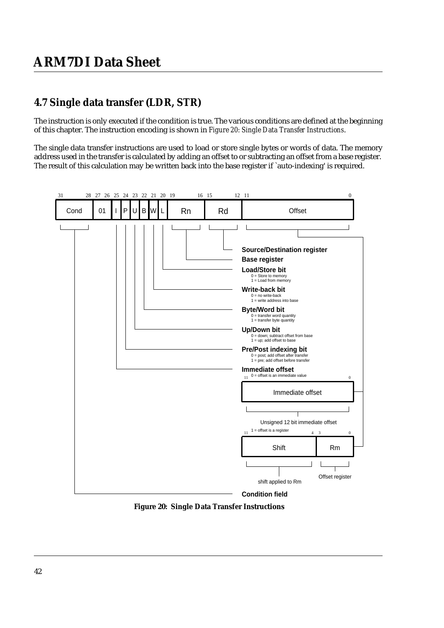# **4.7 Single data transfer (LDR, STR)**

The instruction is only executed if the condition is true. The various conditions are defined at the beginning of this chapter. The instruction encoding is shown in *Figure 20: Single Data Transfer Instructions*.

The single data transfer instructions are used to load or store single bytes or words of data. The memory address used in the transfer is calculated by adding an offset to or subtracting an offset from a base register. The result of this calculation may be written back into the base register if `auto-indexing' is required.



 **Figure 20: Single Data Transfer Instructions**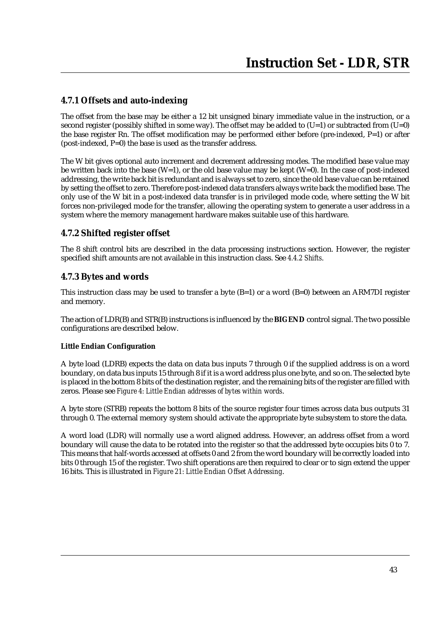# **4.7.1 Offsets and auto-indexing**

The offset from the base may be either a 12 bit unsigned binary immediate value in the instruction, or a second register (possibly shifted in some way). The offset may be added to  $(U=1)$  or subtracted from  $(U=0)$ the base register Rn. The offset modification may be performed either before (pre-indexed, P=1) or after (post-indexed, P=0) the base is used as the transfer address.

The W bit gives optional auto increment and decrement addressing modes. The modified base value may be written back into the base (W=1), or the old base value may be kept (W=0). In the case of post-indexed addressing, the write back bit is redundant and is always set to zero, since the old base value can be retained by setting the offset to zero. Therefore post-indexed data transfers always write back the modified base. The only use of the W bit in a post-indexed data transfer is in privileged mode code, where setting the W bit forces non-privileged mode for the transfer, allowing the operating system to generate a user address in a system where the memory management hardware makes suitable use of this hardware.

### **4.7.2 Shifted register offset**

The 8 shift control bits are described in the data processing instructions section. However, the register specified shift amounts are not available in this instruction class. See *4.4.2 Shifts*.

### **4.7.3 Bytes and words**

This instruction class may be used to transfer a byte  $(B=1)$  or a word  $(B=0)$  between an ARM7DI register and memory.

The action of LDR(B) and STR(B) instructions is influenced by the **BIGEND** control signal. The two possible configurations are described below.

#### **Little Endian Configuration**

A byte load (LDRB) expects the data on data bus inputs 7 through 0 if the supplied address is on a word boundary, on data bus inputs 15 through 8 if it is a word address plus one byte, and so on. The selected byte is placed in the bottom 8 bits of the destination register, and the remaining bits of the register are filled with zeros. Please see *Figure 4: Little Endian addresses of bytes within words*.

A byte store (STRB) repeats the bottom 8 bits of the source register four times across data bus outputs 31 through 0. The external memory system should activate the appropriate byte subsystem to store the data.

A word load (LDR) will normally use a word aligned address. However, an address offset from a word boundary will cause the data to be rotated into the register so that the addressed byte occupies bits 0 to 7. This means that half-words accessed at offsets 0 and 2 from the word boundary will be correctly loaded into bits 0 through 15 of the register. Two shift operations are then required to clear or to sign extend the upper 16 bits. This is illustrated in *Figure 21: Little Endian Offset Addressing*.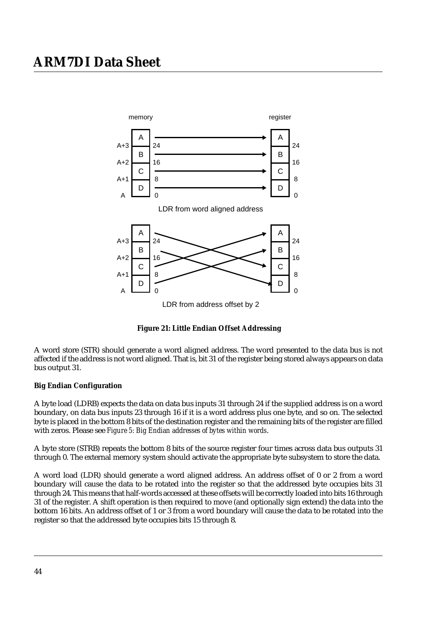

 **Figure 21: Little Endian Offset Addressing**

A word store (STR) should generate a word aligned address. The word presented to the data bus is not affected if the address is not word aligned. That is, bit 31 of the register being stored always appears on data bus output 31.

#### **Big Endian Configuration**

A byte load (LDRB) expects the data on data bus inputs 31 through 24 if the supplied address is on a word boundary, on data bus inputs 23 through 16 if it is a word address plus one byte, and so on. The selected byte is placed in the bottom 8 bits of the destination register and the remaining bits of the register are filled with zeros. Please see *Figure 5: Big Endian addresses of bytes within words*.

A byte store (STRB) repeats the bottom 8 bits of the source register four times across data bus outputs 31 through 0. The external memory system should activate the appropriate byte subsystem to store the data.

A word load (LDR) should generate a word aligned address. An address offset of 0 or 2 from a word boundary will cause the data to be rotated into the register so that the addressed byte occupies bits 31 through 24. This means that half-words accessed at these offsets will be correctly loaded into bits 16 through 31 of the register. A shift operation is then required to move (and optionally sign extend) the data into the bottom 16 bits. An address offset of 1 or 3 from a word boundary will cause the data to be rotated into the register so that the addressed byte occupies bits 15 through 8.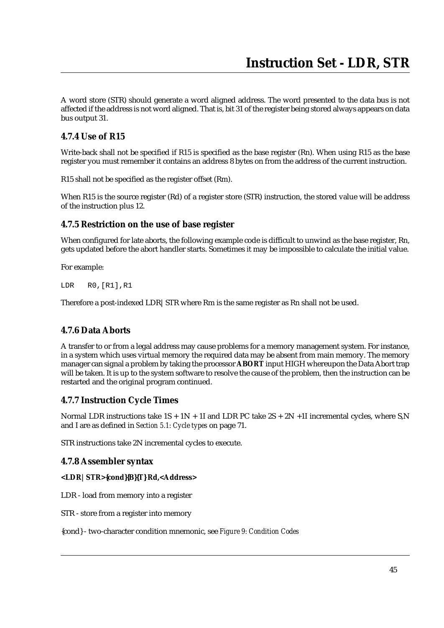A word store (STR) should generate a word aligned address. The word presented to the data bus is not affected if the address is not word aligned. That is, bit 31 of the register being stored always appears on data bus output 31.

# **4.7.4 Use of R15**

Write-back shall not be specified if R15 is specified as the base register (Rn). When using R15 as the base register you must remember it contains an address 8 bytes on from the address of the current instruction.

R15 shall not be specified as the register offset (Rm).

When R15 is the source register (Rd) of a register store (STR) instruction, the stored value will be address of the instruction plus 12.

### **4.7.5 Restriction on the use of base register**

When configured for late aborts, the following example code is difficult to unwind as the base register, Rn, gets updated before the abort handler starts. Sometimes it may be impossible to calculate the initial value.

For example:

LDR R0,[R1],R1

Therefore a post-indexed LDR STR where Rm is the same register as Rn shall not be used.

#### **4.7.6 Data Aborts**

A transfer to or from a legal address may cause problems for a memory management system. For instance, in a system which uses virtual memory the required data may be absent from main memory. The memory manager can signal a problem by taking the processor **ABORT** input HIGH whereupon the Data Abort trap will be taken. It is up to the system software to resolve the cause of the problem, then the instruction can be restarted and the original program continued.

#### **4.7.7 Instruction Cycle Times**

Normal LDR instructions take  $1S + 1N + 1I$  and LDR PC take  $2S + 2N + 1I$  incremental cycles, where S,N and I are as defined in *Section 5.1: Cycle types* on page 71.

STR instructions take 2N incremental cycles to execute.

#### **4.7.8 Assembler syntax**

#### **<LDR|STR>{cond}{B}{T} Rd,<Address>**

LDR - load from memory into a register

STR - store from a register into memory

{cond} - two-character condition mnemonic, see *Figure 9: Condition Codes*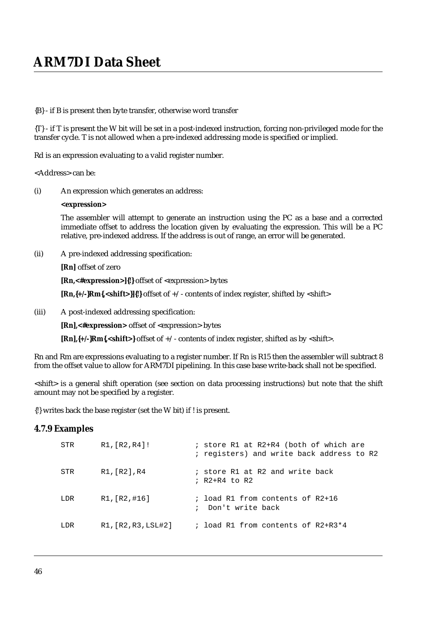#### {B} - if B is present then byte transfer, otherwise word transfer

{T} - if T is present the W bit will be set in a post-indexed instruction, forcing non-privileged mode for the transfer cycle. T is not allowed when a pre-indexed addressing mode is specified or implied.

Rd is an expression evaluating to a valid register number.

<Address> can be:

(i) An expression which generates an address:

#### **<expression>**

The assembler will attempt to generate an instruction using the PC as a base and a corrected immediate offset to address the location given by evaluating the expression. This will be a PC relative, pre-indexed address. If the address is out of range, an error will be generated.

(ii) A pre-indexed addressing specification:

**[Rn]** offset of zero

**[Rn,<#expression>]{!}** offset of <expression> bytes

**[Rn,{+/-}Rm{,<shift>}]{!}** offset of +/- contents of index register, shifted by <shift>

(iii) A post-indexed addressing specification:

**[Rn],<#expression>** offset of <expression> bytes

 $[\text{Rn}],$ {+/-} $\text{Rm},$  < shift>} offset of +/- contents of index register, shifted as by < shift>.

Rn and Rm are expressions evaluating to a register number. If Rn is R15 then the assembler will subtract 8 from the offset value to allow for ARM7DI pipelining. In this case base write-back shall not be specified.

<shift> is a general shift operation (see section on data processing instructions) but note that the shift amount may not be specified by a register.

{!} writes back the base register (set the W bit) if ! is present.

#### **4.7.9 Examples**

| STR | R1, [R2, R4]!       | ; store R1 at R2+R4 (both of which are<br>; registers) and write back address to R2 |
|-----|---------------------|-------------------------------------------------------------------------------------|
| STR | R1, [R2], R4        | ; store R1 at R2 and write back<br>; R2+R4 to R2                                    |
| LDR | R1. [R2. #16]       | ; load R1 from contents of R2+16<br>; Don't write back                              |
| LDR | R1, [R2, R3, LSL#2] | ; load R1 from contents of R2+R3*4                                                  |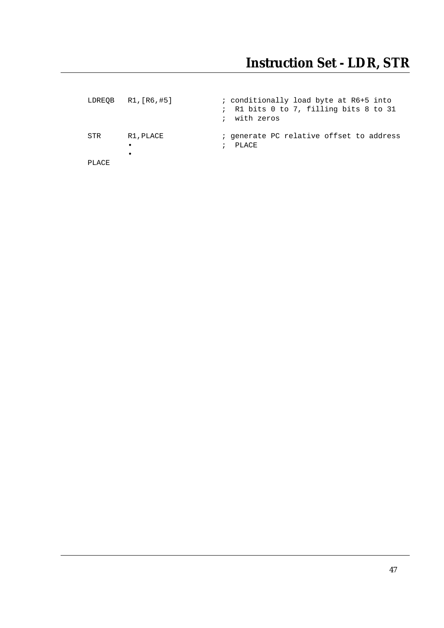| LDREOB | R1,[R6,#5]          | : conditionally load byte at R6+5 into<br>; R1 bits 0 to 7, filling bits 8 to 31<br>; with zeros |
|--------|---------------------|--------------------------------------------------------------------------------------------------|
| STR    | R1, PLACE<br>٠<br>٠ | ; generate PC relative offset to address<br>PLACE<br>$\ddot{i}$                                  |
| PLACE. |                     |                                                                                                  |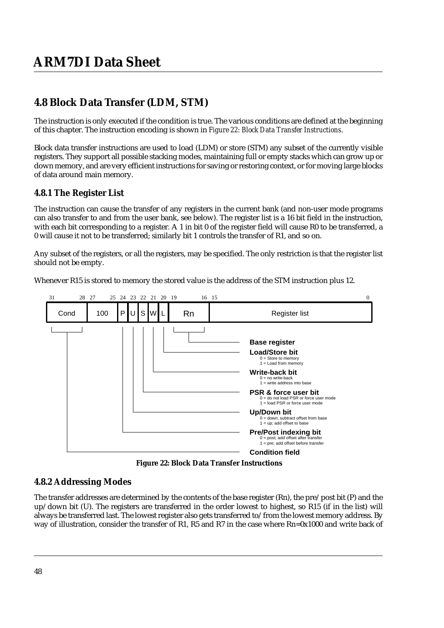# **4.8 Block Data Transfer (LDM, STM)**

The instruction is only executed if the condition is true. The various conditions are defined at the beginning of this chapter. The instruction encoding is shown in *Figure 22: Block Data Transfer Instructions*.

Block data transfer instructions are used to load (LDM) or store (STM) any subset of the currently visible registers. They support all possible stacking modes, maintaining full or empty stacks which can grow up or down memory, and are very efficient instructions for saving or restoring context, or for moving large blocks of data around main memory.

## **4.8.1 The Register List**

The instruction can cause the transfer of any registers in the current bank (and non-user mode programs can also transfer to and from the user bank, see below). The register list is a 16 bit field in the instruction, with each bit corresponding to a register. A 1 in bit 0 of the register field will cause R0 to be transferred, a 0 will cause it not to be transferred; similarly bit 1 controls the transfer of R1, and so on.

Any subset of the registers, or all the registers, may be specified. The only restriction is that the register list should not be empty.

Whenever R15 is stored to memory the stored value is the address of the STM instruction plus 12.



 **Figure 22: Block Data Transfer Instructions**

#### **4.8.2 Addressing Modes**

The transfer addresses are determined by the contents of the base register (Rn), the pre/post bit (P) and the up/down bit (U). The registers are transferred in the order lowest to highest, so R15 (if in the list) will always be transferred last. The lowest register also gets transferred to/from the lowest memory address. By way of illustration, consider the transfer of R1, R5 and R7 in the case where Rn=0x1000 and write back of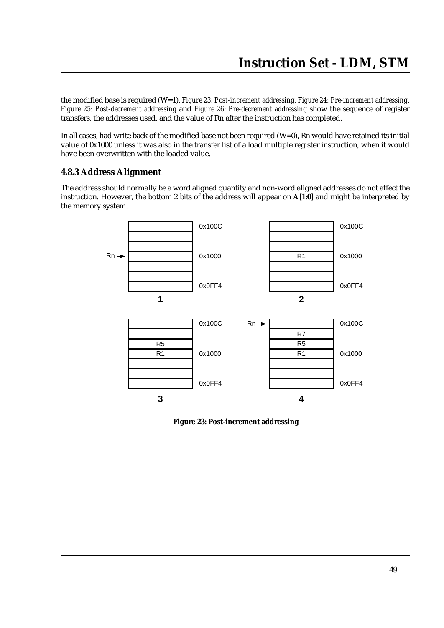the modified base is required (W=1). *Figure 23: Post-increment addressing*, *Figure 24: Pre-increment addressing*, *Figure 25: Post-decrement addressing* and *Figure 26: Pre-decrement addressing* show the sequence of register transfers, the addresses used, and the value of Rn after the instruction has completed.

In all cases, had write back of the modified base not been required (W=0), Rn would have retained its initial value of 0x1000 unless it was also in the transfer list of a load multiple register instruction, when it would have been overwritten with the loaded value.

# **4.8.3 Address Alignment**

The address should normally be a word aligned quantity and non-word aligned addresses do not affect the instruction. However, the bottom 2 bits of the address will appear on **A[1:0]** and might be interpreted by the memory system.



 **Figure 23: Post-increment addressing**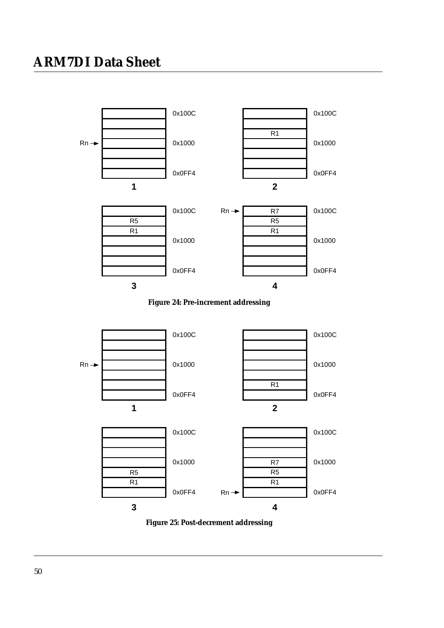





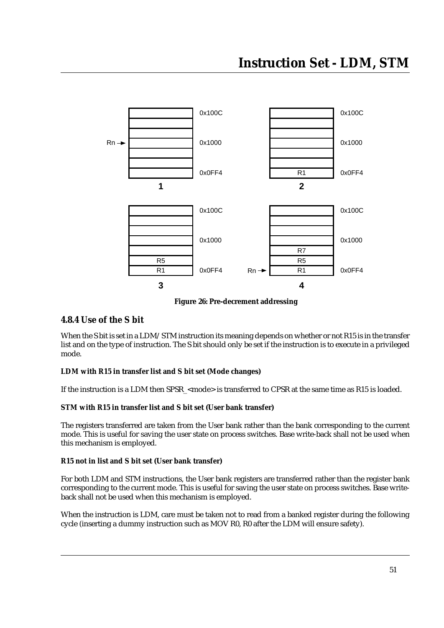

 **Figure 26: Pre-decrement addressing**

## **4.8.4 Use of the S bit**

When the S bit is set in a LDM/STM instruction its meaning depends on whether or not R15 is in the transfer list and on the type of instruction. The S bit should only be set if the instruction is to execute in a privileged mode.

#### **LDM with R15 in transfer list and S bit set (Mode changes)**

If the instruction is a LDM then SPSR <mode> is transferred to CPSR at the same time as R15 is loaded.

#### **STM with R15 in transfer list and S bit set (User bank transfer)**

The registers transferred are taken from the User bank rather than the bank corresponding to the current mode. This is useful for saving the user state on process switches. Base write-back shall not be used when this mechanism is employed.

#### **R15 not in list and S bit set (User bank transfer)**

For both LDM and STM instructions, the User bank registers are transferred rather than the register bank corresponding to the current mode. This is useful for saving the user state on process switches. Base writeback shall not be used when this mechanism is employed.

When the instruction is LDM, care must be taken not to read from a banked register during the following cycle (inserting a dummy instruction such as MOV R0, R0 after the LDM will ensure safety).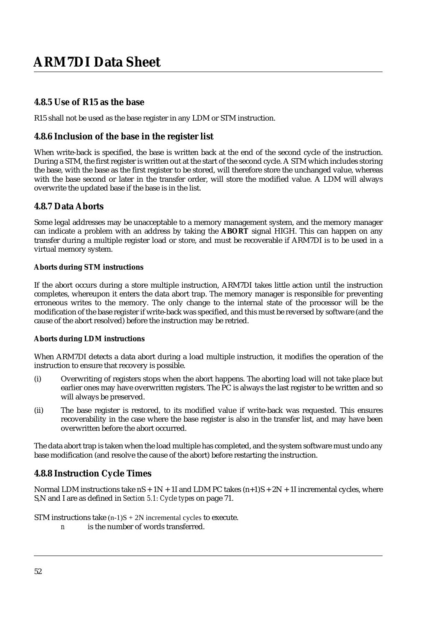## **4.8.5 Use of R15 as the base**

R15 shall not be used as the base register in any LDM or STM instruction.

### **4.8.6 Inclusion of the base in the register list**

When write-back is specified, the base is written back at the end of the second cycle of the instruction. During a STM, the first register is written out at the start of the second cycle. A STM which includes storing the base, with the base as the first register to be stored, will therefore store the unchanged value, whereas with the base second or later in the transfer order, will store the modified value. A LDM will always overwrite the updated base if the base is in the list.

## **4.8.7 Data Aborts**

Some legal addresses may be unacceptable to a memory management system, and the memory manager can indicate a problem with an address by taking the **ABORT** signal HIGH. This can happen on any transfer during a multiple register load or store, and must be recoverable if ARM7DI is to be used in a virtual memory system.

#### **Aborts during STM instructions**

If the abort occurs during a store multiple instruction, ARM7DI takes little action until the instruction completes, whereupon it enters the data abort trap. The memory manager is responsible for preventing erroneous writes to the memory. The only change to the internal state of the processor will be the modification of the base register if write-back was specified, and this must be reversed by software (and the cause of the abort resolved) before the instruction may be retried.

#### **Aborts during LDM instructions**

When ARM7DI detects a data abort during a load multiple instruction, it modifies the operation of the instruction to ensure that recovery is possible.

- (i) Overwriting of registers stops when the abort happens. The aborting load will not take place but earlier ones may have overwritten registers. The PC is always the last register to be written and so will always be preserved.
- (ii) The base register is restored, to its modified value if write-back was requested. This ensures recoverability in the case where the base register is also in the transfer list, and may have been overwritten before the abort occurred.

The data abort trap is taken when the load multiple has completed, and the system software must undo any base modification (and resolve the cause of the abort) before restarting the instruction.

## **4.8.8 Instruction Cycle Times**

Normal LDM instructions take  $nS + 1N + 1I$  and LDM PC takes  $(n+1)S + 2N + 1I$  incremental cycles, where S,N and I are as defined in *Section 5.1: Cycle types* on page 71.

STM instructions take  $(n-1)S + 2N$  incremental cycles to execute.

*n* is the number of words transferred.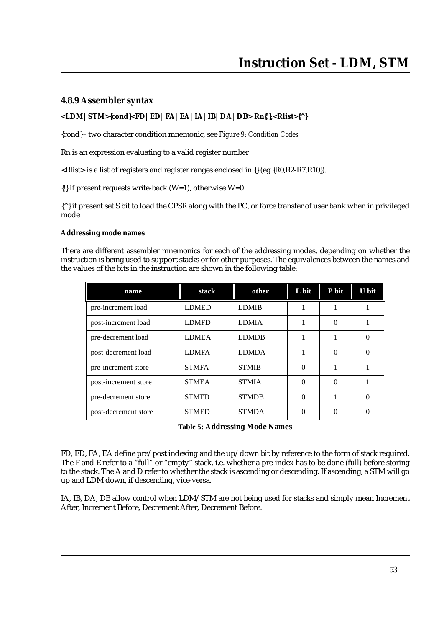### **4.8.9 Assembler syntax**

#### **<LDM|STM>{cond}<FD|ED|FA|EA|IA|IB|DA|DB> Rn{!},<Rlist>{^}**

{cond} - two character condition mnemonic, see *Figure 9: Condition Codes*

Rn is an expression evaluating to a valid register number

 $\langle$ Rlist> is a list of registers and register ranges enclosed in {} (eg {R0,R2-R7,R10}).

 $\{!\}$  if present requests write-back (W=1), otherwise W=0

{^} if present set S bit to load the CPSR along with the PC, or force transfer of user bank when in privileged mode

#### **Addressing mode names**

There are different assembler mnemonics for each of the addressing modes, depending on whether the instruction is being used to support stacks or for other purposes. The equivalences between the names and the values of the bits in the instruction are shown in the following table:

| name                 | stack        | other        | L bit | <b>P</b> bit | U bit    |
|----------------------|--------------|--------------|-------|--------------|----------|
| pre-increment load   | <b>LDMED</b> | <b>LDMIB</b> |       |              |          |
| post-increment load  | <b>LDMFD</b> | <b>LDMIA</b> |       |              |          |
| pre-decrement load   | <b>LDMEA</b> | <b>LDMDB</b> |       |              | $\theta$ |
| post-decrement load  | <b>LDMFA</b> | <b>LDMDA</b> |       | 0            | $\theta$ |
| pre-increment store  | <b>STMFA</b> | <b>STMIB</b> | 0     |              |          |
| post-increment store | <b>STMEA</b> | <b>STMIA</b> | 0     | 0            |          |
| pre-decrement store  | <b>STMFD</b> | <b>STMDB</b> | 0     |              |          |
| post-decrement store | <b>STMED</b> | <b>STMDA</b> |       |              |          |

**Table 5: Addressing Mode Names**

FD, ED, FA, EA define pre/post indexing and the up/down bit by reference to the form of stack required. The F and E refer to a "full" or "empty" stack, i.e. whether a pre-index has to be done (full) before storing to the stack. The A and D refer to whether the stack is ascending or descending. If ascending, a STM will go up and LDM down, if descending, vice-versa.

IA, IB, DA, DB allow control when LDM/STM are not being used for stacks and simply mean Increment After, Increment Before, Decrement After, Decrement Before.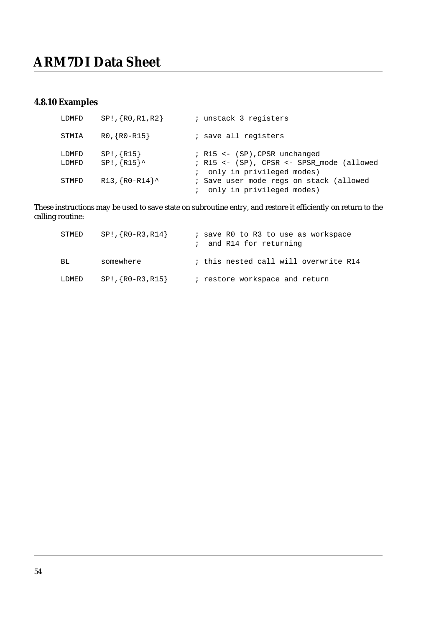# **4.8.10 Examples**

| LDMFD          | $SP!, \{R0, R1, R2\}$                     | ; unstack 3 registers                                                                                                   |
|----------------|-------------------------------------------|-------------------------------------------------------------------------------------------------------------------------|
| STMIA          | $R0, \{R0 - R15\}$                        | ; save all registers                                                                                                    |
| LDMFD<br>LDMFD | $SP!, \{R15\}$<br>$SP!, \{R15\}^{\wedge}$ | $;$ R15 $\leftarrow$ (SP), CPSR unchanged<br>$;$ R15 <- (SP), CPSR <- SPSR_mode (allowed<br>; only in privileged modes) |
| STMFD          | $R13, \{R0 - R14\}^{\wedge}$              | ; Save user mode regs on stack (allowed<br>; only in privileged modes)                                                  |

These instructions may be used to save state on subroutine entry, and restore it efficiently on return to the calling routine:

| STMED | $SP!, \{R0-R3, R14\}$ | ; save RO to R3 to use as workspace<br>; and R14 for returning |
|-------|-----------------------|----------------------------------------------------------------|
| BL    | somewhere             | ; this nested call will overwrite R14                          |
| LDMED | $SP!, \{R0-R3, R15\}$ | ; restore workspace and return                                 |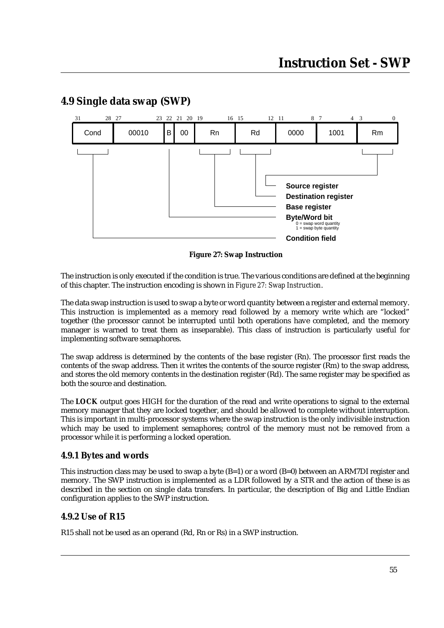

# **4.9 Single data swap (SWP)**

 **Figure 27: Swap Instruction**

The instruction is only executed if the condition is true. The various conditions are defined at the beginning of this chapter. The instruction encoding is shown in *Figure 27: Swap Instruction*.

The data swap instruction is used to swap a byte or word quantity between a register and external memory. This instruction is implemented as a memory read followed by a memory write which are "locked" together (the processor cannot be interrupted until both operations have completed, and the memory manager is warned to treat them as inseparable). This class of instruction is particularly useful for implementing software semaphores.

The swap address is determined by the contents of the base register (Rn). The processor first reads the contents of the swap address. Then it writes the contents of the source register (Rm) to the swap address, and stores the old memory contents in the destination register (Rd). The same register may be specified as both the source and destination.

The **LOCK** output goes HIGH for the duration of the read and write operations to signal to the external memory manager that they are locked together, and should be allowed to complete without interruption. This is important in multi-processor systems where the swap instruction is the only indivisible instruction which may be used to implement semaphores; control of the memory must not be removed from a processor while it is performing a locked operation.

## **4.9.1 Bytes and words**

This instruction class may be used to swap a byte (B=1) or a word (B=0) between an ARM7DI register and memory. The SWP instruction is implemented as a LDR followed by a STR and the action of these is as described in the section on single data transfers. In particular, the description of Big and Little Endian configuration applies to the SWP instruction.

## **4.9.2 Use of R15**

R15 shall not be used as an operand (Rd, Rn or Rs) in a SWP instruction.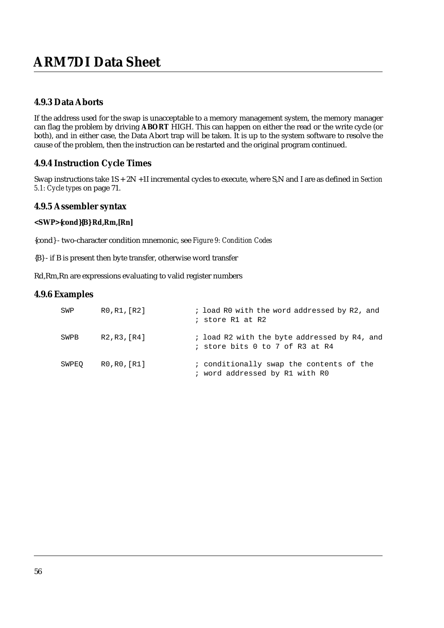# **4.9.3 Data Aborts**

If the address used for the swap is unacceptable to a memory management system, the memory manager can flag the problem by driving **ABORT** HIGH. This can happen on either the read or the write cycle (or both), and in either case, the Data Abort trap will be taken. It is up to the system software to resolve the cause of the problem, then the instruction can be restarted and the original program continued.

# **4.9.4 Instruction Cycle Times**

Swap instructions take 1S + 2N +1I incremental cycles to execute, where S,N and I are as defined in *Section 5.1: Cycle types* on page 71.

### **4.9.5 Assembler syntax**

#### **<SWP>{cond}{B} Rd,Rm,[Rn]**

{cond} - two-character condition mnemonic, see *Figure 9: Condition Codes*

{B} - if B is present then byte transfer, otherwise word transfer

Rd,Rm,Rn are expressions evaluating to valid register numbers

#### **4.9.6 Examples**

| SWP   | R0, R1, [R2] | ; load R0 with the word addressed by R2, and<br>; store R1 at R2                |
|-------|--------------|---------------------------------------------------------------------------------|
| SWPB  | R2, R3, [R4] | ; load R2 with the byte addressed by R4, and<br>; store bits 0 to 7 of R3 at R4 |
| SWPEO | R0.R0.FRI    | ; conditionally swap the contents of the<br>; word addressed by R1 with R0      |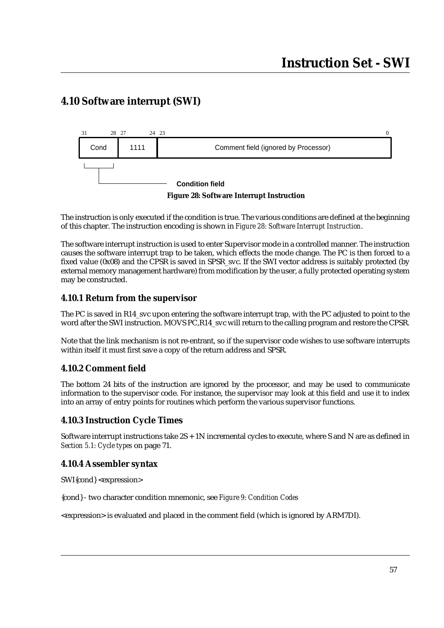# **4.10 Software interrupt (SWI)**



The instruction is only executed if the condition is true. The various conditions are defined at the beginning of this chapter. The instruction encoding is shown in *Figure 28: Software Interrupt Instruction*.

The software interrupt instruction is used to enter Supervisor mode in a controlled manner. The instruction causes the software interrupt trap to be taken, which effects the mode change. The PC is then forced to a fixed value (0x08) and the CPSR is saved in SPSR svc. If the SWI vector address is suitably protected (by external memory management hardware) from modification by the user, a fully protected operating system may be constructed.

## **4.10.1 Return from the supervisor**

The PC is saved in R14\_svc upon entering the software interrupt trap, with the PC adjusted to point to the word after the SWI instruction. MOVS PC, R14 svc will return to the calling program and restore the CPSR.

Note that the link mechanism is not re-entrant, so if the supervisor code wishes to use software interrupts within itself it must first save a copy of the return address and SPSR.

## **4.10.2 Comment field**

The bottom 24 bits of the instruction are ignored by the processor, and may be used to communicate information to the supervisor code. For instance, the supervisor may look at this field and use it to index into an array of entry points for routines which perform the various supervisor functions.

#### **4.10.3 Instruction Cycle Times**

Software interrupt instructions take 2S + 1N incremental cycles to execute, where S and N are as defined in *Section 5.1: Cycle types* on page 71.

#### **4.10.4 Assembler syntax**

SWI{cond} <expression>

{cond} - two character condition mnemonic, see *Figure 9: Condition Codes*

<expression> is evaluated and placed in the comment field (which is ignored by ARM7DI).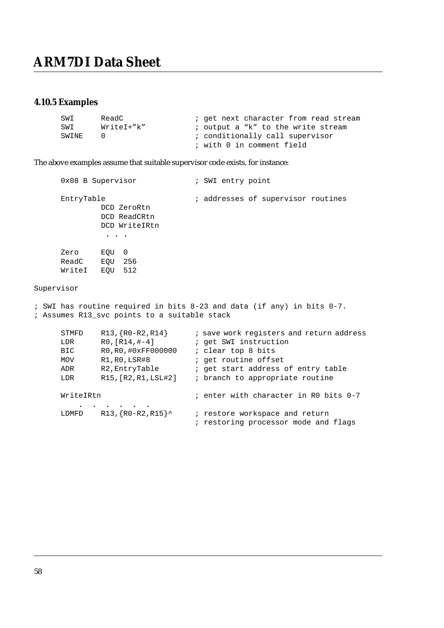### **4.10.5 Examples**

| SWI    | ReadC      | ; get next character from read stream |
|--------|------------|---------------------------------------|
| SWI    | WriteI+"k" | ; output a "k" to the write stream    |
| SWINE. |            | : conditionally call supervisor       |
|        |            | ; with 0 in comment field             |

The above examples assume that suitable supervisor code exists, for instance:

```
0x08 B Supervisor (300) 7 SWI entry point
EntryTable \qquad \qquad ; addresses of supervisor routines
       DCD ZeroRtn
       DCD ReadCRtn
       DCD WriteIRtn
          . . .
Zero EQU 0
ReadC EQU 256
WriteI EQU 512
```
#### Supervisor

; SWI has routine required in bits 8-23 and data (if any) in bits 0-7. ; Assumes R13\_svc points to a suitable stack

| STMFD               | $R13, {R0-R2, R14}$            | ; save work registers and return address |
|---------------------|--------------------------------|------------------------------------------|
| LDR                 | $R0, [R14, #-4]$               | ; get SWI instruction                    |
| BIC                 | R0, R0, #0xFF000000            | ; clear top 8 bits                       |
| MOV                 | R1, R0, LSR#8                  | ; get routine offset                     |
| ADR                 | R2, EntryTable                 | ; get start address of entry table       |
| LDR                 | R15, [R2, R1, LSL#2]           | ; branch to appropriate routine          |
| WriteIRtn           |                                | ; enter with character in RO bits 0-7    |
| $\bullet$ $\bullet$ |                                |                                          |
| LDMFD               | $R13, \{R0-R2, R15\}^{\wedge}$ | ; restore workspace and return           |
|                     |                                | ; restoring processor mode and flags     |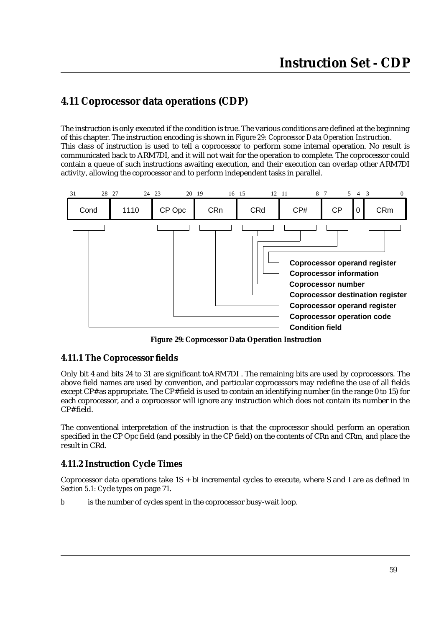# **4.11 Coprocessor data operations (CDP)**

The instruction is only executed if the condition is true. The various conditions are defined at the beginning of this chapter. The instruction encoding is shown in *Figure 29: Coprocessor Data Operation Instruction*. This class of instruction is used to tell a coprocessor to perform some internal operation. No result is communicated back to ARM7DI, and it will not wait for the operation to complete. The coprocessor could contain a queue of such instructions awaiting execution, and their execution can overlap other ARM7DI activity, allowing the coprocessor and to perform independent tasks in parallel.



 **Figure 29: Coprocessor Data Operation Instruction**

## **4.11.1 The Coprocessor fields**

Only bit 4 and bits 24 to 31 are significant toARM7DI . The remaining bits are used by coprocessors. The above field names are used by convention, and particular coprocessors may redefine the use of all fields except CP# as appropriate. The CP# field is used to contain an identifying number (in the range 0 to 15) for each coprocessor, and a coprocessor will ignore any instruction which does not contain its number in the CP# field.

The conventional interpretation of the instruction is that the coprocessor should perform an operation specified in the CP Opc field (and possibly in the CP field) on the contents of CRn and CRm, and place the result in CRd.

## **4.11.2 Instruction Cycle Times**

Coprocessor data operations take 1S + bI incremental cycles to execute, where S and I are as defined in *Section 5.1: Cycle types* on page 71.

*b* is the number of cycles spent in the coprocessor busy-wait loop.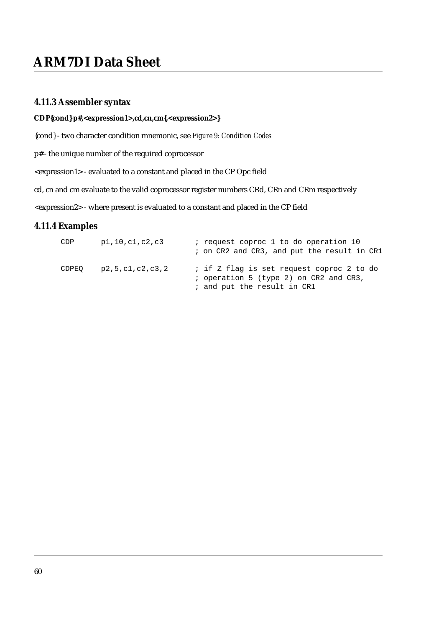#### **4.11.3 Assembler syntax**

**CDP{cond} p#,<expression1>,cd,cn,cm{,<expression2>}**

{cond} - two character condition mnemonic, see *Figure 9: Condition Codes*

p# - the unique number of the required coprocessor

<expression1> - evaluated to a constant and placed in the CP Opc field

cd, cn and cm evaluate to the valid coprocessor register numbers CRd, CRn and CRm respectively

<expression2> - where present is evaluated to a constant and placed in the CP field

# **4.11.4 Examples**

| CDP   | p1,10,c1,c2,c3  | ; request coproc 1 to do operation 10<br>; on CR2 and CR3, and put the result in CR1                               |
|-------|-----------------|--------------------------------------------------------------------------------------------------------------------|
| CDPEO | p2,5,c1,c2,c3,2 | ; if Z flag is set request coproc 2 to do<br>; operation 5 (type 2) on CR2 and CR3,<br>; and put the result in CR1 |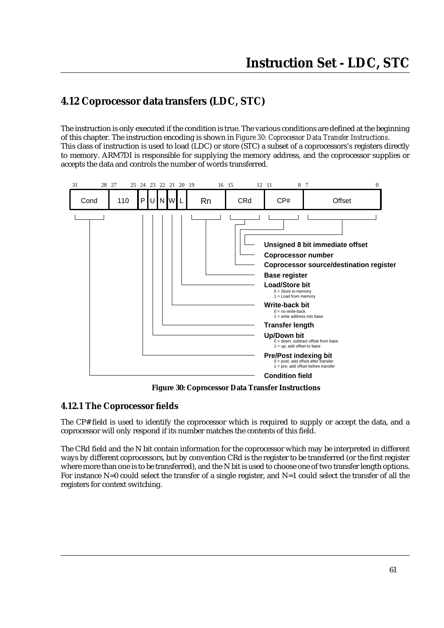# **4.12 Coprocessor data transfers (LDC, STC)**

The instruction is only executed if the condition is true. The various conditions are defined at the beginning of this chapter. The instruction encoding is shown in *Figure 30: Coprocessor Data Transfer Instructions*. This class of instruction is used to load (LDC) or store (STC) a subset of a coprocessors's registers directly to memory. ARM7DI is responsible for supplying the memory address, and the coprocessor supplies or accepts the data and controls the number of words transferred.



 **Figure 30: Coprocessor Data Transfer Instructions**

## **4.12.1 The Coprocessor fields**

The CP# field is used to identify the coprocessor which is required to supply or accept the data, and a coprocessor will only respond if its number matches the contents of this field.

The CRd field and the N bit contain information for the coprocessor which may be interpreted in different ways by different coprocessors, but by convention CRd is the register to be transferred (or the first register where more than one is to be transferred), and the N bit is used to choose one of two transfer length options. For instance N=0 could select the transfer of a single register, and N=1 could select the transfer of all the registers for context switching.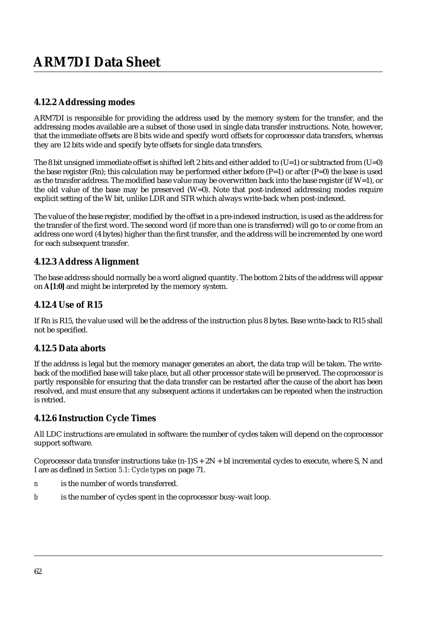## **4.12.2 Addressing modes**

ARM7DI is responsible for providing the address used by the memory system for the transfer, and the addressing modes available are a subset of those used in single data transfer instructions. Note, however, that the immediate offsets are 8 bits wide and specify word offsets for coprocessor data transfers, whereas they are 12 bits wide and specify byte offsets for single data transfers.

The 8 bit unsigned immediate offset is shifted left 2 bits and either added to  $(U=1)$  or subtracted from  $(U=0)$ the base register (Rn); this calculation may be performed either before (P=1) or after (P=0) the base is used as the transfer address. The modified base value may be overwritten back into the base register (if  $W=1$ ), or the old value of the base may be preserved (W=0). Note that post-indexed addressing modes require explicit setting of the W bit, unlike LDR and STR which always write-back when post-indexed.

The value of the base register, modified by the offset in a pre-indexed instruction, is used as the address for the transfer of the first word. The second word (if more than one is transferred) will go to or come from an address one word (4 bytes) higher than the first transfer, and the address will be incremented by one word for each subsequent transfer.

## **4.12.3 Address Alignment**

The base address should normally be a word aligned quantity. The bottom 2 bits of the address will appear on **A[1:0]** and might be interpreted by the memory system.

# **4.12.4 Use of R15**

If Rn is R15, the value used will be the address of the instruction plus 8 bytes. Base write-back to R15 shall not be specified.

## **4.12.5 Data aborts**

If the address is legal but the memory manager generates an abort, the data trap will be taken. The writeback of the modified base will take place, but all other processor state will be preserved. The coprocessor is partly responsible for ensuring that the data transfer can be restarted after the cause of the abort has been resolved, and must ensure that any subsequent actions it undertakes can be repeated when the instruction is retried.

## **4.12.6 Instruction Cycle Times**

All LDC instructions are emulated in software: the number of cycles taken will depend on the coprocessor support software.

Coprocessor data transfer instructions take  $(n-1)S + 2N + bI$  incremental cycles to execute, where S, N and I are as defined in *Section 5.1: Cycle types* on page 71.

- *n* is the number of words transferred.
- *b* is the number of cycles spent in the coprocessor busy-wait loop.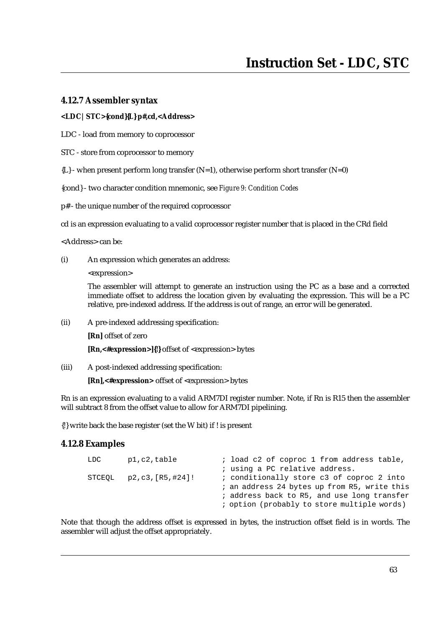#### **4.12.7 Assembler syntax**

#### **<LDC|STC>{cond}{L} p#,cd,<Address>**

LDC - load from memory to coprocessor

STC - store from coprocessor to memory

 ${L}$  - when present perform long transfer (N=1), otherwise perform short transfer (N=0)

{cond} - two character condition mnemonic, see *Figure 9: Condition Codes*

p# - the unique number of the required coprocessor

cd is an expression evaluating to a valid coprocessor register number that is placed in the CRd field

<Address> can be:

(i) An expression which generates an address:

<expression>

The assembler will attempt to generate an instruction using the PC as a base and a corrected immediate offset to address the location given by evaluating the expression. This will be a PC relative, pre-indexed address. If the address is out of range, an error will be generated.

(ii) A pre-indexed addressing specification:

**[Rn]** offset of zero

**[Rn,<#expression>]{!}** offset of <expression> bytes

(iii) A post-indexed addressing specification:

**[Rn],<#expression>** offset of <expression> bytes

Rn is an expression evaluating to a valid ARM7DI register number. Note, if Rn is R15 then the assembler will subtract 8 from the offset value to allow for ARM7DI pipelining.

{!} write back the base register (set the W bit) if ! is present

#### **4.12.8 Examples**

| LDC    | p1,c2,table     | ; load c2 of coproc 1 from address table,    |
|--------|-----------------|----------------------------------------------|
|        |                 | ; using a PC relative address.               |
| STCEOL | p2,c3,[R5,#24]! | : conditionally store c3 of coproc 2 into    |
|        |                 | ; an address 24 bytes up from R5, write this |
|        |                 | ; address back to R5, and use long transfer  |
|        |                 | ; option (probably to store multiple words)  |

Note that though the address offset is expressed in bytes, the instruction offset field is in words. The assembler will adjust the offset appropriately.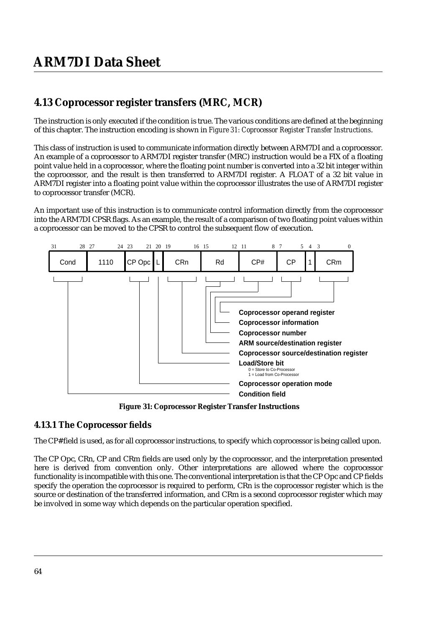# **4.13 Coprocessor register transfers (MRC, MCR)**

The instruction is only executed if the condition is true. The various conditions are defined at the beginning of this chapter. The instruction encoding is shown in *Figure 31: Coprocessor Register Transfer Instructions*.

This class of instruction is used to communicate information directly between ARM7DI and a coprocessor. An example of a coprocessor to ARM7DI register transfer (MRC) instruction would be a FIX of a floating point value held in a coprocessor, where the floating point number is converted into a 32 bit integer within the coprocessor, and the result is then transferred to ARM7DI register. A FLOAT of a 32 bit value in ARM7DI register into a floating point value within the coprocessor illustrates the use of ARM7DI register to coprocessor transfer (MCR).

An important use of this instruction is to communicate control information directly from the coprocessor into the ARM7DI CPSR flags. As an example, the result of a comparison of two floating point values within a coprocessor can be moved to the CPSR to control the subsequent flow of execution.



 **Figure 31: Coprocessor Register Transfer Instructions**

#### **4.13.1 The Coprocessor fields**

The CP# field is used, as for all coprocessor instructions, to specify which coprocessor is being called upon.

The CP Opc, CRn, CP and CRm fields are used only by the coprocessor, and the interpretation presented here is derived from convention only. Other interpretations are allowed where the coprocessor functionality is incompatible with this one. The conventional interpretation is that the CP Opc and CP fields specify the operation the coprocessor is required to perform, CRn is the coprocessor register which is the source or destination of the transferred information, and CRm is a second coprocessor register which may be involved in some way which depends on the particular operation specified.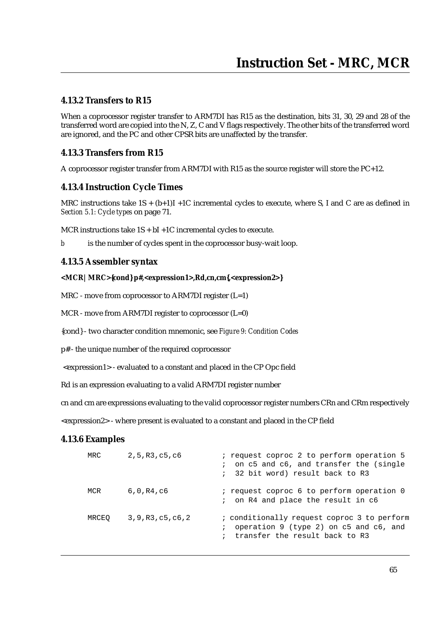### **4.13.2 Transfers to R15**

When a coprocessor register transfer to ARM7DI has R15 as the destination, bits 31, 30, 29 and 28 of the transferred word are copied into the N, Z, C and V flags respectively. The other bits of the transferred word are ignored, and the PC and other CPSR bits are unaffected by the transfer.

#### **4.13.3 Transfers from R15**

A coprocessor register transfer from ARM7DI with R15 as the source register will store the PC+12.

#### **4.13.4 Instruction Cycle Times**

MRC instructions take  $1S + (b+1)I + 1C$  incremental cycles to execute, where S, I and C are as defined in *Section 5.1: Cycle types* on page 71.

MCR instructions take 1S + bI +1C incremental cycles to execute.

*b* is the number of cycles spent in the coprocessor busy-wait loop.

#### **4.13.5 Assembler syntax**

**<MCR|MRC>{cond} p#,<expression1>,Rd,cn,cm{,<expression2>}**

 $MRC$  - move from coprocessor to ARM7DI register  $(L=1)$ 

MCR - move from ARM7DI register to coprocessor (L=0)

{cond} - two character condition mnemonic, see *Figure 9: Condition Codes*

p# - the unique number of the required coprocessor

<expression1> - evaluated to a constant and placed in the CP Opc field

Rd is an expression evaluating to a valid ARM7DI register number

cn and cm are expressions evaluating to the valid coprocessor register numbers CRn and CRm respectively

<expression2> - where present is evaluated to a constant and placed in the CP field

#### **4.13.6 Examples**

| MRC   | 2, 5, R3, c5, c6  | ; request coproc 2 to perform operation 5<br>; on c5 and c6, and transfer the (single<br>; 32 bit word) result back to R3               |
|-------|-------------------|-----------------------------------------------------------------------------------------------------------------------------------------|
| MCR   | 6,0, R4, c6       | ; request coproc 6 to perform operation 0<br>; on R4 and place the result in c6                                                         |
| MRCEO | 3.9. R3. c5. c6.2 | ; conditionally request coproc 3 to perform<br>operation 9 (type 2) on c5 and c6, and<br>$\ddot{i}$<br>; transfer the result back to R3 |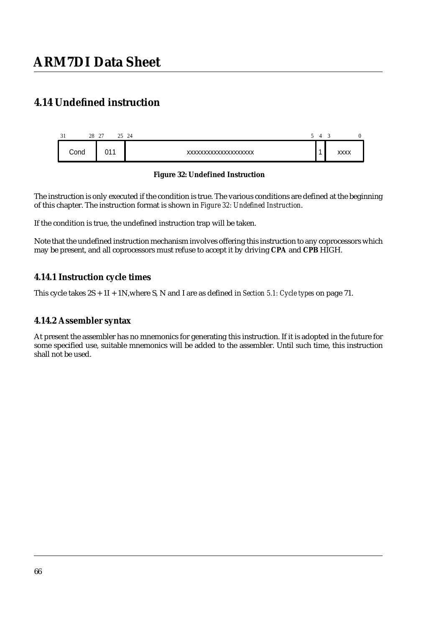# **4.14 Undefined instruction**



#### **Figure 32: Undefined Instruction**

The instruction is only executed if the condition is true. The various conditions are defined at the beginning of this chapter. The instruction format is shown in *Figure 32: Undefined Instruction*.

If the condition is true, the undefined instruction trap will be taken.

Note that the undefined instruction mechanism involves offering this instruction to any coprocessors which may be present, and all coprocessors must refuse to accept it by driving **CPA** and **CPB** HIGH.

## **4.14.1 Instruction cycle times**

This cycle takes 2S + 1I + 1N,where S, N and I are as defined in *Section 5.1: Cycle types* on page 71.

## **4.14.2 Assembler syntax**

At present the assembler has no mnemonics for generating this instruction. If it is adopted in the future for some specified use, suitable mnemonics will be added to the assembler. Until such time, this instruction shall not be used.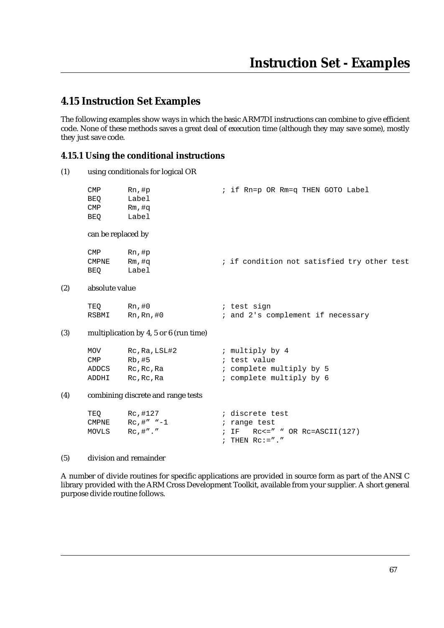# **4.15 Instruction Set Examples**

The following examples show ways in which the basic ARM7DI instructions can combine to give efficient code. None of these methods saves a great deal of execution time (although they may save some), mostly they just save code.

#### **4.15.1 Using the conditional instructions**

(1) using conditionals for logical OR

|     | $\texttt{CMP}$     | $Rn,$ # $p$                            | ; if Rn=p OR Rm=q THEN GOTO Label           |  |
|-----|--------------------|----------------------------------------|---------------------------------------------|--|
|     | BEQ                | Label                                  |                                             |  |
|     | $\texttt{CMP}$     | Rm, Hq                                 |                                             |  |
|     | BEQ                | Label                                  |                                             |  |
|     |                    |                                        |                                             |  |
|     | can be replaced by |                                        |                                             |  |
|     | $\texttt{CMP}$     | $Rn,$ # $p$                            |                                             |  |
|     | <b>CMPNE</b>       | Rm,#q                                  | ; if condition not satisfied try other test |  |
|     | BEQ                | Label                                  |                                             |  |
| (2) | absolute value     |                                        |                                             |  |
|     | TEO                | Rn,#0                                  | ; test sign                                 |  |
|     | RSBMI              | Rn, Rn, #0                             | ; and 2's complement if necessary           |  |
| (3) |                    | multiplication by 4, 5 or 6 (run time) |                                             |  |
|     | MOV                | Rc,Ra,LSL#2                            | ; multiply by 4                             |  |
|     | CMP                | Rb, #5                                 | ; test value                                |  |
|     | ADDCS              | Rc,Rc,Ra                               | ; complete multiply by 5                    |  |
|     | ADDHI              | Rc,Rc,Ra                               | ; complete multiply by 6                    |  |
| (4) |                    | combining discrete and range tests     |                                             |  |
|     | TEQ                | Rc,#127                                | ; discrete test                             |  |
|     |                    | CMPNE $RC, #" " -1$                    | ; range test                                |  |
|     | MOVLS              | $Rc$ , $\#''$ . "                      | $Rc \leq 7$ " OR $Rc = ASCII(127)$<br>7 F   |  |
|     |                    |                                        | ; THEN $RC := "$ ."                         |  |
|     |                    |                                        |                                             |  |

(5) division and remainder

 $(2)$ 

A number of divide routines for specific applications are provided in source form as part of the ANSI C library provided with the ARM Cross Development Toolkit, available from your supplier. A short general purpose divide routine follows.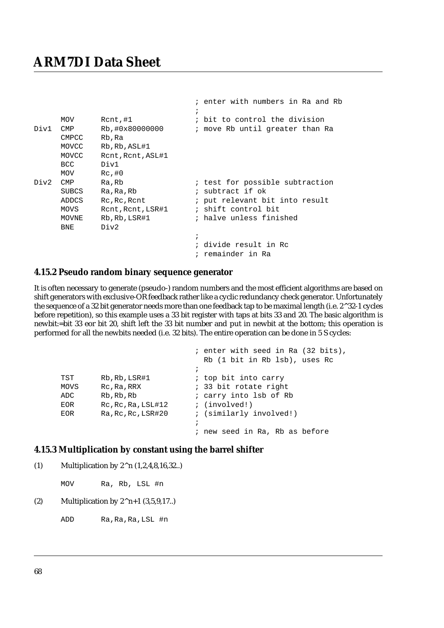|      |              |                   | ; enter with numbers in Ra and Rb<br>$\mathbf{r}$ |
|------|--------------|-------------------|---------------------------------------------------|
|      | MOV          | Rcnt,#1           | ; bit to control the division                     |
| Div1 | <b>CMP</b>   | Rb, #0x80000000   | ; move Rb until greater than Ra                   |
|      | CMPCC        | Rb, Ra            |                                                   |
|      | MOVCC        | Rb, Rb, ASL#1     |                                                   |
|      | MOVCC        | Rcnt, Rcnt, ASL#1 |                                                   |
|      | <b>BCC</b>   | Div1              |                                                   |
|      | MOV          | Rc, #0            |                                                   |
| Div2 | CMP          | Ra,Rb             | ; test for possible subtraction                   |
|      | <b>SUBCS</b> | Ra, Ra, Rb        | ; subtract if ok                                  |
|      | ADDCS        | Rc, Rc, Rcnt      | ; put relevant bit into result                    |
|      | MOVS         | Rcnt, Rcnt, LSR#1 | ; shift control bit                               |
|      | MOVNE        | Rb, Rb, LSR#1     | ; halve unless finished                           |
|      | BNE          | Div2              |                                                   |
|      |              |                   |                                                   |
|      |              |                   | ; divide result in Rc                             |
|      |              |                   | ; remainder in Ra                                 |

#### **4.15.2 Pseudo random binary sequence generator**

It is often necessary to generate (pseudo-) random numbers and the most efficient algorithms are based on shift generators with exclusive-OR feedback rather like a cyclic redundancy check generator. Unfortunately the sequence of a 32 bit generator needs more than one feedback tap to be maximal length (i.e. 2^32-1 cycles before repetition), so this example uses a 33 bit register with taps at bits 33 and 20. The basic algorithm is newbit:=bit 33 eor bit 20, shift left the 33 bit number and put in newbit at the bottom; this operation is performed for all the newbits needed (i.e. 32 bits). The entire operation can be done in 5 S cycles:

|            |                    | ; enter with seed in Ra (32 bits), |
|------------|--------------------|------------------------------------|
|            |                    | Rb (1 bit in Rb 1sb), uses Rc      |
|            |                    |                                    |
| TST        | Rb, Rb, LSR#1      | ; top bit into carry               |
| MOVS       | Rc, Ra, RRX        | ; 33 bit rotate right              |
| ADC        | Rb, Rb, Rb         | ; carry into lsb of Rb             |
| <b>EOR</b> | Rc, Rc, Ra, LSL#12 | ; (involved!)                      |
| EOR        | Ra, Rc, Rc, LSR#20 | ; (similarly involved!)            |
|            |                    |                                    |
|            |                    | ; new seed in Ra, Rb as before     |
|            |                    |                                    |

#### **4.15.3 Multiplication by constant using the barrel shifter**

(1) Multiplication by 2^n (1,2,4,8,16,32..)

MOV Ra, Rb, LSL #n

(2) Multiplication by  $2^n n+1$  (3,5,9,17..)

ADD Ra,Ra,Ra,LSL #n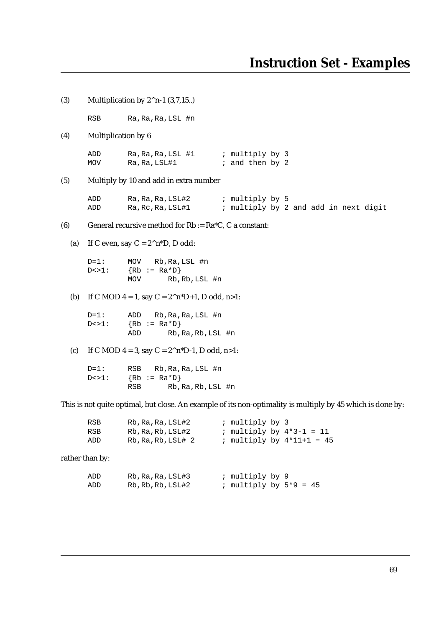```
(3) Multiplication by 2^{\wedge}n-1 (3,7,15..)
      RSB Ra, Ra, Ra, LSL #n
(4) Multiplication by 6
      ADD Ra, Ra, Ra, LSL #1 ; multiply by 3
      MOV Ra, Ra, LSL#1 ; and then by 2
(5) Multiply by 10 and add in extra number
      ADD Ra, Ra, Ra, LSL#2 ; multiply by 5
      ADD Ra, Rc, Ra, LSL#1 ; multiply by 2 and add in next digit
(6) General recursive method for Rb := Ra^*C, C a constant:
  (a) If C even, say C = 2^n n^*D, D odd:
      D=1: MOV Rb,Ra,LSL #n
      D \leq 1: {Rb := Ra*D}
               MOV Rb,Rb,LSL #n
  (b) If C MOD 4 = 1, say C = 2^n n^*D+1, D odd, n>1:
      D=1: ADD Rb,Ra,Ra,LSL #n
      D \le 1: {Rb := Ra*D}
               ADD Rb,Ra,Rb,LSL #n
  (c) If C MOD 4 = 3, say C = 2^n n^*D-1, D odd, n>1:
      D=1: RSB Rb, Ra, Ra, LSL #n
      D \leq 1: {Rb := Ra*D}
               RSB Rb,Ra,Rb,LSL #n
This is not quite optimal, but close. An example of its non-optimality is multiply by 45 which is done by:
      RSB Rb, Ra, Ra, I.SI.#2 ; multiply by 3
```

| LOD. | NU, NA, NA, DJIHZ  | N IIIULLULLY DY J |                             |
|------|--------------------|-------------------|-----------------------------|
| RSB  | Rb, Ra, Rb, LSL#2  |                   | ; multiply by $4*3-1 = 11$  |
| ADD  | Rb, Ra, Rb, LSL# 2 |                   | ; multiply by $4*11+1 = 45$ |
|      |                    |                   |                             |

rather than by:

| ADD | Rb, Ra, Ra, LSL#3 | ; multiply by 9          |  |  |
|-----|-------------------|--------------------------|--|--|
| ADD | Rb, Rb, Rb, LSL#2 | ; multiply by $5*9 = 45$ |  |  |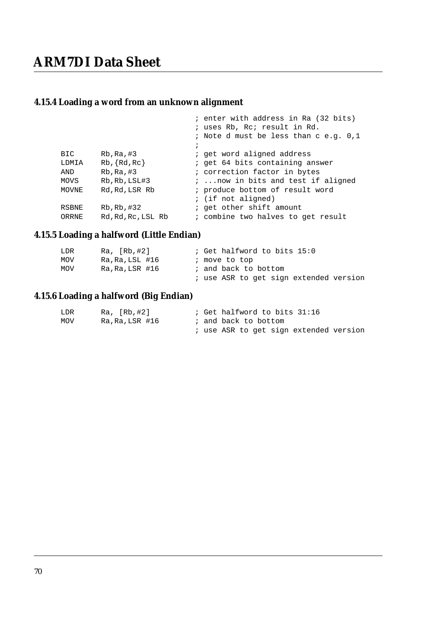# **4.15.4 Loading a word from an unknown alignment**

|            |                    |   | ; enter with address in Ra (32 bits)  |
|------------|--------------------|---|---------------------------------------|
|            |                    |   | ; uses Rb, Rc; result in Rd.          |
|            |                    |   | ; Note d must be less than c e.g. 0,1 |
|            |                    | ÷ |                                       |
| <b>BIC</b> | Rb, Ra, #3         |   | ; get word aligned address            |
| LDMIA      | $Rb, \{Rd, RC\}$   |   | ; get 64 bits containing answer       |
| AND        | Rb, Ra, #3         |   | ; correction factor in bytes          |
| MOVS       | Rb, Rb, LSL#3      |   | ;  now in bits and test if aligned    |
| MOVNE      | Rd, Rd, LSR Rb     |   | ; produce bottom of result word       |
|            |                    |   | $:$ (if not aligned)                  |
| RSBNE      | Rb, Rb, #32        |   | ; get other shift amount              |
| ORRNE      | Rd, Rd, Rc, LSL Rb |   | ; combine two halves to get result    |
|            |                    |   |                                       |

# **4.15.5 Loading a halfword (Little Endian)**

| LDR        | Ra, [Rb,#2]   | ; Get halfword to bits 15:0            |
|------------|---------------|----------------------------------------|
| MOV        | Ra,Ra,LSL #16 | ; move to top                          |
| <b>MOV</b> | Ra,Ra,LSR #16 | ; and back to bottom                   |
|            |               | ; use ASR to get sign extended version |

# **4.15.6 Loading a halfword (Big Endian)**

| LDR | Ra, [Rb,#2]   |  | ; Get halfword to bits 31:16           |
|-----|---------------|--|----------------------------------------|
| MOV | Ra,Ra,LSR #16 |  | ; and back to bottom                   |
|     |               |  | ; use ASR to get sign extended version |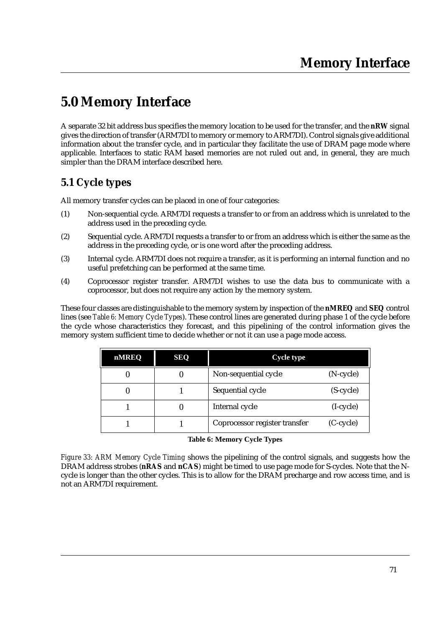# **5.0 Memory Interface**

A separate 32 bit address bus specifies the memory location to be used for the transfer, and the **nRW** signal gives the direction of transfer (ARM7DI to memory or memory to ARM7DI). Control signals give additional information about the transfer cycle, and in particular they facilitate the use of DRAM page mode where applicable. Interfaces to static RAM based memories are not ruled out and, in general, they are much simpler than the DRAM interface described here.

# **5.1 Cycle types**

All memory transfer cycles can be placed in one of four categories:

- (1) Non-sequential cycle. ARM7DI requests a transfer to or from an address which is unrelated to the address used in the preceding cycle.
- (2) Sequential cycle. ARM7DI requests a transfer to or from an address which is either the same as the address in the preceding cycle, or is one word after the preceding address.
- (3) Internal cycle. ARM7DI does not require a transfer, as it is performing an internal function and no useful prefetching can be performed at the same time.
- (4) Coprocessor register transfer. ARM7DI wishes to use the data bus to communicate with a coprocessor, but does not require any action by the memory system.

These four classes are distinguishable to the memory system by inspection of the **nMREQ** and **SEQ** control lines (see *Table 6: Memory Cycle Types*). These control lines are generated during phase 1 of the cycle before the cycle whose characteristics they forecast, and this pipelining of the control information gives the memory system sufficient time to decide whether or not it can use a page mode access.

| nMREQ | <b>SEQ</b> | <b>Cycle type</b>             |                 |
|-------|------------|-------------------------------|-----------------|
|       | 0          | Non-sequential cycle          | (N-cycle)       |
|       |            | Sequential cycle              | (S-cycle)       |
|       | 0          | Internal cycle                | (I-cycle)       |
|       |            | Coprocessor register transfer | $(C$ -cycle $)$ |

#### **Table 6: Memory Cycle Types**

*Figure 33: ARM Memory Cycle Timing* shows the pipelining of the control signals, and suggests how the DRAM address strobes (**nRAS** and **nCAS**) might be timed to use page mode for S-cycles. Note that the Ncycle is longer than the other cycles. This is to allow for the DRAM precharge and row access time, and is not an ARM7DI requirement.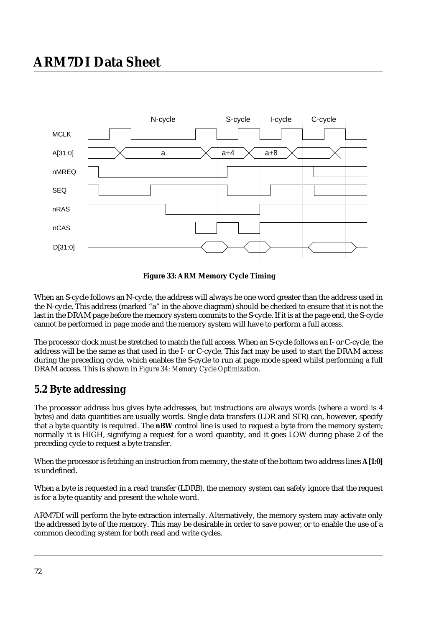

 **Figure 33: ARM Memory Cycle Timing**

When an S-cycle follows an N-cycle, the address will always be one word greater than the address used in the N-cycle. This address (marked "a" in the above diagram) should be checked to ensure that it is not the last in the DRAM page before the memory system commits to the S-cycle. If it is at the page end, the S-cycle cannot be performed in page mode and the memory system will have to perform a full access.

The processor clock must be stretched to match the full access. When an S-cycle follows an I- or C-cycle, the address will be the same as that used in the I- or C-cycle. This fact may be used to start the DRAM access during the preceding cycle, which enables the S-cycle to run at page mode speed whilst performing a full DRAM access. This is shown in *Figure 34: Memory Cycle Optimization*.

# **5.2 Byte addressing**

The processor address bus gives byte addresses, but instructions are always words (where a word is 4 bytes) and data quantities are usually words. Single data transfers (LDR and STR) can, however, specify that a byte quantity is required. The **nBW** control line is used to request a byte from the memory system; normally it is HIGH, signifying a request for a word quantity, and it goes LOW during phase 2 of the preceding cycle to request a byte transfer.

When the processor is fetching an instruction from memory, the state of the bottom two address lines **A[1:0]** is undefined.

When a byte is requested in a read transfer (LDRB), the memory system can safely ignore that the request is for a byte quantity and present the whole word.

ARM7DI will perform the byte extraction internally. Alternatively, the memory system may activate only the addressed byte of the memory. This may be desirable in order to save power, or to enable the use of a common decoding system for both read and write cycles.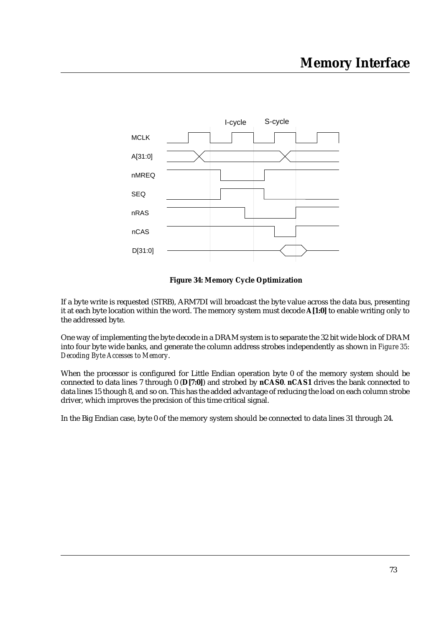

#### **Figure 34: Memory Cycle Optimization**

If a byte write is requested (STRB), ARM7DI will broadcast the byte value across the data bus, presenting it at each byte location within the word. The memory system must decode **A[1:0]** to enable writing only to the addressed byte.

One way of implementing the byte decode in a DRAM system is to separate the 32 bit wide block of DRAM into four byte wide banks, and generate the column address strobes independently as shown in *Figure 35: Decoding Byte Accesses to Memory*.

When the processor is configured for Little Endian operation byte 0 of the memory system should be connected to data lines 7 through 0 (**D[7:0]**) and strobed by **nCAS0**. **nCAS1** drives the bank connected to data lines 15 though 8, and so on. This has the added advantage of reducing the load on each column strobe driver, which improves the precision of this time critical signal.

In the Big Endian case, byte 0 of the memory system should be connected to data lines 31 through 24.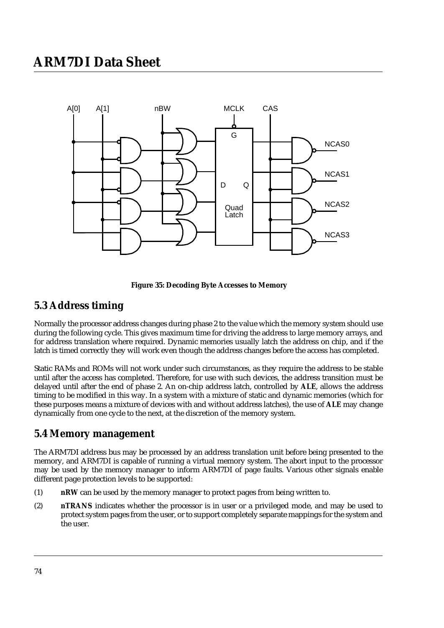

 **Figure 35: Decoding Byte Accesses to Memory**

## **5.3 Address timing**

Normally the processor address changes during phase 2 to the value which the memory system should use during the following cycle. This gives maximum time for driving the address to large memory arrays, and for address translation where required. Dynamic memories usually latch the address on chip, and if the latch is timed correctly they will work even though the address changes before the access has completed.

Static RAMs and ROMs will not work under such circumstances, as they require the address to be stable until after the access has completed. Therefore, for use with such devices, the address transition must be delayed until after the end of phase 2. An on-chip address latch, controlled by **ALE**, allows the address timing to be modified in this way. In a system with a mixture of static and dynamic memories (which for these purposes means a mixture of devices with and without address latches), the use of **ALE** may change dynamically from one cycle to the next, at the discretion of the memory system.

## **5.4 Memory management**

The ARM7DI address bus may be processed by an address translation unit before being presented to the memory, and ARM7DI is capable of running a virtual memory system. The abort input to the processor may be used by the memory manager to inform ARM7DI of page faults. Various other signals enable different page protection levels to be supported:

- (1) **nRW** can be used by the memory manager to protect pages from being written to.
- (2) **nTRANS** indicates whether the processor is in user or a privileged mode, and may be used to protect system pages from the user, or to support completely separate mappings for the system and the user.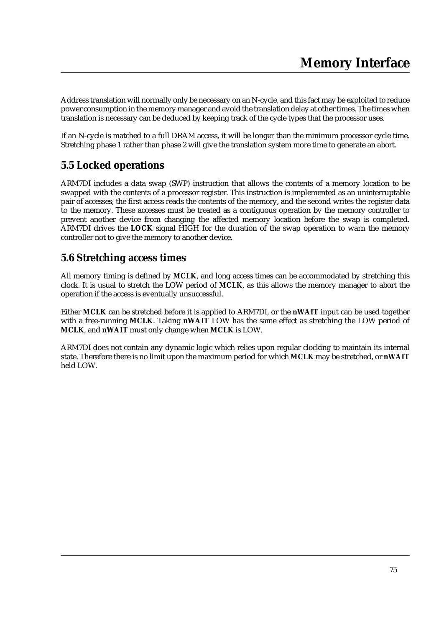Address translation will normally only be necessary on an N-cycle, and this fact may be exploited to reduce power consumption in the memory manager and avoid the translation delay at other times. The times when translation is necessary can be deduced by keeping track of the cycle types that the processor uses.

If an N-cycle is matched to a full DRAM access, it will be longer than the minimum processor cycle time. Stretching phase 1 rather than phase 2 will give the translation system more time to generate an abort.

## **5.5 Locked operations**

ARM7DI includes a data swap (SWP) instruction that allows the contents of a memory location to be swapped with the contents of a processor register. This instruction is implemented as an uninterruptable pair of accesses; the first access reads the contents of the memory, and the second writes the register data to the memory. These accesses must be treated as a contiguous operation by the memory controller to prevent another device from changing the affected memory location before the swap is completed. ARM7DI drives the **LOCK** signal HIGH for the duration of the swap operation to warn the memory controller not to give the memory to another device.

## **5.6 Stretching access times**

All memory timing is defined by **MCLK**, and long access times can be accommodated by stretching this clock. It is usual to stretch the LOW period of **MCLK**, as this allows the memory manager to abort the operation if the access is eventually unsuccessful.

Either **MCLK** can be stretched before it is applied to ARM7DI, or the **nWAIT** input can be used together with a free-running **MCLK**. Taking **nWAIT** LOW has the same effect as stretching the LOW period of **MCLK**, and **nWAIT** must only change when **MCLK** is LOW.

ARM7DI does not contain any dynamic logic which relies upon regular clocking to maintain its internal state. Therefore there is no limit upon the maximum period for which **MCLK** may be stretched, or **nWAIT** held LOW.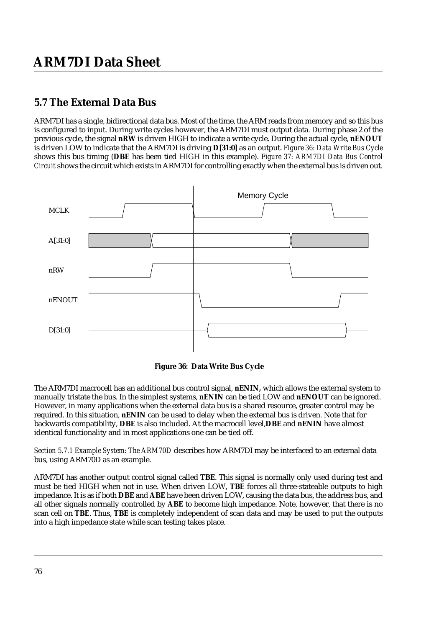## **5.7 The External Data Bus**

ARM7DI has a single, bidirectional data bus. Most of the time, the ARM reads from memory and so this bus is configured to input. During write cycles however, the ARM7DI must output data. During phase 2 of the previous cycle, the signal **nRW** is driven HIGH to indicate a write cycle. During the actual cycle, **nENOUT** is driven LOW to indicate that the ARM7DI is driving **D[31:0]** as an output. *Figure 36: Data Write Bus Cycle* shows this bus timing (**DBE** has been tied HIGH in this example). *Figure 37: ARM7DI Data Bus Control Circuit* shows the circuit which exists in ARM7DI for controlling exactly when the external bus is driven out.



 **Figure 36: Data Write Bus Cycle**

The ARM7DI macrocell has an additional bus control signal, **nENIN,** which allows the external system to manually tristate the bus. In the simplest systems, **nENIN** can be tied LOW and **nENOUT** can be ignored. However, in many applications when the external data bus is a shared resource, greater control may be required. In this situation, **nENIN** can be used to delay when the external bus is driven. Note that for backwards compatibility, **DBE** is also included. At the macrocell level,**DBE** and **nENIN** have almost identical functionality and in most applications one can be tied off.

*Section 5.7.1 Example System: The ARM70D* describes how ARM7DI may be interfaced to an external data bus, using ARM70D as an example.

ARM7DI has another output control signal called **TBE**. This signal is normally only used during test and must be tied HIGH when not in use. When driven LOW, **TBE** forces all three-stateable outputs to high impedance. It is as if both **DBE** and **ABE** have been driven LOW, causing the data bus, the address bus, and all other signals normally controlled by **ABE** to become high impedance. Note, however, that there is no scan cell on **TBE**. Thus, **TBE** is completely independent of scan data and may be used to put the outputs into a high impedance state while scan testing takes place.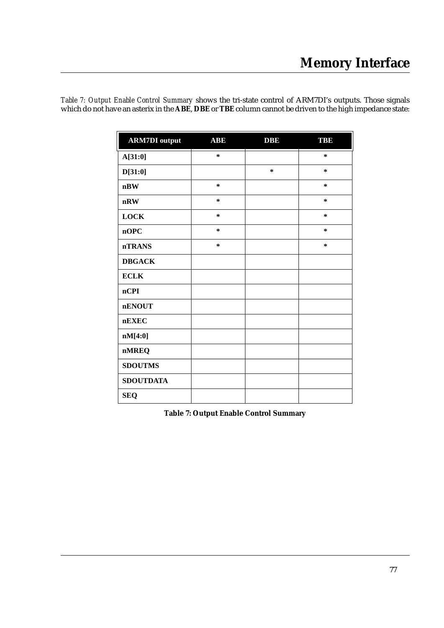| <b>ARM7DI</b> output | <b>ABE</b> | <b>DBE</b> | <b>TBE</b> |
|----------------------|------------|------------|------------|
| A[31:0]              | $\ast$     |            | $\ast$     |
| D[31:0]              |            | *          | $\ast$     |
| nBW                  | $\ast$     |            | $\ast$     |
| nRW                  | $\ast$     |            | $\ast$     |
| <b>LOCK</b>          | $\ast$     |            | $\ast$     |
| $n$ OPC              | $\ast$     |            | $\ast$     |
| nTRANS               | $\ast$     |            | $\ast$     |
| <b>DBGACK</b>        |            |            |            |
| <b>ECLK</b>          |            |            |            |
| $n$ CPI              |            |            |            |
| nENOUT               |            |            |            |
| <b>nEXEC</b>         |            |            |            |
| nM[4:0]              |            |            |            |
| nMREQ                |            |            |            |
| <b>SDOUTMS</b>       |            |            |            |
| <b>SDOUTDATA</b>     |            |            |            |
| <b>SEQ</b>           |            |            |            |

*Table 7: Output Enable Control Summary* shows the tri-state control of ARM7DI's outputs. Those signals which do not have an asterix in the **ABE**, **DBE** or **TBE** column cannot be driven to the high impedance state:

**Table 7: Output Enable Control Summary**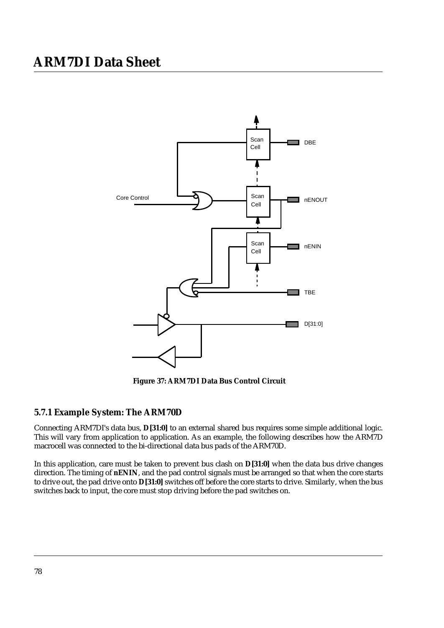

 **Figure 37: ARM7DI Data Bus Control Circuit**

### **5.7.1 Example System: The ARM70D**

Connecting ARM7DI's data bus, **D[31:0]** to an external shared bus requires some simple additional logic. This will vary from application to application. As an example, the following describes how the ARM7D macrocell was connected to the bi-directional data bus pads of the ARM70D.

In this application, care must be taken to prevent bus clash on **D[31:0]** when the data bus drive changes direction. The timing of **nENIN**, and the pad control signals must be arranged so that when the core starts to drive out, the pad drive onto **D[31:0]** switches off before the core starts to drive. Similarly, when the bus switches back to input, the core must stop driving before the pad switches on.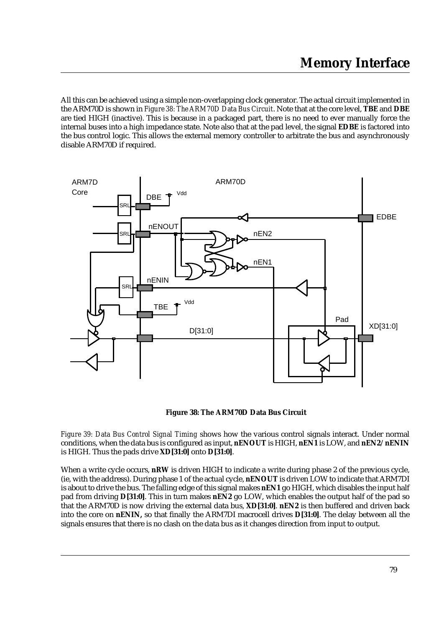All this can be achieved using a simple non-overlapping clock generator. The actual circuit implemented in the ARM70D is shown in *Figure 38: The ARM70D Data Bus Circuit*. Note that at the core level, **TBE** and **DBE** are tied HIGH (inactive). This is because in a packaged part, there is no need to ever manually force the internal buses into a high impedance state. Note also that at the pad level, the signal **EDBE** is factored into the bus control logic. This allows the external memory controller to arbitrate the bus and asynchronously disable ARM70D if required.



 **Figure 38: The ARM70D Data Bus Circuit**

*Figure 39: Data Bus Control Signal Timing* shows how the various control signals interact. Under normal conditions, when the data bus is configured as input, **nENOUT** is HIGH, **nEN1** is LOW, and **nEN2**/**nENIN** is HIGH. Thus the pads drive **XD[31:0]** onto **D[31:0]**.

When a write cycle occurs, **nRW** is driven HIGH to indicate a write during phase 2 of the previous cycle, (ie, with the address). During phase 1 of the actual cycle, **nENOUT** is driven LOW to indicate that ARM7DI is about to drive the bus. The falling edge of this signal makes **nEN1** go HIGH, which disables the input half pad from driving **D[31:0]**. This in turn makes **nEN2** go LOW, which enables the output half of the pad so that the ARM70D is now driving the external data bus, **XD[31:0]**. **nEN2** is then buffered and driven back into the core on **nENIN,** so that finally the ARM7DI macrocell drives **D[31:0]**. The delay between all the signals ensures that there is no clash on the data bus as it changes direction from input to output.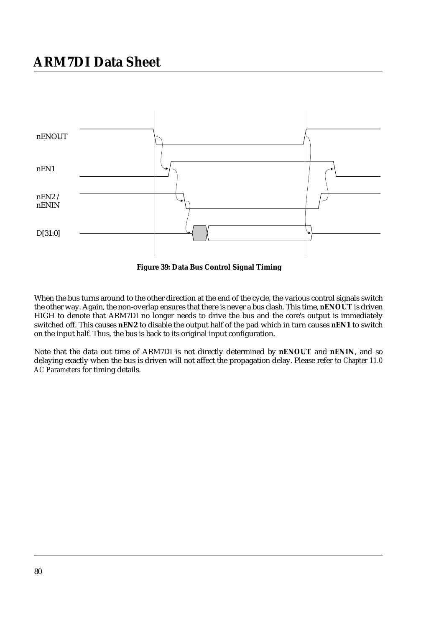

 **Figure 39: Data Bus Control Signal Timing**

When the bus turns around to the other direction at the end of the cycle, the various control signals switch the other way. Again, the non-overlap ensures that there is never a bus clash. This time, **nENOUT** is driven HIGH to denote that ARM7DI no longer needs to drive the bus and the core's output is immediately switched off. This causes **nEN2** to disable the output half of the pad which in turn causes **nEN1** to switch on the input half. Thus, the bus is back to its original input configuration.

Note that the data out time of ARM7DI is not directly determined by **nENOUT** and **nENIN**, and so delaying exactly when the bus is driven will not affect the propagation delay. Please refer to *Chapter 11.0 AC Parameters* for timing details.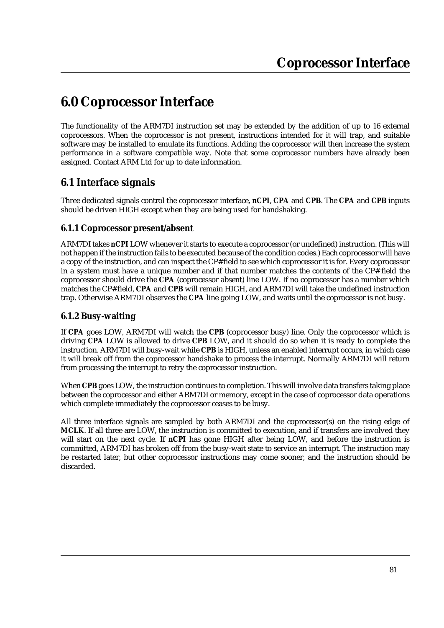# **6.0 Coprocessor Interface**

The functionality of the ARM7DI instruction set may be extended by the addition of up to 16 external coprocessors. When the coprocessor is not present, instructions intended for it will trap, and suitable software may be installed to emulate its functions. Adding the coprocessor will then increase the system performance in a software compatible way. Note that some coprocessor numbers have already been assigned. Contact ARM Ltd for up to date information.

## **6.1 Interface signals**

Three dedicated signals control the coprocessor interface, **nCPI**, **CPA** and **CPB**. The **CPA** and **CPB** inputs should be driven HIGH except when they are being used for handshaking.

### **6.1.1 Coprocessor present/absent**

ARM7DI takes **nCPI** LOW whenever it starts to execute a coprocessor (or undefined) instruction. (This will not happen if the instruction fails to be executed because of the condition codes.) Each coprocessor will have a copy of the instruction, and can inspect the CP# field to see which coprocessor it is for. Every coprocessor in a system must have a unique number and if that number matches the contents of the CP# field the coprocessor should drive the **CPA** (coprocessor absent) line LOW. If no coprocessor has a number which matches the CP# field, **CPA** and **CPB** will remain HIGH, and ARM7DI will take the undefined instruction trap. Otherwise ARM7DI observes the **CPA** line going LOW, and waits until the coprocessor is not busy.

### **6.1.2 Busy-waiting**

If **CPA** goes LOW, ARM7DI will watch the **CPB** (coprocessor busy) line. Only the coprocessor which is driving **CPA** LOW is allowed to drive **CPB** LOW, and it should do so when it is ready to complete the instruction. ARM7DI will busy-wait while **CPB** is HIGH, unless an enabled interrupt occurs, in which case it will break off from the coprocessor handshake to process the interrupt. Normally ARM7DI will return from processing the interrupt to retry the coprocessor instruction.

When **CPB** goes LOW, the instruction continues to completion. This will involve data transfers taking place between the coprocessor and either ARM7DI or memory, except in the case of coprocessor data operations which complete immediately the coprocessor ceases to be busy.

All three interface signals are sampled by both ARM7DI and the coprocessor(s) on the rising edge of **MCLK**. If all three are LOW, the instruction is committed to execution, and if transfers are involved they will start on the next cycle. If **nCPI** has gone HIGH after being LOW, and before the instruction is committed, ARM7DI has broken off from the busy-wait state to service an interrupt. The instruction may be restarted later, but other coprocessor instructions may come sooner, and the instruction should be discarded.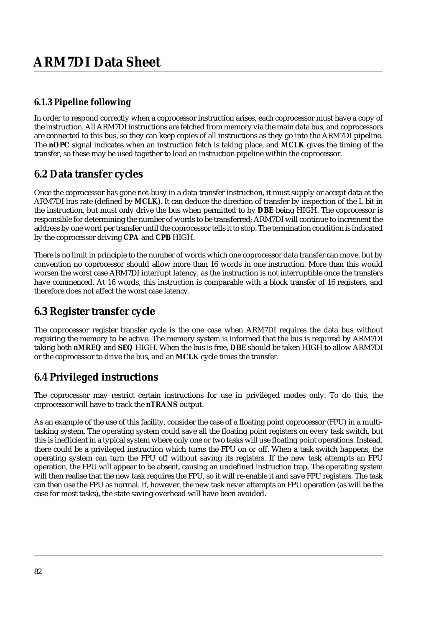## **6.1.3 Pipeline following**

In order to respond correctly when a coprocessor instruction arises, each coprocessor must have a copy of the instruction. All ARM7DI instructions are fetched from memory via the main data bus, and coprocessors are connected to this bus, so they can keep copies of all instructions as they go into the ARM7DI pipeline. The **nOPC** signal indicates when an instruction fetch is taking place, and **MCLK** gives the timing of the transfer, so these may be used together to load an instruction pipeline within the coprocessor.

## **6.2 Data transfer cycles**

Once the coprocessor has gone not-busy in a data transfer instruction, it must supply or accept data at the ARM7DI bus rate (defined by **MCLK**). It can deduce the direction of transfer by inspection of the L bit in the instruction, but must only drive the bus when permitted to by **DBE** being HIGH. The coprocessor is responsible for determining the number of words to be transferred; ARM7DI will continue to increment the address by one word per transfer until the coprocessor tells it to stop. The termination condition is indicated by the coprocessor driving **CPA** and **CPB** HIGH.

There is no limit in principle to the number of words which one coprocessor data transfer can move, but by convention no coprocessor should allow more than 16 words in one instruction. More than this would worsen the worst case ARM7DI interrupt latency, as the instruction is not interruptible once the transfers have commenced. At 16 words, this instruction is comparable with a block transfer of 16 registers, and therefore does not affect the worst case latency.

## **6.3 Register transfer cycle**

The coprocessor register transfer cycle is the one case when ARM7DI requires the data bus without requiring the memory to be active. The memory system is informed that the bus is required by ARM7DI taking both **nMREQ** and **SEQ** HIGH. When the bus is free, **DBE** should be taken HIGH to allow ARM7DI or the coprocessor to drive the bus, and an **MCLK** cycle times the transfer.

## **6.4 Privileged instructions**

The coprocessor may restrict certain instructions for use in privileged modes only. To do this, the coprocessor will have to track the **nTRANS** output.

As an example of the use of this facility, consider the case of a floating point coprocessor (FPU) in a multitasking system. The operating system could save all the floating point registers on every task switch, but this is inefficient in a typical system where only one or two tasks will use floating point operations. Instead, there could be a privileged instruction which turns the FPU on or off. When a task switch happens, the operating system can turn the FPU off without saving its registers. If the new task attempts an FPU operation, the FPU will appear to be absent, causing an undefined instruction trap. The operating system will then realise that the new task requires the FPU, so it will re-enable it and save FPU registers. The task can then use the FPU as normal. If, however, the new task never attempts an FPU operation (as will be the case for most tasks), the state saving overhead will have been avoided.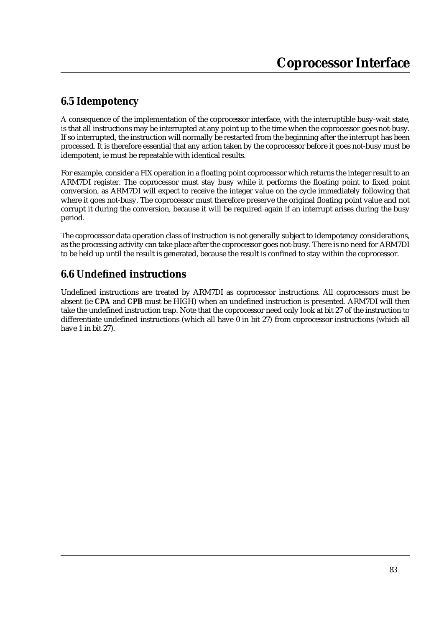## **6.5 Idempotency**

A consequence of the implementation of the coprocessor interface, with the interruptible busy-wait state, is that all instructions may be interrupted at any point up to the time when the coprocessor goes not-busy. If so interrupted, the instruction will normally be restarted from the beginning after the interrupt has been processed. It is therefore essential that any action taken by the coprocessor before it goes not-busy must be idempotent, ie must be repeatable with identical results.

For example, consider a FIX operation in a floating point coprocessor which returns the integer result to an ARM7DI register. The coprocessor must stay busy while it performs the floating point to fixed point conversion, as ARM7DI will expect to receive the integer value on the cycle immediately following that where it goes not-busy. The coprocessor must therefore preserve the original floating point value and not corrupt it during the conversion, because it will be required again if an interrupt arises during the busy period.

The coprocessor data operation class of instruction is not generally subject to idempotency considerations, as the processing activity can take place after the coprocessor goes not-busy. There is no need for ARM7DI to be held up until the result is generated, because the result is confined to stay within the coprocessor.

## **6.6 Undefined instructions**

Undefined instructions are treated by ARM7DI as coprocessor instructions. All coprocessors must be absent (ie **CPA** and **CPB** must be HIGH) when an undefined instruction is presented. ARM7DI will then take the undefined instruction trap. Note that the coprocessor need only look at bit 27 of the instruction to differentiate undefined instructions (which all have 0 in bit 27) from coprocessor instructions (which all have 1 in bit 27).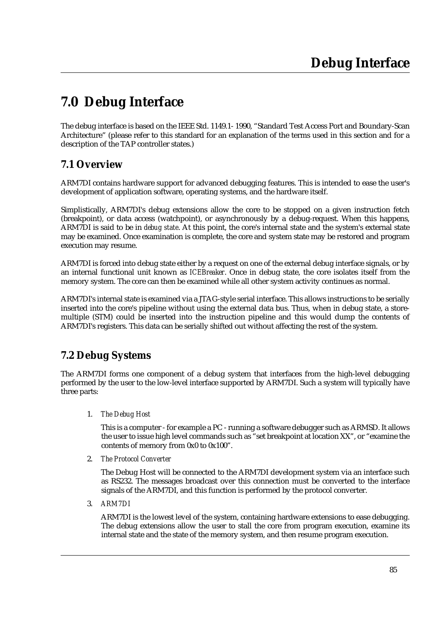# **7.0 Debug Interface**

The debug interface is based on the IEEE Std. 1149.1- 1990, "Standard Test Access Port and Boundary-Scan Architecture" (please refer to this standard for an explanation of the terms used in this section and for a description of the TAP controller states.)

## **7.1 Overview**

ARM7DI contains hardware support for advanced debugging features. This is intended to ease the user's development of application software, operating systems, and the hardware itself.

Simplistically, ARM7DI's debug extensions allow the core to be stopped on a given instruction fetch (breakpoint), or data access (watchpoint), or asynchronously by a debug-request. When this happens, ARM7DI is said to be in *debug state*. At this point, the core's internal state and the system's external state may be examined. Once examination is complete, the core and system state may be restored and program execution may resume.

ARM7DI is forced into debug state either by a request on one of the external debug interface signals, or by an internal functional unit known as *ICEBreaker*. Once in debug state, the core isolates itself from the memory system. The core can then be examined while all other system activity continues as normal.

ARM7DI's internal state is examined via a JTAG-style serial interface. This allows instructions to be serially inserted into the core's pipeline without using the external data bus. Thus, when in debug state, a storemultiple (STM) could be inserted into the instruction pipeline and this would dump the contents of ARM7DI's registers. This data can be serially shifted out without affecting the rest of the system.

## **7.2 Debug Systems**

The ARM7DI forms one component of a debug system that interfaces from the high-level debugging performed by the user to the low-level interface supported by ARM7DI. Such a system will typically have three parts:

1. *The Debug Host*

This is a computer - for example a PC - running a software debugger such as ARMSD. It allows the user to issue high level commands such as "set breakpoint at location XX", or "examine the contents of memory from 0x0 to 0x100".

2. *The Protocol Converter*

The Debug Host will be connected to the ARM7DI development system via an interface such as RS232. The messages broadcast over this connection must be converted to the interface signals of the ARM7DI, and this function is performed by the protocol converter.

3. *ARM7DI*

ARM7DI is the lowest level of the system, containing hardware extensions to ease debugging. The debug extensions allow the user to stall the core from program execution, examine its internal state and the state of the memory system, and then resume program execution.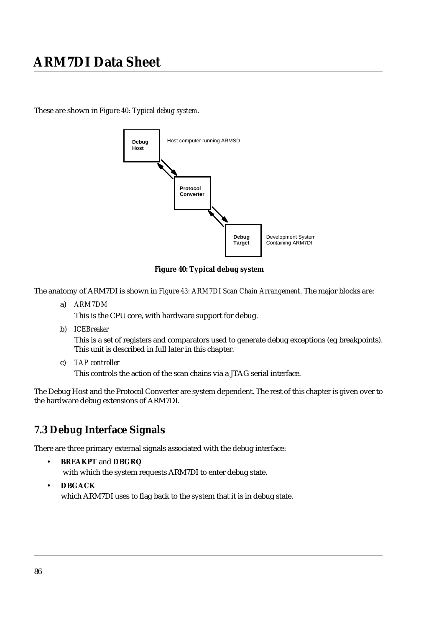These are shown in *Figure 40: Typical debug system*.



 **Figure 40: Typical debug system**

The anatomy of ARM7DI is shown in *Figure 43: ARM7DI Scan Chain Arrangement*. The major blocks are:

a) *ARM7DM*

This is the CPU core, with hardware support for debug.

b) *ICEBreaker*

This is a set of registers and comparators used to generate debug exceptions (eg breakpoints). This unit is described in full later in this chapter.

c) *TAP controller*

This controls the action of the scan chains via a JTAG serial interface.

The Debug Host and the Protocol Converter are system dependent. The rest of this chapter is given over to the hardware debug extensions of ARM7DI.

## **7.3 Debug Interface Signals**

There are three primary external signals associated with the debug interface:

• **BREAKPT** and **DBGRQ**

with which the system requests ARM7DI to enter debug state.

• **DBGACK**

which ARM7DI uses to flag back to the system that it is in debug state.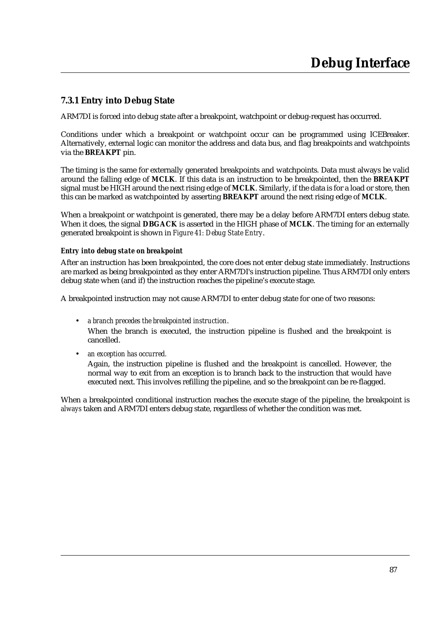### **7.3.1 Entry into Debug State**

ARM7DI is forced into debug state after a breakpoint, watchpoint or debug-request has occurred.

Conditions under which a breakpoint or watchpoint occur can be programmed using ICEBreaker. Alternatively, external logic can monitor the address and data bus, and flag breakpoints and watchpoints via the **BREAKPT** pin.

The timing is the same for externally generated breakpoints and watchpoints. Data must always be valid around the falling edge of **MCLK**. If this data is an instruction to be breakpointed, then the **BREAKPT** signal must be HIGH around the next rising edge of **MCLK**. Similarly, if the data is for a load or store, then this can be marked as watchpointed by asserting **BREAKPT** around the next rising edge of **MCLK**.

When a breakpoint or watchpoint is generated, there may be a delay before ARM7DI enters debug state. When it does, the signal **DBGACK** is asserted in the HIGH phase of **MCLK**. The timing for an externally generated breakpoint is shown in *Figure 41: Debug State Entry*.

#### *Entry into debug state on breakpoint*

After an instruction has been breakpointed, the core does not enter debug state immediately. Instructions are marked as being breakpointed as they enter ARM7DI's instruction pipeline. Thus ARM7DI only enters debug state when (and if) the instruction reaches the pipeline's execute stage.

A breakpointed instruction may not cause ARM7DI to enter debug state for one of two reasons:

• *a branch precedes the breakpointed instruction*.

When the branch is executed, the instruction pipeline is flushed and the breakpoint is cancelled.

• *an exception has occurred.*

Again, the instruction pipeline is flushed and the breakpoint is cancelled. However, the normal way to exit from an exception is to branch back to the instruction that would have executed next. This involves refilling the pipeline, and so the breakpoint can be re-flagged.

When a breakpointed conditional instruction reaches the execute stage of the pipeline, the breakpoint is *always* taken and ARM7DI enters debug state, regardless of whether the condition was met.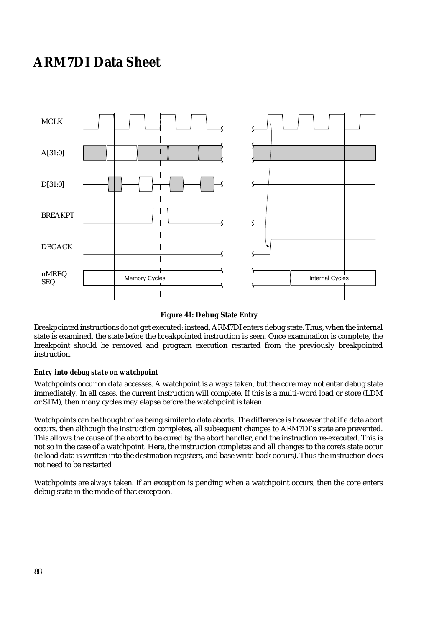

#### **Figure 41: Debug State Entry**

Breakpointed instructions *do not* get executed: instead, ARM7DI enters debug state. Thus, when the internal state is examined, the state *before* the breakpointed instruction is seen. Once examination is complete, the breakpoint should be removed and program execution restarted from the previously breakpointed instruction.

#### *Entry into debug state on watchpoint*

Watchpoints occur on data accesses. A watchpoint is always taken, but the core may not enter debug state immediately. In all cases, the current instruction will complete. If this is a multi-word load or store (LDM or STM), then many cycles may elapse before the watchpoint is taken.

Watchpoints can be thought of as being similar to data aborts. The difference is however that if a data abort occurs, then although the instruction completes, all subsequent changes to ARM7DI's state are prevented. This allows the cause of the abort to be cured by the abort handler, and the instruction re-executed. This is not so in the case of a watchpoint. Here, the instruction completes and all changes to the core's state occur (ie load data is written into the destination registers, and base write-back occurs). Thus the instruction does not need to be restarted

Watchpoints are *always* taken. If an exception is pending when a watchpoint occurs, then the core enters debug state in the mode of that exception.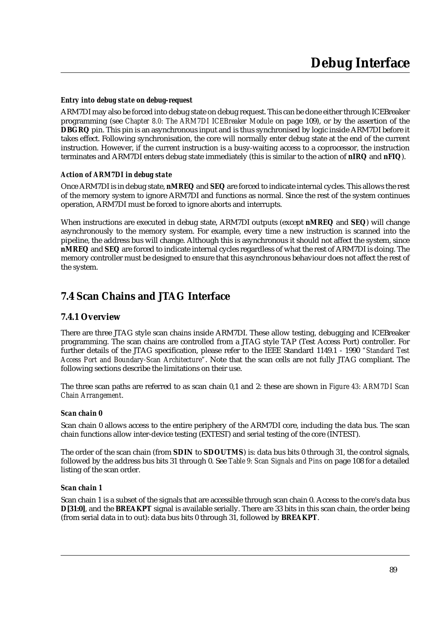#### *Entry into debug state on debug-request*

ARM7DI may also be forced into debug state on debug request. This can be done either through ICEBreaker programming (see *Chapter 8.0: The ARM7DI ICEBreaker Module* on page 109), or by the assertion of the **DBGRQ** pin. This pin is an asynchronous input and is thus synchronised by logic inside ARM7DI before it takes effect. Following synchronisation, the core will normally enter debug state at the end of the current instruction. However, if the current instruction is a busy-waiting access to a coprocessor, the instruction terminates and ARM7DI enters debug state immediately (this is similar to the action of **nIRQ** and **nFIQ**).

#### *Action of ARM7DI in debug state*

Once ARM7DI is in debug state, **nMREQ** and **SEQ** are forced to indicate internal cycles. This allows the rest of the memory system to ignore ARM7DI and functions as normal. Since the rest of the system continues operation, ARM7DI must be forced to ignore aborts and interrupts.

When instructions are executed in debug state, ARM7DI outputs (except **nMREQ** and **SEQ**) will change asynchronously to the memory system. For example, every time a new instruction is scanned into the pipeline, the address bus will change. Although this is asynchronous it should not affect the system, since **nMREQ** and **SEQ** are forced to indicate internal cycles regardless of what the rest of ARM7DI is doing. The memory controller must be designed to ensure that this asynchronous behaviour does not affect the rest of the system.

## **7.4 Scan Chains and JTAG Interface**

#### **7.4.1 Overview**

There are three JTAG style scan chains inside ARM7DI. These allow testing, debugging and ICEBreaker programming. The scan chains are controlled from a JTAG style TAP (Test Access Port) controller. For further details of the JTAG specification, please refer to the IEEE Standard 1149.1 - 1990 *"Standard Test Access Port and Boundary-Scan Architecture"*. Note that the scan cells are not fully JTAG compliant. The following sections describe the limitations on their use.

The three scan paths are referred to as scan chain 0,1 and 2: these are shown in *Figure 43: ARM7DI Scan Chain Arrangement*.

#### *Scan chain 0*

Scan chain 0 allows access to the entire periphery of the ARM7DI core, including the data bus. The scan chain functions allow inter-device testing (EXTEST) and serial testing of the core (INTEST).

The order of the scan chain (from **SDIN** to **SDOUTMS**) is: data bus bits 0 through 31, the control signals, followed by the address bus bits 31 through 0. See *Table 9: Scan Signals and Pins* on page 108 for a detailed listing of the scan order.

#### *Scan chain 1*

Scan chain 1 is a subset of the signals that are accessible through scan chain 0. Access to the core's data bus **D[31:0]**, and the **BREAKPT** signal is available serially. There are 33 bits in this scan chain, the order being (from serial data in to out): data bus bits 0 through 31, followed by **BREAKPT**.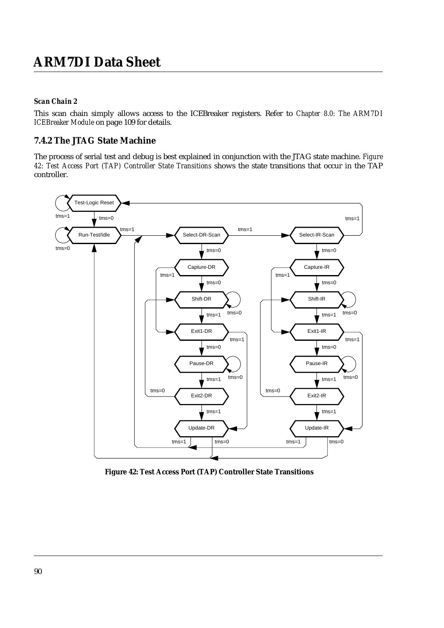#### *Scan Chain 2*

This scan chain simply allows access to the ICEBreaker registers. Refer to *Chapter 8.0: The ARM7DI ICEBreaker Module* on page 109 for details.

### **7.4.2 The JTAG State Machine**

The process of serial test and debug is best explained in conjunction with the JTAG state machine. *Figure 42: Test Access Port (TAP) Controller State Transitions* shows the state transitions that occur in the TAP controller.



 **Figure 42: Test Access Port (TAP) Controller State Transitions**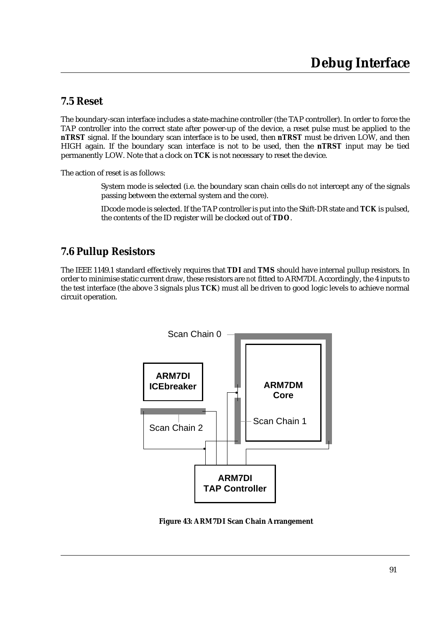## **7.5 Reset**

The boundary-scan interface includes a state-machine controller (the TAP controller). In order to force the TAP controller into the correct state after power-up of the device, a reset pulse must be applied to the **nTRST** signal. If the boundary scan interface is to be used, then **nTRST** must be driven LOW, and then HIGH again. If the boundary scan interface is not to be used, then the **nTRST** input may be tied permanently LOW. Note that a clock on **TCK** is not necessary to reset the device.

The action of reset is as follows:

System mode is selected (i.e. the boundary scan chain cells do *not* intercept any of the signals passing between the external system and the core).

IDcode mode is selected. If the TAP controller is put into the Shift-DR state and **TCK** is pulsed, the contents of the ID register will be clocked out of **TDO**.

## **7.6 Pullup Resistors**

The IEEE 1149.1 standard effectively requires that **TDI** and **TMS** should have internal pullup resistors. In order to minimise static current draw, these resistors are *not* fitted to ARM7DI. Accordingly, the 4 inputs to the test interface (the above 3 signals plus **TCK**) must all be driven to good logic levels to achieve normal circuit operation.



 **Figure 43: ARM7DI Scan Chain Arrangement**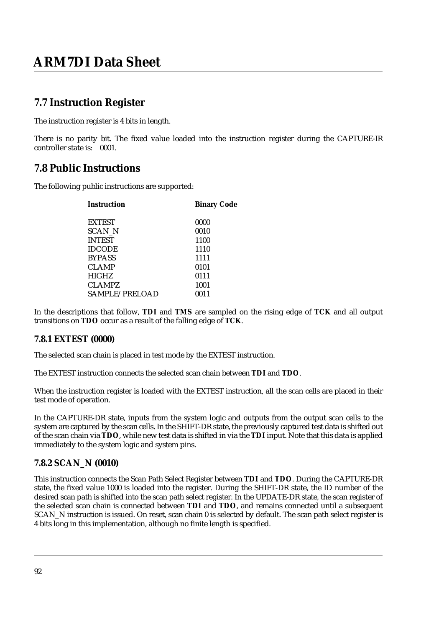## **7.7 Instruction Register**

The instruction register is 4 bits in length.

There is no parity bit. The fixed value loaded into the instruction register during the CAPTURE-IR controller state is: 0001.

## **7.8 Public Instructions**

The following public instructions are supported:

| <b>Binary Code</b> |
|--------------------|
| 0000               |
| 0010               |
| 1100               |
| 1110               |
| 1111               |
| 0101               |
| 0111               |
| 1001               |
| 0011               |
|                    |

In the descriptions that follow, **TDI** and **TMS** are sampled on the rising edge of **TCK** and all output transitions on **TDO** occur as a result of the falling edge of **TCK**.

### **7.8.1 EXTEST (0000)**

The selected scan chain is placed in test mode by the EXTEST instruction.

The EXTEST instruction connects the selected scan chain between **TDI** and **TDO**.

When the instruction register is loaded with the EXTEST instruction, all the scan cells are placed in their test mode of operation.

In the CAPTURE-DR state, inputs from the system logic and outputs from the output scan cells to the system are captured by the scan cells. In the SHIFT-DR state, the previously captured test data is shifted out of the scan chain via **TDO**, while new test data is shifted in via the **TDI** input. Note that this data is applied immediately to the system logic and system pins.

### **7.8.2 SCAN\_N (0010)**

This instruction connects the Scan Path Select Register between **TDI** and **TDO**. During the CAPTURE-DR state, the fixed value 1000 is loaded into the register. During the SHIFT-DR state, the ID number of the desired scan path is shifted into the scan path select register. In the UPDATE-DR state, the scan register of the selected scan chain is connected between **TDI** and **TDO**, and remains connected until a subsequent SCAN N instruction is issued. On reset, scan chain 0 is selected by default. The scan path select register is 4 bits long in this implementation, although no finite length is specified.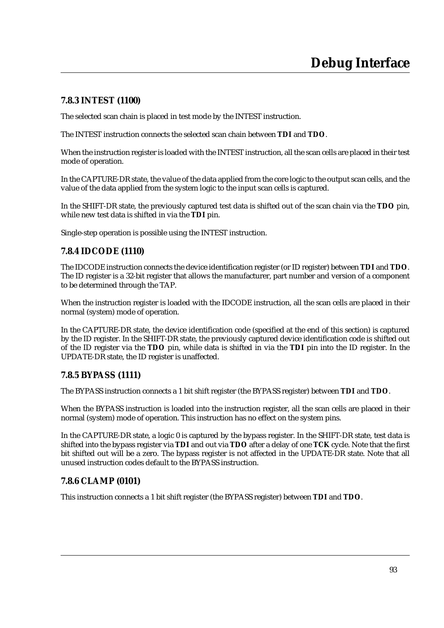### **7.8.3 INTEST (1100)**

The selected scan chain is placed in test mode by the INTEST instruction.

The INTEST instruction connects the selected scan chain between **TDI** and **TDO**.

When the instruction register is loaded with the INTEST instruction, all the scan cells are placed in their test mode of operation.

In the CAPTURE-DR state, the value of the data applied from the core logic to the output scan cells, and the value of the data applied from the system logic to the input scan cells is captured.

In the SHIFT-DR state, the previously captured test data is shifted out of the scan chain via the **TDO** pin, while new test data is shifted in via the **TDI** pin.

Single-step operation is possible using the INTEST instruction.

### **7.8.4 IDCODE (1110)**

The IDCODE instruction connects the device identification register (or ID register) between **TDI** and **TDO**. The ID register is a 32-bit register that allows the manufacturer, part number and version of a component to be determined through the TAP.

When the instruction register is loaded with the IDCODE instruction, all the scan cells are placed in their normal (system) mode of operation.

In the CAPTURE-DR state, the device identification code (specified at the end of this section) is captured by the ID register. In the SHIFT-DR state, the previously captured device identification code is shifted out of the ID register via the **TDO** pin, while data is shifted in via the **TDI** pin into the ID register. In the UPDATE-DR state, the ID register is unaffected.

### **7.8.5 BYPASS (1111)**

The BYPASS instruction connects a 1 bit shift register (the BYPASS register) between **TDI** and **TDO**.

When the BYPASS instruction is loaded into the instruction register, all the scan cells are placed in their normal (system) mode of operation. This instruction has no effect on the system pins.

In the CAPTURE-DR state, a logic 0 is captured by the bypass register. In the SHIFT-DR state, test data is shifted into the bypass register via **TDI** and out via **TDO** after a delay of one **TCK** cycle. Note that the first bit shifted out will be a zero. The bypass register is not affected in the UPDATE-DR state. Note that all unused instruction codes default to the BYPASS instruction.

### **7.8.6 CLAMP (0101)**

This instruction connects a 1 bit shift register (the BYPASS register) between **TDI** and **TDO**.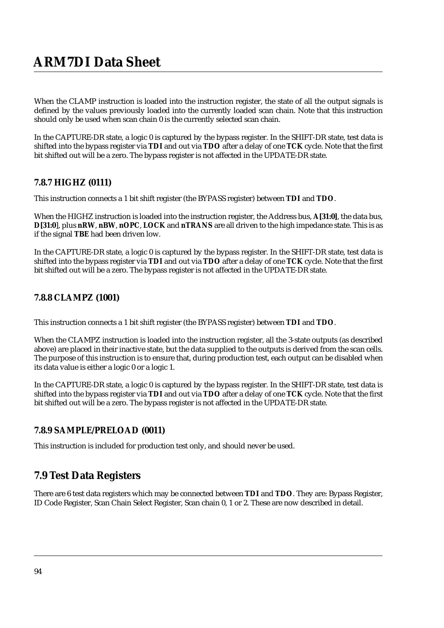When the CLAMP instruction is loaded into the instruction register, the state of all the output signals is defined by the values previously loaded into the currently loaded scan chain. Note that this instruction should only be used when scan chain 0 is the currently selected scan chain.

In the CAPTURE-DR state, a logic 0 is captured by the bypass register. In the SHIFT-DR state, test data is shifted into the bypass register via **TDI** and out via **TDO** after a delay of one **TCK** cycle. Note that the first bit shifted out will be a zero. The bypass register is not affected in the UPDATE-DR state.

### **7.8.7 HIGHZ (0111)**

This instruction connects a 1 bit shift register (the BYPASS register) between **TDI** and **TDO**.

When the HIGHZ instruction is loaded into the instruction register, the Address bus, **A[31:0]**, the data bus, **D[31:0**], plus **nRW**, **nBW**, **nOPC**, **LOCK** and **nTRANS** are all driven to the high impedance state. This is as if the signal **TBE** had been driven low.

In the CAPTURE-DR state, a logic 0 is captured by the bypass register. In the SHIFT-DR state, test data is shifted into the bypass register via **TDI** and out via **TDO** after a delay of one **TCK** cycle. Note that the first bit shifted out will be a zero. The bypass register is not affected in the UPDATE-DR state.

### **7.8.8 CLAMPZ (1001)**

This instruction connects a 1 bit shift register (the BYPASS register) between **TDI** and **TDO**.

When the CLAMPZ instruction is loaded into the instruction register, all the 3-state outputs (as described above) are placed in their inactive state, but the data supplied to the outputs is derived from the scan cells. The purpose of this instruction is to ensure that, during production test, each output can be disabled when its data value is either a logic 0 or a logic 1.

In the CAPTURE-DR state, a logic 0 is captured by the bypass register. In the SHIFT-DR state, test data is shifted into the bypass register via **TDI** and out via **TDO** after a delay of one **TCK** cycle. Note that the first bit shifted out will be a zero. The bypass register is not affected in the UPDATE-DR state.

### **7.8.9 SAMPLE/PRELOAD (0011)**

This instruction is included for production test only, and should never be used.

## **7.9 Test Data Registers**

There are 6 test data registers which may be connected between **TDI** and **TDO**. They are: Bypass Register, ID Code Register, Scan Chain Select Register, Scan chain 0, 1 or 2. These are now described in detail.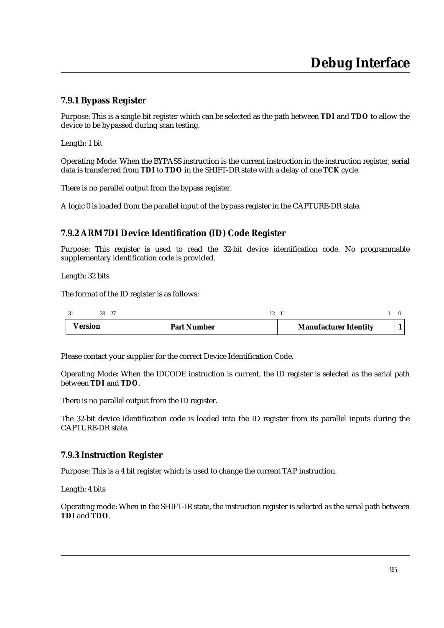### **7.9.1 Bypass Register**

Purpose: This is a single bit register which can be selected as the path between **TDI** and **TDO** to allow the device to be bypassed during scan testing.

Length: 1 bit

Operating Mode: When the BYPASS instruction is the current instruction in the instruction register, serial data is transferred from **TDI** to **TDO** in the SHIFT-DR state with a delay of one **TCK** cycle.

There is no parallel output from the bypass register.

A logic 0 is loaded from the parallel input of the bypass register in the CAPTURE-DR state.

### **7.9.2 ARM7DI Device Identification (ID) Code Register**

Purpose: This register is used to read the 32-bit device identification code. No programmable supplementary identification code is provided.

Length: 32 bits

The format of the ID register is as follows:

| 31 | 28            | 27 |                    |                              |  |
|----|---------------|----|--------------------|------------------------------|--|
|    | <i>ersion</i> |    | <b>Part Number</b> | <b>Manufacturer Identity</b> |  |

Please contact your supplier for the correct Device Identification Code.

Operating Mode: When the IDCODE instruction is current, the ID register is selected as the serial path between **TDI** and **TDO**.

There is no parallel output from the ID register.

The 32-bit device identification code is loaded into the ID register from its parallel inputs during the CAPTURE-DR state.

### **7.9.3 Instruction Register**

Purpose: This is a 4 bit register which is used to change the current TAP instruction.

Length: 4 bits

Operating mode: When in the SHIFT-IR state, the instruction register is selected as the serial path between **TDI** and **TDO**.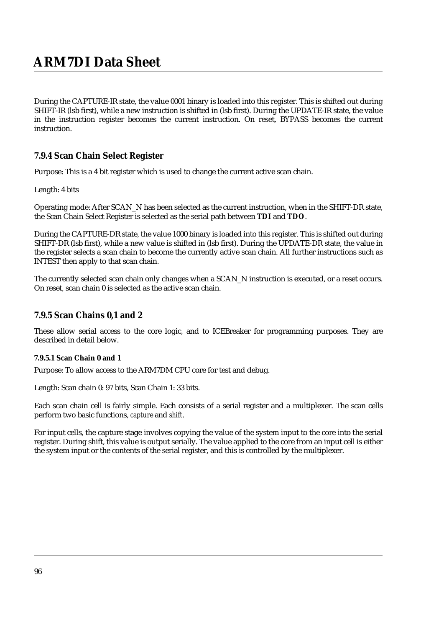During the CAPTURE-IR state, the value 0001 binary is loaded into this register. This is shifted out during SHIFT-IR (lsb first), while a new instruction is shifted in (lsb first). During the UPDATE-IR state, the value in the instruction register becomes the current instruction. On reset, BYPASS becomes the current instruction.

### **7.9.4 Scan Chain Select Register**

Purpose: This is a 4 bit register which is used to change the current active scan chain.

Length: 4 bits

Operating mode: After SCAN\_N has been selected as the current instruction, when in the SHIFT-DR state, the Scan Chain Select Register is selected as the serial path between **TDI** and **TDO**.

During the CAPTURE-DR state, the value 1000 binary is loaded into this register. This is shifted out during SHIFT-DR (lsb first), while a new value is shifted in (lsb first). During the UPDATE-DR state, the value in the register selects a scan chain to become the currently active scan chain. All further instructions such as INTEST then apply to that scan chain.

The currently selected scan chain only changes when a SCAN\_N instruction is executed, or a reset occurs. On reset, scan chain 0 is selected as the active scan chain.

### **7.9.5 Scan Chains 0,1 and 2**

These allow serial access to the core logic, and to ICEBreaker for programming purposes. They are described in detail below.

#### **7.9.5.1 Scan Chain 0 and 1**

Purpose: To allow access to the ARM7DM CPU core for test and debug.

Length: Scan chain 0: 97 bits, Scan Chain 1: 33 bits.

Each scan chain cell is fairly simple. Each consists of a serial register and a multiplexer. The scan cells perform two basic functions, *capture* and *shift*.

For input cells, the capture stage involves copying the value of the system input to the core into the serial register. During shift, this value is output serially. The value applied to the core from an input cell is either the system input or the contents of the serial register, and this is controlled by the multiplexer.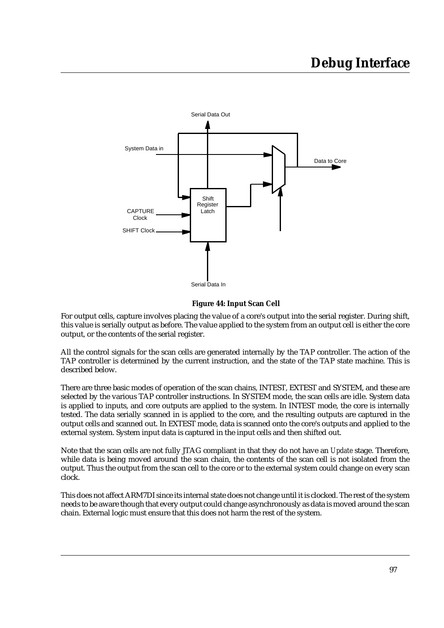

 **Figure 44: Input Scan Cell**

For output cells, capture involves placing the value of a core's output into the serial register. During shift, this value is serially output as before. The value applied to the system from an output cell is either the core output, or the contents of the serial register.

All the control signals for the scan cells are generated internally by the TAP controller. The action of the TAP controller is determined by the current instruction, and the state of the TAP state machine. This is described below.

There are three basic modes of operation of the scan chains, INTEST, EXTEST and SYSTEM, and these are selected by the various TAP controller instructions. In SYSTEM mode, the scan cells are idle. System data is applied to inputs, and core outputs are applied to the system. In INTEST mode, the core is internally tested. The data serially scanned in is applied to the core, and the resulting outputs are captured in the output cells and scanned out. In EXTEST mode, data is scanned onto the core's outputs and applied to the external system. System input data is captured in the input cells and then shifted out.

Note that the scan cells are not fully JTAG compliant in that they do not have an *Update* stage. Therefore, while data is being moved around the scan chain, the contents of the scan cell is not isolated from the output. Thus the output from the scan cell to the core or to the external system could change on every scan clock.

This does not affect ARM7DI since its internal state does not change until it is clocked. The rest of the system needs to be aware though that every output could change asynchronously as data is moved around the scan chain. External logic must ensure that this does not harm the rest of the system.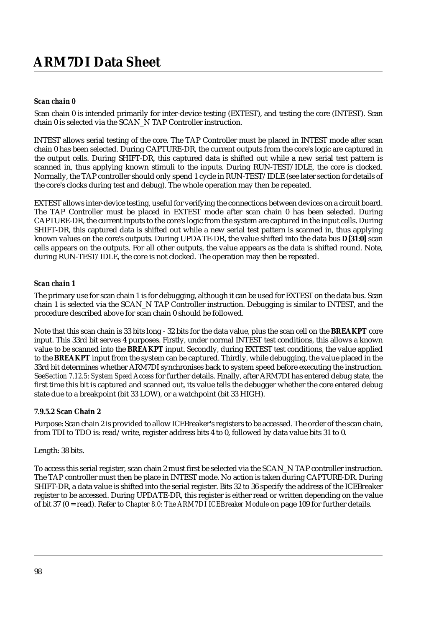#### *Scan chain 0*

Scan chain 0 is intended primarily for inter-device testing (EXTEST), and testing the core (INTEST). Scan chain 0 is selected via the SCAN\_N TAP Controller instruction.

INTEST allows serial testing of the core. The TAP Controller must be placed in INTEST mode after scan chain 0 has been selected. During CAPTURE-DR, the current outputs from the core's logic are captured in the output cells. During SHIFT-DR, this captured data is shifted out while a new serial test pattern is scanned in, thus applying known stimuli to the inputs. During RUN-TEST/IDLE, the core is clocked. Normally, the TAP controller should only spend 1 cycle in RUN-TEST/IDLE (see later section for details of the core's clocks during test and debug). The whole operation may then be repeated.

EXTEST allows inter-device testing, useful for verifying the connections between devices on a circuit board. The TAP Controller must be placed in EXTEST mode after scan chain 0 has been selected. During CAPTURE-DR, the current inputs to the core's logic from the system are captured in the input cells. During SHIFT-DR, this captured data is shifted out while a new serial test pattern is scanned in, thus applying known values on the core's outputs. During UPDATE-DR, the value shifted into the data bus **D[31:0]** scan cells appears on the outputs. For all other outputs, the value appears as the data is shifted round. Note, during RUN-TEST/IDLE, the core is not clocked. The operation may then be repeated.

#### *Scan chain 1*

The primary use for scan chain 1 is for debugging, although it can be used for EXTEST on the data bus. Scan chain 1 is selected via the SCAN\_N TAP Controller instruction. Debugging is similar to INTEST, and the procedure described above for scan chain 0 should be followed.

Note that this scan chain is 33 bits long - 32 bits for the data value, plus the scan cell on the **BREAKPT** core input. This 33rd bit serves 4 purposes. Firstly, under normal INTEST test conditions, this allows a known value to be scanned into the **BREAKPT** input. Secondly, during EXTEST test conditions, the value applied to the **BREAKPT** input from the system can be captured. Thirdly, while debugging, the value placed in the 33rd bit determines whether ARM7DI synchronises back to system speed before executing the instruction. See*Section 7.12.5: System Speed Access* for further details. Finally, after ARM7DI has entered debug state, the first time this bit is captured and scanned out, its value tells the debugger whether the core entered debug state due to a breakpoint (bit 33 LOW), or a watchpoint (bit 33 HIGH).

#### **7.9.5.2 Scan Chain 2**

Purpose: Scan chain 2 is provided to allow ICEBreaker's registers to be accessed. The order of the scan chain, from TDI to TDO is: read/write, register address bits 4 to 0, followed by data value bits 31 to 0.

#### Length: 38 bits.

To access this serial register, scan chain 2 must first be selected via the SCAN\_N TAP controller instruction. The TAP controller must then be place in INTEST mode. No action is taken during CAPTURE-DR. During SHIFT-DR, a data value is shifted into the serial register. Bits 32 to 36 specify the address of the ICEBreaker register to be accessed. During UPDATE-DR, this register is either read or written depending on the value of bit 37 (0 = read). Refer to *Chapter 8.0: The ARM7DI ICEBreaker Module* on page 109 for further details.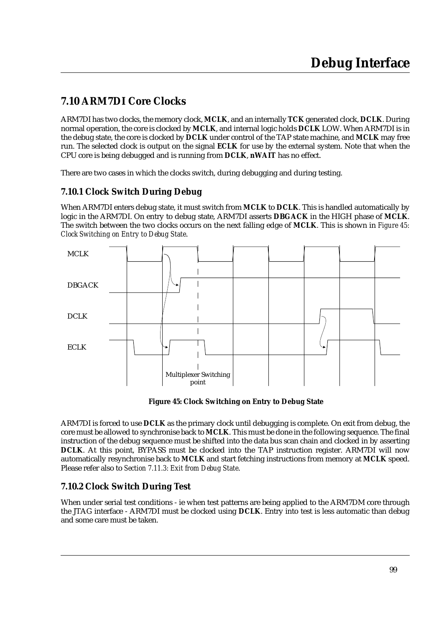## **7.10 ARM7DI Core Clocks**

ARM7DI has two clocks, the memory clock, **MCLK**, and an internally **TCK** generated clock, **DCLK**. During normal operation, the core is clocked by **MCLK**, and internal logic holds **DCLK** LOW. When ARM7DI is in the debug state, the core is clocked by **DCLK** under control of the TAP state machine, and **MCLK** may free run. The selected clock is output on the signal **ECLK** for use by the external system. Note that when the CPU core is being debugged and is running from **DCLK**, **nWAIT** has no effect.

There are two cases in which the clocks switch, during debugging and during testing.

### **7.10.1 Clock Switch During Debug**

When ARM7DI enters debug state, it must switch from **MCLK** to **DCLK**. This is handled automatically by logic in the ARM7DI. On entry to debug state, ARM7DI asserts **DBGACK** in the HIGH phase of **MCLK**. The switch between the two clocks occurs on the next falling edge of **MCLK**. This is shown in *Figure 45: Clock Switching on Entry to Debug State*.



 **Figure 45: Clock Switching on Entry to Debug State**

ARM7DI is forced to use **DCLK** as the primary clock until debugging is complete. On exit from debug, the core must be allowed to synchronise back to **MCLK**. This must be done in the following sequence. The final instruction of the debug sequence must be shifted into the data bus scan chain and clocked in by asserting **DCLK**. At this point, BYPASS must be clocked into the TAP instruction register. ARM7DI will now automatically resynchronise back to **MCLK** and start fetching instructions from memory at **MCLK** speed. Please refer also to *Section 7.11.3: Exit from Debug State*.

### **7.10.2 Clock Switch During Test**

When under serial test conditions - ie when test patterns are being applied to the ARM7DM core through the JTAG interface - ARM7DI must be clocked using **DCLK**. Entry into test is less automatic than debug and some care must be taken.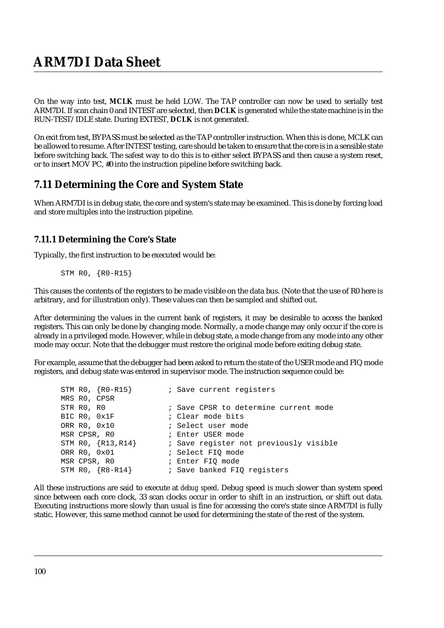On the way into test, **MCLK** must be held LOW. The TAP controller can now be used to serially test ARM7DI. If scan chain 0 and INTEST are selected, then **DCLK** is generated while the state machine is in the RUN-TEST/IDLE state. During EXTEST, **DCLK** is not generated.

On exit from test, BYPASS must be selected as the TAP controller instruction. When this is done, MCLK can be allowed to resume. After INTEST testing, care should be taken to ensure that the core is in a sensible state before switching back. The safest way to do this is to either select BYPASS and then cause a system reset, or to insert MOV PC, #0 into the instruction pipeline before switching back.

## **7.11 Determining the Core and System State**

When ARM7DI is in debug state, the core and system's state may be examined. This is done by forcing load and store multiples into the instruction pipeline.

### **7.11.1 Determining the Core's State**

Typically, the first instruction to be executed would be:

STM R0, {R0-R15}

This causes the contents of the registers to be made visible on the data bus. (Note that the use of R0 here is arbitrary, and for illustration only). These values can then be sampled and shifted out.

After determining the values in the current bank of registers, it may be desirable to access the banked registers. This can only be done by changing mode. Normally, a mode change may only occur if the core is already in a privileged mode. However, while in debug state, a mode change from any mode into any other mode may occur. Note that the debugger must restore the original mode before exiting debug state.

For example, assume that the debugger had been asked to return the state of the USER mode and FIQ mode registers, and debug state was entered in supervisor mode. The instruction sequence could be:

|            | STM RO, {RO-R15}  | ; Save current registers               |
|------------|-------------------|----------------------------------------|
|            | MRS RO, CPSR      |                                        |
| STR RO, RO |                   | ; Save CPSR to determine current mode  |
|            | BIC RO, Ox1F      | ; Clear mode bits                      |
|            | ORR R0, 0x10      | ; Select user mode                     |
|            | MSR CPSR, RO      | ; Enter USER mode                      |
|            | STM RO, {R13,R14} | ; Save register not previously visible |
|            | ORR R0, 0x01      | ; Select FIQ mode                      |
|            | MSR CPSR, RO      | ; Enter FIO mode                       |
|            | STM RO, {R8-R14}  | ; Save banked FIQ registers            |
|            |                   |                                        |

All these instructions are said to execute at *debug speed*. Debug speed is much slower than system speed since between each core clock, 33 scan clocks occur in order to shift in an instruction, or shift out data. Executing instructions more slowly than usual is fine for accessing the core's state since ARM7DI is fully static. However, this same method cannot be used for determining the state of the rest of the system.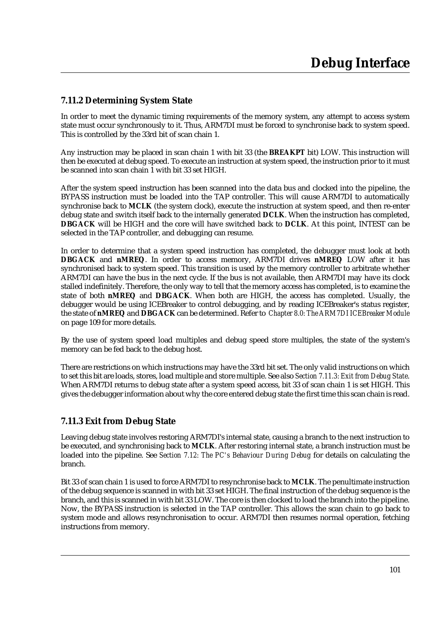### **7.11.2 Determining System State**

In order to meet the dynamic timing requirements of the memory system, any attempt to access system state must occur synchronously to it. Thus, ARM7DI must be forced to synchronise back to system speed. This is controlled by the 33rd bit of scan chain 1.

Any instruction may be placed in scan chain 1 with bit 33 (the **BREAKPT** bit) LOW. This instruction will then be executed at debug speed. To execute an instruction at system speed, the instruction prior to it must be scanned into scan chain 1 with bit 33 set HIGH.

After the system speed instruction has been scanned into the data bus and clocked into the pipeline, the BYPASS instruction must be loaded into the TAP controller. This will cause ARM7DI to automatically synchronise back to **MCLK** (the system clock), execute the instruction at system speed, and then re-enter debug state and switch itself back to the internally generated **DCLK**. When the instruction has completed, **DBGACK** will be HIGH and the core will have switched back to **DCLK**. At this point, INTEST can be selected in the TAP controller, and debugging can resume.

In order to determine that a system speed instruction has completed, the debugger must look at both **DBGACK** and **nMREQ**. In order to access memory, ARM7DI drives **nMREQ** LOW after it has synchronised back to system speed. This transition is used by the memory controller to arbitrate whether ARM7DI can have the bus in the next cycle. If the bus is not available, then ARM7DI may have its clock stalled indefinitely. Therefore, the only way to tell that the memory access has completed, is to examine the state of both **nMREQ** and **DBGACK**. When both are HIGH, the access has completed. Usually, the debugger would be using ICEBreaker to control debugging, and by reading ICEBreaker's status register, the state of **nMREQ** and **DBGACK** can be determined. Refer to *Chapter 8.0: The ARM7DI ICEBreaker Module* on page 109 for more details.

By the use of system speed load multiples and debug speed store multiples, the state of the system's memory can be fed back to the debug host.

There are restrictions on which instructions may have the 33rd bit set. The only valid instructions on which to set this bit are loads, stores, load multiple and store multiple. See also *Section 7.11.3: Exit from Debug State*. When ARM7DI returns to debug state after a system speed access, bit 33 of scan chain 1 is set HIGH. This gives the debugger information about why the core entered debug state the first time this scan chain is read.

### **7.11.3 Exit from Debug State**

Leaving debug state involves restoring ARM7DI's internal state, causing a branch to the next instruction to be executed, and synchronising back to **MCLK**. After restoring internal state, a branch instruction must be loaded into the pipeline. See *Section 7.12: The PC's Behaviour During Debug* for details on calculating the branch.

Bit 33 of scan chain 1 is used to force ARM7DI to resynchronise back to **MCLK**. The penultimate instruction of the debug sequence is scanned in with bit 33 set HIGH. The final instruction of the debug sequence is the branch, and this is scanned in with bit 33 LOW. The core is then clocked to load the branch into the pipeline. Now, the BYPASS instruction is selected in the TAP controller. This allows the scan chain to go back to system mode and allows resynchronisation to occur. ARM7DI then resumes normal operation, fetching instructions from memory.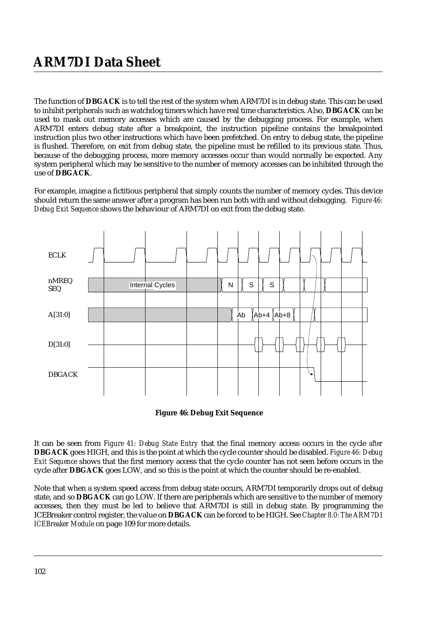The function of **DBGACK** is to tell the rest of the system when ARM7DI is in debug state. This can be used to inhibit peripherals such as watchdog timers which have real time characteristics. Also, **DBGACK** can be used to mask out memory accesses which are caused by the debugging process. For example, when ARM7DI enters debug state after a breakpoint, the instruction pipeline contains the breakpointed instruction plus two other instructions which have been prefetched. On entry to debug state, the pipeline is flushed. Therefore, on exit from debug state, the pipeline must be refilled to its previous state. Thus, because of the debugging process, more memory accesses occur than would normally be expected. Any system peripheral which may be sensitive to the number of memory accesses can be inhibited through the use of **DBGACK**.

For example, imagine a fictitious peripheral that simply counts the number of memory cycles. This device should return the same answer after a program has been run both with and without debugging. *Figure 46: Debug Exit Sequence* shows the behaviour of ARM7DI on exit from the debug state.



 **Figure 46: Debug Exit Sequence**

It can be seen from *Figure 41: Debug State Entry* that the final memory access occurs in the cycle *after* **DBGACK** goes HIGH, and this is the point at which the cycle counter should be disabled. *Figure 46: Debug Exit Sequence* shows that the first memory access that the cycle counter has not seen before occurs in the cycle after **DBGACK** goes LOW, and so this is the point at which the counter should be re-enabled.

Note that when a system speed access from debug state occurs, ARM7DI temporarily drops out of debug state, and so **DBGACK** can go LOW. If there are peripherals which are sensitive to the number of memory accesses, then they must be led to believe that ARM7DI is still in debug state. By programming the ICEBreaker control register, the value on **DBGACK** can be forced to be HIGH. See *Chapter 8.0: The ARM7DI ICEBreaker Module* on page 109 for more details.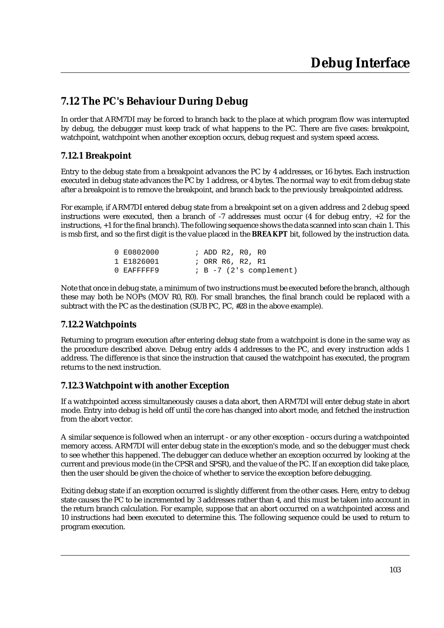## **7.12 The PC's Behaviour During Debug**

In order that ARM7DI may be forced to branch back to the place at which program flow was interrupted by debug, the debugger must keep track of what happens to the PC. There are five cases: breakpoint, watchpoint, watchpoint when another exception occurs, debug request and system speed access.

### **7.12.1 Breakpoint**

Entry to the debug state from a breakpoint advances the PC by 4 addresses, or 16 bytes. Each instruction executed in debug state advances the PC by 1 address, or 4 bytes. The normal way to exit from debug state after a breakpoint is to remove the breakpoint, and branch back to the previously breakpointed address.

For example, if ARM7DI entered debug state from a breakpoint set on a given address and 2 debug speed instructions were executed, then a branch of -7 addresses must occur (4 for debug entry, +2 for the instructions, +1 for the final branch). The following sequence shows the data scanned into scan chain 1. This is msb first, and so the first digit is the value placed in the **BREAKPT** bit, followed by the instruction data.

| 0 E0802000 | ; ADD R2, R0, R0           |
|------------|----------------------------|
| 1 E1826001 | ; ORR R6, R2, R1           |
| 0 EAFFFFF9 | $; B - 7 (2's complement)$ |

Note that once in debug state, a minimum of two instructions must be executed before the branch, although these may both be NOPs (MOV R0, R0). For small branches, the final branch could be replaced with a subtract with the PC as the destination (SUB PC, PC, #28 in the above example).

### **7.12.2 Watchpoints**

Returning to program execution after entering debug state from a watchpoint is done in the same way as the procedure described above. Debug entry adds 4 addresses to the PC, and every instruction adds 1 address. The difference is that since the instruction that caused the watchpoint has executed, the program returns to the next instruction.

### **7.12.3 Watchpoint with another Exception**

If a watchpointed access simultaneously causes a data abort, then ARM7DI will enter debug state in abort mode. Entry into debug is held off until the core has changed into abort mode, and fetched the instruction from the abort vector.

A similar sequence is followed when an interrupt - or any other exception - occurs during a watchpointed memory access. ARM7DI will enter debug state in the exception's mode, and so the debugger must check to see whether this happened. The debugger can deduce whether an exception occurred by looking at the current and previous mode (in the CPSR and SPSR), and the value of the PC. If an exception did take place, then the user should be given the choice of whether to service the exception before debugging.

Exiting debug state if an exception occurred is slightly different from the other cases. Here, entry to debug state causes the PC to be incremented by 3 addresses rather than 4, and this must be taken into account in the return branch calculation. For example, suppose that an abort occurred on a watchpointed access and 10 instructions had been executed to determine this. The following sequence could be used to return to program execution.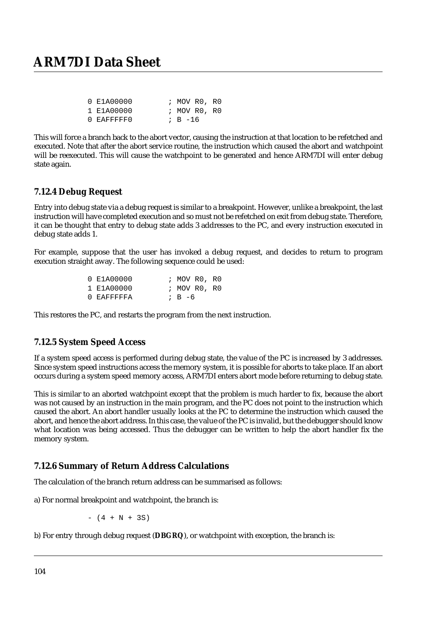| 0 E1A00000 | ; MOV R0, R0 |
|------------|--------------|
| 1 E1A00000 | ; MOV R0, R0 |
| 0 EAFFFFF0 | $; B - 16$   |

This will force a branch back to the abort vector, causing the instruction at that location to be refetched and executed. Note that after the abort service routine, the instruction which caused the abort and watchpoint will be reexecuted. This will cause the watchpoint to be generated and hence ARM7DI will enter debug state again.

### **7.12.4 Debug Request**

Entry into debug state via a debug request is similar to a breakpoint. However, unlike a breakpoint, the last instruction will have completed execution and so must not be refetched on exit from debug state. Therefore, it can be thought that entry to debug state adds 3 addresses to the PC, and every instruction executed in debug state adds 1.

For example, suppose that the user has invoked a debug request, and decides to return to program execution straight away. The following sequence could be used:

| 0 E1A00000  | ; MOV R0, R0 |  |
|-------------|--------------|--|
| 1 E1A00000  | ; MOV RO, RO |  |
| 0 EAFFFFFRA | $; B - 6$    |  |

This restores the PC, and restarts the program from the next instruction.

### **7.12.5 System Speed Access**

If a system speed access is performed during debug state, the value of the PC is increased by 3 addresses. Since system speed instructions access the memory system, it is possible for aborts to take place. If an abort occurs during a system speed memory access, ARM7DI enters abort mode before returning to debug state.

This is similar to an aborted watchpoint except that the problem is much harder to fix, because the abort was not caused by an instruction in the main program, and the PC does not point to the instruction which caused the abort. An abort handler usually looks at the PC to determine the instruction which caused the abort, and hence the abort address. In this case, the value of the PC is invalid, but the debugger should know what location was being accessed. Thus the debugger can be written to help the abort handler fix the memory system.

### **7.12.6 Summary of Return Address Calculations**

The calculation of the branch return address can be summarised as follows:

a) For normal breakpoint and watchpoint, the branch is:

 $-$  (4 + N + 3S)

b) For entry through debug request (**DBGRQ**), or watchpoint with exception, the branch is: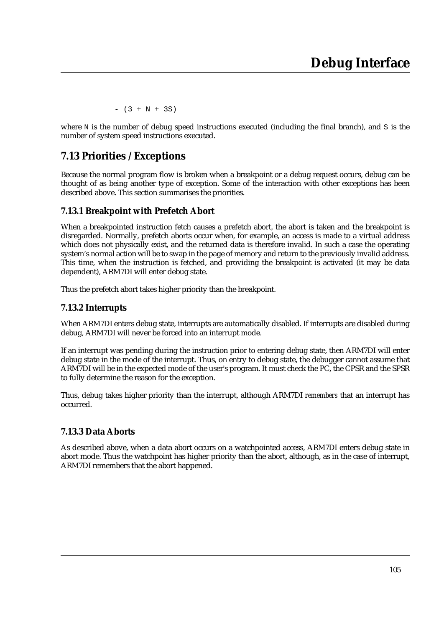$-$  (3 + N + 3S)

where  $N$  is the number of debug speed instructions executed (including the final branch), and  $S$  is the number of system speed instructions executed.

## **7.13 Priorities / Exceptions**

Because the normal program flow is broken when a breakpoint or a debug request occurs, debug can be thought of as being another type of exception. Some of the interaction with other exceptions has been described above. This section summarises the priorities.

### **7.13.1 Breakpoint with Prefetch Abort**

When a breakpointed instruction fetch causes a prefetch abort, the abort is taken and the breakpoint is disregarded. Normally, prefetch aborts occur when, for example, an access is made to a virtual address which does not physically exist, and the returned data is therefore invalid. In such a case the operating system's normal action will be to swap in the page of memory and return to the previously invalid address. This time, when the instruction is fetched, and providing the breakpoint is activated (it may be data dependent), ARM7DI will enter debug state.

Thus the prefetch abort takes higher priority than the breakpoint.

### **7.13.2 Interrupts**

When ARM7DI enters debug state, interrupts are automatically disabled. If interrupts are disabled during debug, ARM7DI will never be forced into an interrupt mode.

If an interrupt was pending during the instruction prior to entering debug state, then ARM7DI will enter debug state in the mode of the interrupt. Thus, on entry to debug state, the debugger cannot assume that ARM7DI will be in the expected mode of the user's program. It must check the PC, the CPSR and the SPSR to fully determine the reason for the exception.

Thus, debug takes higher priority than the interrupt, although ARM7DI *remembers* that an interrupt has occurred.

### **7.13.3 Data Aborts**

As described above, when a data abort occurs on a watchpointed access, ARM7DI enters debug state in abort mode. Thus the watchpoint has higher priority than the abort, although, as in the case of interrupt, ARM7DI remembers that the abort happened.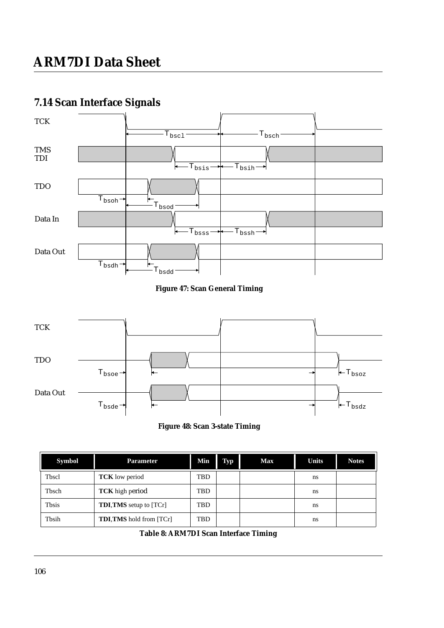## **7.14 Scan Interface Signals**



### **Figure 47: Scan General Timing**





| <b>Symbol</b> | <b>Parameter</b>                | Min | Typ | <b>Max</b> | <b>Units</b> | <b>Notes</b> |
|---------------|---------------------------------|-----|-----|------------|--------------|--------------|
| Tbscl         | <b>TCK</b> low period           | TBD |     |            | ns           |              |
| Tbsch         | <b>TCK</b> high period          | TBD |     |            | ns           |              |
| <b>T</b> bsis | <b>TDI, TMS</b> setup to [TCr]  | TBD |     |            | ns           |              |
| Tbsih         | <b>TDI, TMS</b> hold from [TCr] | TBD |     |            | ns           |              |

#### **Table 8: ARM7DI Scan Interface Timing**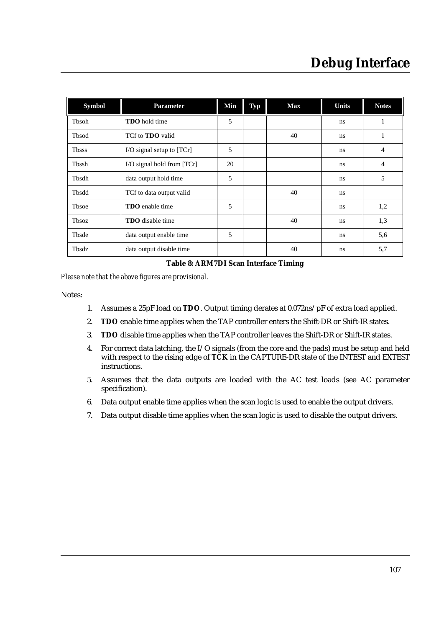| <b>Symbol</b> | Parameter                   |    | Typ | <b>Max</b> | Units | <b>Notes</b>   |
|---------------|-----------------------------|----|-----|------------|-------|----------------|
| Tbsoh         | <b>TDO</b> hold time        | 5  |     |            | ns    | $\mathbf{1}$   |
| Tbsod         | TCf to <b>TDO</b> valid     |    |     | 40         | ns    | 1              |
| <b>T</b> bsss | I/O signal setup to $[TCr]$ | 5  |     |            | ns.   | 4              |
| Tbssh         | I/O signal hold from [TCr]  | 20 |     |            | ns.   | $\overline{4}$ |
| Tbsdh         | data output hold time       | 5  |     |            | ns.   | 5              |
| Tbsdd         | TCf to data output valid    |    |     | 40         | ns.   |                |
| Tbsoe         | <b>TDO</b> enable time      | 5  |     |            | ns    | 1,2            |
| Tbsoz         | <b>TDO</b> disable time     |    |     | 40         | ns    | 1,3            |
| Tbsde         | data output enable time     | 5  |     |            | ns.   | 5,6            |
| Tbsdz         | data output disable time    |    |     | 40         | ns.   | 5,7            |

**Table 8: ARM7DI Scan Interface Timing**

*Please note that the above figures are provisional.*

Notes:

- 1. Assumes a 25pF load on **TDO**. Output timing derates at 0.072ns/pF of extra load applied.
- 2. **TDO** enable time applies when the TAP controller enters the Shift-DR or Shift-IR states.
- 3. **TDO** disable time applies when the TAP controller leaves the Shift-DR or Shift-IR states.
- 4. For correct data latching, the I/O signals (from the core and the pads) must be setup and held with respect to the rising edge of **TCK** in the CAPTURE-DR state of the INTEST and EXTEST instructions.
- 5. Assumes that the data outputs are loaded with the AC test loads (see AC parameter specification).
- 6. Data output enable time applies when the scan logic is used to enable the output drivers.
- 7. Data output disable time applies when the scan logic is used to disable the output drivers.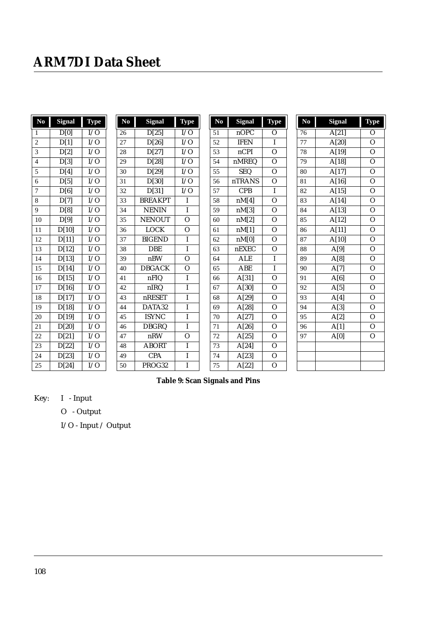| No             | <b>Signal</b> | <b>Type</b> | N <sub>o</sub> | <b>Signal</b>  | <b>Type</b>    | No | <b>Signal</b> | Typ            |
|----------------|---------------|-------------|----------------|----------------|----------------|----|---------------|----------------|
| 1              | D[0]          | I/O         | 26             | D[25]          | I/O            | 51 | nOPC          | O              |
| $\sqrt{2}$     | D[1]          | I/O         | 27             | D[26]          | I/O            | 52 | <b>IFEN</b>   | $\rm I$        |
| 3              | D[2]          | I/O         | 28             | D[27]          | I/O            | 53 | nCPI          | $\mathbf{O}$   |
| $\overline{4}$ | D[3]          | I/O         | 29             | D[28]          | I/O            | 54 | nMREQ         | $\overline{O}$ |
| 5              | D[4]          | I/O         | 30             | D[29]          | I/O            | 55 | <b>SEQ</b>    | $\overline{O}$ |
| 6              | D[5]          | I/O         | 31             | D[30]          | I/O            | 56 | nTRANS        | $\mathcal{O}$  |
| $\overline{7}$ | D[6]          | I/O         | 32             | D[31]          | I/O            | 57 | <b>CPB</b>    | $\rm I$        |
| 8              | D[7]          | I/O         | 33             | <b>BREAKPT</b> | $\mathbf I$    | 58 | nM[4]         | $\overline{O}$ |
| 9              | D[8]          | I/O         | 34             | <b>NENIN</b>   | $\mathbf I$    | 59 | nM[3]         | $\overline{O}$ |
| 10             | D[9]          | I/O         | 35             | <b>NENOUT</b>  | $\Omega$       | 60 | nM[2]         | $\mathbf{O}$   |
| 11             | D[10]         | I/O         | 36             | <b>LOCK</b>    | $\Omega$       | 61 | nM[1]         | $\mathcal{O}$  |
| 12             | D[11]         | I/O         | 37             | <b>BIGEND</b>  | $\mathbf I$    | 62 | nM[0]         | $\mathbf 0$    |
| 13             | D[12]         | I/O         | 38             | <b>DBE</b>     | $\overline{I}$ | 63 | nEXEC         | $\mathbf 0$    |
| 14             | D[13]         | I/O         | 39             | nBW            | $\mathbf O$    | 64 | <b>ALE</b>    | $\bf I$        |
| 15             | D[14]         | I/O         | 40             | <b>DBGACK</b>  | O              | 65 | ABE           | $\rm I$        |
| 16             | D[15]         | I/O         | 41             | nFIQ           | $\mathbf I$    | 66 | A[31]         | $\mathbf 0$    |
| 17             | D[16]         | I/O         | 42             | nIRQ           | $\mathbf I$    | 67 | A[30]         | $\mathbf 0$    |
| 18             | D[17]         | I/O         | 43             | nRESET         | $\mathbf I$    | 68 | A[29]         | $\overline{O}$ |
| 19             | D[18]         | I/O         | 44             | DATA32         | $\mathbf I$    | 69 | A[28]         | $\mathbf 0$    |
| 20             | D[19]         | I/O         | 45             | <b>ISYNC</b>   | $\mathbf I$    | 70 | A[27]         | $\mathbf 0$    |
| 21             | D[20]         | I/O         | 46             | DBGRQ          | $\mathbf I$    | 71 | A[26]         | $\mathbf 0$    |
| 22             | D[21]         | I/O         | 47             | nRW            | $\Omega$       | 72 | A[25]         | $\mathbf 0$    |
| 23             | D[22]         | I/O         | 48             | <b>ABORT</b>   | $\mathbf I$    | 73 | A[24]         | $\mathbf 0$    |
| 24             | D[23]         | I/O         | 49             | <b>CPA</b>     | $\mathbf I$    | 74 | A[23]         | $\mathbf 0$    |
| 25             | D[24]         | I/O         | 50             | PROG32         | $\mathbf I$    | 75 | A[22]         | $\overline{O}$ |

| No.                | Signal             | <b>Type</b>             |
|--------------------|--------------------|-------------------------|
| $\overline{6}$     | $\overline{D[25]}$ | $\overline{VQ}$         |
| 7                  | D[26]              | I/O                     |
| 8                  | D[27]              | I/O                     |
| 9                  | D[28]              | I/O                     |
| $\overline{0}$     | D[29]              | I/O                     |
| $\mathbf{1}$       | D[30]              | I/O                     |
| $\overline{2}$     | D[31]              | I/O                     |
| $\overline{3}$     | <b>BREAKPT</b>     | I                       |
| $\overline{4}$     | <b>NENIN</b>       | $\mathbf I$             |
| $\overline{5}$     | <b>NENOUT</b>      | $\overline{\mathrm{o}}$ |
| $\overline{6}$     | <b>LOCK</b>        | $\overline{\rm o}$      |
| $\overline{7}$     | <b>BIGEND</b>      | I                       |
| $\overline{8}$     | <b>DBE</b>         | I                       |
| $\overline{9}$     | nBW                | $\overline{\rm o}$      |
| $\overline{0}$     | <b>DBGACK</b>      | $\overline{\rm o}$      |
| $\overline{1}$     | nFIQ               | $\overline{I}$          |
| $\overline{2}$     | nIRQ               | $\overline{\mathbf{I}}$ |
| $\overline{\cdot}$ | nRESET             | $\overline{I}$          |
| $\overline{4}$     | DATA32             | I                       |
| $\overline{5}$     | <b>ISYNC</b>       | I                       |
| $\overline{6}$     | <b>DBGRQ</b>       | $\overline{I}$          |
| 7                  | nRW                | $\overline{\rm o}$      |
| $\overline{8}$     | <b>ABORT</b>       | $\overline{I}$          |
| 9.                 | <b>CPA</b>         | Ī                       |
| $\overline{0}$     | PROG32             | Ī                       |

| <b>Signal</b> | <b>Type</b> | $\mathbf{No}$ | <b>Signal</b>  | <b>Type</b>  | $\mathbf{N}\mathbf{o}$ | <b>Signal</b> | <b>Type</b>  | No | <b>Signal</b> | Typ            |
|---------------|-------------|---------------|----------------|--------------|------------------------|---------------|--------------|----|---------------|----------------|
| D[0]          | I/O         | 26            | D[25]          | I/O          | 51                     | $n$ OPC       | $\Omega$     | 76 | A[21]         | $\Omega$       |
| D[1]          | I/O         | 27            | D[26]          | I/O          | 52                     | <b>IFEN</b>   | $\mathbf{I}$ | 77 | A[20]         | $\Omega$       |
| D[2]          | I/O         | 28            | D[27]          | I/O          | 53                     | nCPI          | $\Omega$     | 78 | A[19]         | $\Omega$       |
| D[3]          | ${\rm I/O}$ | 29            | D[28]          | ${\rm I/O}$  | 54                     | nMREQ         | $\mathbf{O}$ | 79 | A[18]         | $\Omega$       |
| D[4]          | I/O         | 30            | D[29]          | I/O          | 55                     | <b>SEQ</b>    | $\mathbf{O}$ | 80 | A[17]         | $\overline{O}$ |
| D[5]          | I/O         | 31            | D[30]          | I/O          | 56                     | nTRANS        | $\Omega$     | 81 | A[16]         | $\mathbf 0$    |
| D[6]          | I/O         | 32            | D[31]          | I/O          | 57                     | <b>CPB</b>    | I            | 82 | A[15]         | $\Omega$       |
| D[7]          | I/O         | 33            | <b>BREAKPT</b> | $\mathbf I$  | 58                     | nM[4]         | $\mathbf{O}$ | 83 | A[14]         | $\Omega$       |
| D[8]          | I/O         | 34            | <b>NENIN</b>   | I            | 59                     | nM[3]         | $\Omega$     | 84 | A[13]         | $\Omega$       |
| D[9]          | I/O         | 35            | <b>NENOUT</b>  | $\mathbf{O}$ | 60                     | nM[2]         | $\mathbf{O}$ | 85 | A[12]         | $\Omega$       |
| D[10]         | I/O         | 36            | <b>LOCK</b>    | $\mathbf{O}$ | 61                     | nM[1]         | $\mathbf{O}$ | 86 | A[11]         | $\overline{O}$ |
| D[11]         | I/O         | 37            | <b>BIGEND</b>  | I            | 62                     | nM[0]         | $\Omega$     | 87 | A[10]         | $\mathbf 0$    |
| D[12]         | I/O         | 38            | <b>DBE</b>     | I            | 63                     | nEXEC         | $\Omega$     | 88 | A[9]          | $\Omega$       |
| D[13]         | I/O         | 39            | nBW            | $\mathbf{O}$ | 64                     | <b>ALE</b>    | $\mathbf I$  | 89 | A[8]          | $\Omega$       |
| D[14]         | I/O         | 40            | <b>DBGACK</b>  | $\mathbf{O}$ | 65                     | <b>ABE</b>    | $\mathbf{I}$ | 90 | A[7]          | $\Omega$       |
| D[15]         | I/O         | 41            | nFIQ           | I            | 66                     | A[31]         | $\mathbf{O}$ | 91 | A[6]          | $\overline{O}$ |
| D[16]         | I/O         | 42            | nIRQ           | $\mathbf I$  | 67                     | A[30]         | $\Omega$     | 92 | A[5]          | $\Omega$       |
| D[17]         | I/O         | 43            | nRESET         | I            | 68                     | A[29]         | $\Omega$     | 93 | A[4]          | $\Omega$       |
| D[18]         | I/O         | 44            | DATA32         | I            | 69                     | A[28]         | $\Omega$     | 94 | A[3]          | $\Omega$       |
| D[19]         | I/O         | 45            | <b>ISYNC</b>   | $\mathbf I$  | 70                     | A[27]         | $\Omega$     | 95 | A[2]          | $\Omega$       |
| D[20]         | I/O         | 46            | <b>DBGRQ</b>   | $\mathbf I$  | 71                     | A[26]         | $\Omega$     | 96 | A[1]          | $\Omega$       |
| D[21]         | I/O         | 47            | nRW            | $\mathbf{O}$ | $72\,$                 | A[25]         | $\mathbf{O}$ | 97 | A[0]          | $\Omega$       |
| D[22]         | I/O         | 48            | <b>ABORT</b>   | $\mathbf I$  | 73                     | A[24]         | $\mathbf{O}$ |    |               |                |
| D[23]         | I/O         | 49            | <b>CPA</b>     | I            | 74                     | A[23]         | $\Omega$     |    |               |                |
| D[24]         | I/O         | 50            | PROG32         | I            | 75                     | A[22]         | $\mathbf{O}$ |    |               |                |
|               |             |               |                |              |                        |               |              |    |               |                |

| No              | <b>Signal</b> | <b>Type</b>      | $\mathbf{No}$ | <b>Signal</b>  | <b>Type</b>    | $\mathbf{N}\mathbf{o}$ | <b>Signal</b> | <b>Type</b>  | No | <b>Signal</b>      | <b>Type</b>    |
|-----------------|---------------|------------------|---------------|----------------|----------------|------------------------|---------------|--------------|----|--------------------|----------------|
|                 | D[0]          | $\overline{1/0}$ | 26            | D[25]          | I/O            | 51                     | $n$ OPC       | $\Omega$     | 76 | $\overline{A[21]}$ | $\mathcal{O}$  |
|                 | D[1]          | I/O              | 27            | D[26]          | I/O            | 52                     | <b>IFEN</b>   | $\mathbf I$  | 77 | A[20]              | $\Omega$       |
|                 | D[2]          | I/O              | 28            | D[27]          | I/O            | 53                     | nCPI          | $\mathbf{O}$ | 78 | A[19]              | $\mathbf O$    |
|                 | D[3]          | I/O              | 29            | D[28]          | I/O            | 54                     | nMREQ         | $\mathbf{O}$ | 79 | A[18]              | $\overline{O}$ |
|                 | D[4]          | I/O              | 30            | D[29]          | I/O            | 55                     | <b>SEQ</b>    | $\mathbf{O}$ | 80 | A[17]              | $\mathbf{O}$   |
|                 | D[5]          | I/O              | 31            | D[30]          | I/O            | 56                     | nTRANS        | $\Omega$     | 81 | A[16]              | $\Omega$       |
|                 | D[6]          | I/O              | 32            | D[31]          | I/O            | 57                     | <b>CPB</b>    | $\mathbf I$  | 82 | A[15]              | $\Omega$       |
|                 | D[7]          | I/O              | 33            | <b>BREAKPT</b> | I              | 58                     | nM[4]         | $\Omega$     | 83 | A[14]              | $\Omega$       |
|                 | D[8]          | I/O              | 34            | <b>NENIN</b>   | $\mathbf I$    | 59                     | nM[3]         | $\mathbf{O}$ | 84 | A[13]              | $\mathbf{O}$   |
| $\overline{0}$  | D[9]          | I/O              | 35            | <b>NENOUT</b>  | $\mathbf{O}$   | 60                     | nM[2]         | $\mathbf{O}$ | 85 | A[12]              | $\mathbf{O}$   |
| $\overline{1}$  | D[10]         | I/O              | 36            | <b>LOCK</b>    | $\mathbf{O}$   | 61                     | nM[1]         | $\Omega$     | 86 | A[11]              | $\Omega$       |
| $\overline{2}$  | D[11]         | I/O              | 37            | <b>BIGEND</b>  | $\bf{I}$       | 62                     | nM[0]         | $\mathbf O$  | 87 | A[10]              | $\Omega$       |
| $\overline{3}$  | D[12]         | I/O              | 38            | <b>DBE</b>     | $\mathbf I$    | 63                     | nEXEC         | $\Omega$     | 88 | A[9]               | $\mathbf{O}$   |
| $\overline{4}$  | D[13]         | I/O              | 39            | nBW            | $\overline{O}$ | 64                     | <b>ALE</b>    | $\mathbf I$  | 89 | A[8]               | $\mathbf{O}$   |
| 5               | D[14]         | I/O              | 40            | <b>DBGACK</b>  | $\mathbf{O}$   | 65                     | ABE           | $\mathbf{I}$ | 90 | A[7]               | $\mathbf{O}$   |
| $6 \frac{1}{2}$ | D[15]         | I/O              | 41            | nFIQ           | $\bf I$        | 66                     | A[31]         | $\mathbf{O}$ | 91 | A[6]               | $\mathbf{O}$   |
| 17              | D[16]         | I/O              | 42            | nIRQ           | $\bf{I}$       | 67                     | A[30]         | $\Omega$     | 92 | A[5]               | $\Omega$       |
| $\overline{8}$  | D[17]         | I/O              | 43            | nRESET         | $\mathbf I$    | 68                     | A[29]         | $\mathbf{O}$ | 93 | A[4]               | $\Omega$       |
| $\overline{9}$  | D[18]         | I/O              | 44            | DATA32         | $\bf{I}$       | 69                     | A[28]         | $\Omega$     | 94 | A[3]               | $\Omega$       |
| $20^{\circ}$    | D[19]         | I/O              | 45            | <b>ISYNC</b>   | $\bf{I}$       | 70                     | A[27]         | $\mathbf{O}$ | 95 | A[2]               | $\mathbf{O}$   |
| $^{21}$         | D[20]         | I/O              | 46            | <b>DBGRQ</b>   | $\mathbf I$    | 71                     | A[26]         | $\mathbf{O}$ | 96 | A[1]               | $\overline{O}$ |
| $^{22}$         | D[21]         | I/O              | 47            | nRW            | $\Omega$       | 72                     | A[25]         | $\Omega$     | 97 | A[0]               | $\mathbf{O}$   |
| $^{23}$         | D[22]         | I/O              | 48            | <b>ABORT</b>   | Ι              | 73                     | A[24]         | $\mathbf O$  |    |                    |                |
| $^{24}$         | D[23]         | I/O              | 49            | <b>CPA</b>     | $\bf I$        | 74                     | A[23]         | $\mathbf{O}$ |    |                    |                |
| $\overline{.5}$ | D[24]         | I/O              | 50            | PROG32         | $\bf I$        | 75                     | A[22]         | $\mathbf{O}$ |    |                    |                |
|                 |               |                  |               |                |                |                        |               |              |    |                    |                |

**Table 9: Scan Signals and Pins**

Key: I - Input

O - Output

I/O - Input / Output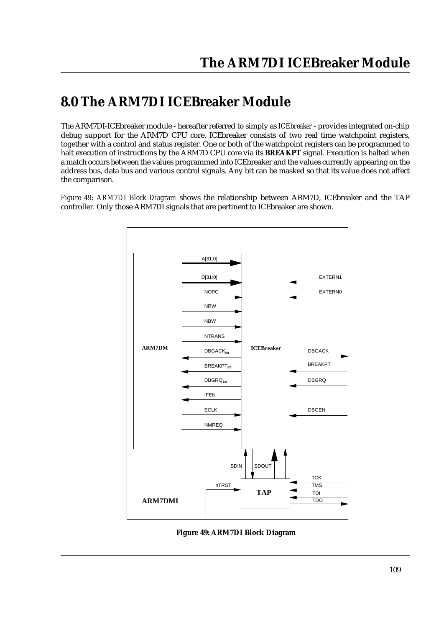## **8.0 The ARM7DI ICEBreaker Module**

The ARM7DI-ICEbreaker module - hereafter referred to simply as *ICEbreaker* - provides integrated on-chip debug support for the ARM7D CPU core. ICEbreaker consists of two real time watchpoint registers, together with a control and status register. One or both of the watchpoint registers can be programmed to halt execution of instructions by the ARM7D CPU core via its **BREAKPT** signal. Execution is halted when a match occurs between the values programmed into ICEbreaker and the values currently appearing on the address bus, data bus and various control signals. Any bit can be masked so that its value does not affect the comparison.

*Figure 49: ARM7DI Block Diagram* shows the relationship between ARM7D, ICEbreaker and the TAP controller. Only those ARM7DI signals that are pertinent to ICEbreaker are shown.



 **Figure 49: ARM7DI Block Diagram**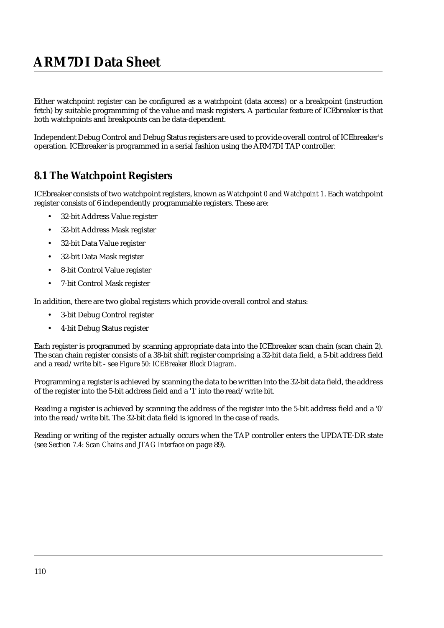Either watchpoint register can be configured as a watchpoint (data access) or a breakpoint (instruction fetch) by suitable programming of the value and mask registers. A particular feature of ICEbreaker is that both watchpoints and breakpoints can be data-dependent.

Independent Debug Control and Debug Status registers are used to provide overall control of ICEbreaker's operation. ICEbreaker is programmed in a serial fashion using the ARM7DI TAP controller.

## **8.1 The Watchpoint Registers**

ICEbreaker consists of two watchpoint registers, known as *Watchpoint 0* and *Watchpoint 1*. Each watchpoint register consists of 6 independently programmable registers. These are:

- 32-bit Address Value register
- 32-bit Address Mask register
- 32-bit Data Value register
- 32-bit Data Mask register
- 8-bit Control Value register
- 7-bit Control Mask register

In addition, there are two global registers which provide overall control and status:

- 3-bit Debug Control register
- 4-bit Debug Status register

Each register is programmed by scanning appropriate data into the ICEbreaker scan chain (scan chain 2). The scan chain register consists of a 38-bit shift register comprising a 32-bit data field, a 5-bit address field and a read/write bit - see *Figure 50: ICEBreaker Block Diagram*.

Programming a register is achieved by scanning the data to be written into the 32-bit data field, the address of the register into the 5-bit address field and a '1' into the read/write bit.

Reading a register is achieved by scanning the address of the register into the 5-bit address field and a '0' into the read/write bit. The 32-bit data field is ignored in the case of reads.

Reading or writing of the register actually occurs when the TAP controller enters the UPDATE-DR state (see *Section 7.4: Scan Chains and JTAG Interface* on page 89).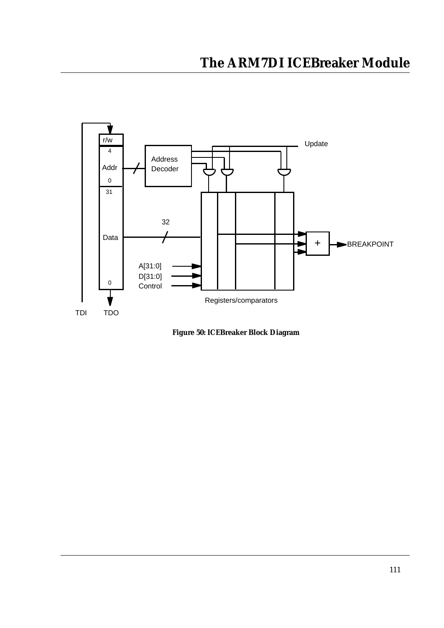## **The ARM7DI ICEBreaker Module**



 **Figure 50: ICEBreaker Block Diagram**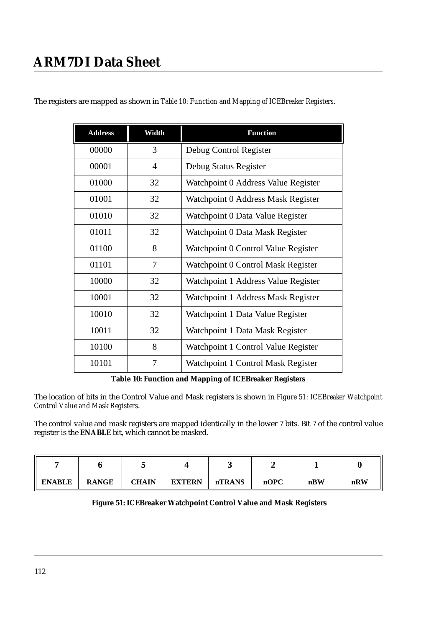| <b>Address</b> | Width          | <b>Function</b>                     |
|----------------|----------------|-------------------------------------|
| 00000          | 3              | Debug Control Register              |
| 00001          | $\overline{4}$ | Debug Status Register               |
| 01000          | 32             | Watchpoint 0 Address Value Register |
| 01001          | 32             | Watchpoint 0 Address Mask Register  |
| 01010          | 32             | Watchpoint 0 Data Value Register    |
| 01011          | 32             | Watchpoint 0 Data Mask Register     |
| 01100          | 8              | Watchpoint 0 Control Value Register |
| 01101          | 7              | Watchpoint 0 Control Mask Register  |
| 10000          | 32             | Watchpoint 1 Address Value Register |
| 10001          | 32             | Watchpoint 1 Address Mask Register  |
| 10010          | 32             | Watchpoint 1 Data Value Register    |
| 10011          | 32             | Watchpoint 1 Data Mask Register     |
| 10100          | 8              | Watchpoint 1 Control Value Register |
| 10101          | 7              | Watchpoint 1 Control Mask Register  |

The registers are mapped as shown in *Table 10: Function and Mapping of ICEBreaker Registers*.

**Table 10: Function and Mapping of ICEBreaker Registers**

The location of bits in the Control Value and Mask registers is shown in *Figure 51: ICEBreaker Watchpoint Control Value and Mask Registers*.

The control value and mask registers are mapped identically in the lower 7 bits. Bit 7 of the control value register is the **ENABLE** bit, which cannot be masked.

| <b>ENABLE</b> | <b>RANGE</b> | <b>CHAIN</b> | <b>EXTERN</b> | nTRANS | $n$ OPC | nBW | nRW |
|---------------|--------------|--------------|---------------|--------|---------|-----|-----|

 **Figure 51: ICEBreaker Watchpoint Control Value and Mask Registers**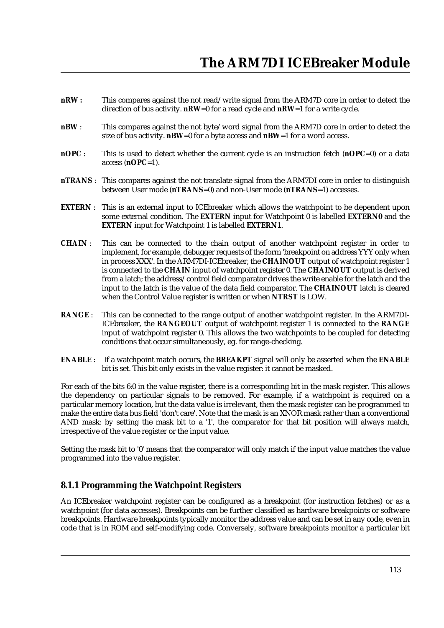- **nRW :** This compares against the not read/write signal from the ARM7D core in order to detect the direction of bus activity. **nRW**=0 for a read cycle and **nRW**=1 for a write cycle.
- **nBW** : This compares against the not byte/word signal from the ARM7D core in order to detect the size of bus activity. **nBW**=0 for a byte access and **nBW**=1 for a word access.
- **nOPC** : This is used to detect whether the current cycle is an instruction fetch (**nOPC**=0) or a data access (**nOPC**=1).
- **nTRANS** : This compares against the not translate signal from the ARM7DI core in order to distinguish between User mode (**nTRANS**=0) and non-User mode (**nTRANS**=1) accesses.
- **EXTERN** : This is an external input to ICEbreaker which allows the watchpoint to be dependent upon some external condition. The **EXTERN** input for Watchpoint 0 is labelled **EXTERN0** and the **EXTERN** input for Watchpoint 1 is labelled **EXTERN1**.
- **CHAIN** : This can be connected to the chain output of another watchpoint register in order to implement, for example, debugger requests of the form 'breakpoint on address YYY only when in process XXX'. In the ARM7DI-ICEbreaker, the **CHAINOUT** output of watchpoint register 1 is connected to the **CHAIN** input of watchpoint register 0. The **CHAINOUT** output is derived from a latch; the address/control field comparator drives the write enable for the latch and the input to the latch is the value of the data field comparator. The **CHAINOUT** latch is cleared when the Control Value register is written or when **NTRST** is LOW.
- **RANGE**: This can be connected to the range output of another watchpoint register. In the ARM7DI-ICEbreaker, the **RANGEOUT** output of watchpoint register 1 is connected to the **RANGE** input of watchpoint register 0. This allows the two watchpoints to be coupled for detecting conditions that occur simultaneously, eg. for range-checking.
- **ENABLE** : If a watchpoint match occurs, the **BREAKPT** signal will only be asserted when the **ENABLE** bit is set. This bit only exists in the value register: it cannot be masked.

For each of the bits 6:0 in the value register, there is a corresponding bit in the mask register. This allows the dependency on particular signals to be removed. For example, if a watchpoint is required on a particular memory location, but the data value is irrelevant, then the mask register can be programmed to make the entire data bus field 'don't care'. Note that the mask is an XNOR mask rather than a conventional AND mask: by setting the mask bit to a '1', the comparator for that bit position will always match, irrespective of the value register or the input value.

Setting the mask bit to '0' means that the comparator will only match if the input value matches the value programmed into the value register.

### **8.1.1 Programming the Watchpoint Registers**

An ICEbreaker watchpoint register can be configured as a breakpoint (for instruction fetches) or as a watchpoint (for data accesses). Breakpoints can be further classified as hardware breakpoints or software breakpoints. Hardware breakpoints typically monitor the address value and can be set in any code, even in code that is in ROM and self-modifying code. Conversely, software breakpoints monitor a particular bit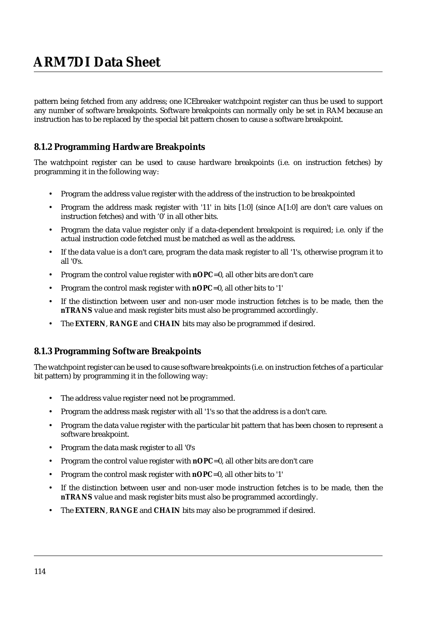pattern being fetched from any address; one ICEbreaker watchpoint register can thus be used to support any number of software breakpoints. Software breakpoints can normally only be set in RAM because an instruction has to be replaced by the special bit pattern chosen to cause a software breakpoint.

### **8.1.2 Programming Hardware Breakpoints**

The watchpoint register can be used to cause hardware breakpoints (i.e. on instruction fetches) by programming it in the following way:

- Program the address value register with the address of the instruction to be breakpointed
- Program the address mask register with '11' in bits [1:0] (since A[1:0] are don't care values on instruction fetches) and with '0' in all other bits.
- Program the data value register only if a data-dependent breakpoint is required; i.e. only if the actual instruction code fetched must be matched as well as the address.
- If the data value is a don't care, program the data mask register to all '1's, otherwise program it to all '0's.
- Program the control value register with **nOPC**=0, all other bits are don't care
- Program the control mask register with **nOPC**=0, all other bits to '1'
- If the distinction between user and non-user mode instruction fetches is to be made, then the **nTRANS** value and mask register bits must also be programmed accordingly.
- The **EXTERN**, **RANGE** and **CHAIN** bits may also be programmed if desired.

#### **8.1.3 Programming Software Breakpoints**

The watchpoint register can be used to cause software breakpoints (i.e. on instruction fetches of a particular bit pattern) by programming it in the following way:

- The address value register need not be programmed.
- Program the address mask register with all '1's so that the address is a don't care.
- Program the data value register with the particular bit pattern that has been chosen to represent a software breakpoint.
- Program the data mask register to all '0's
- Program the control value register with **nOPC**=0, all other bits are don't care
- Program the control mask register with **nOPC**=0, all other bits to '1'
- If the distinction between user and non-user mode instruction fetches is to be made, then the **nTRANS** value and mask register bits must also be programmed accordingly.
- The **EXTERN**, **RANGE** and **CHAIN** bits may also be programmed if desired.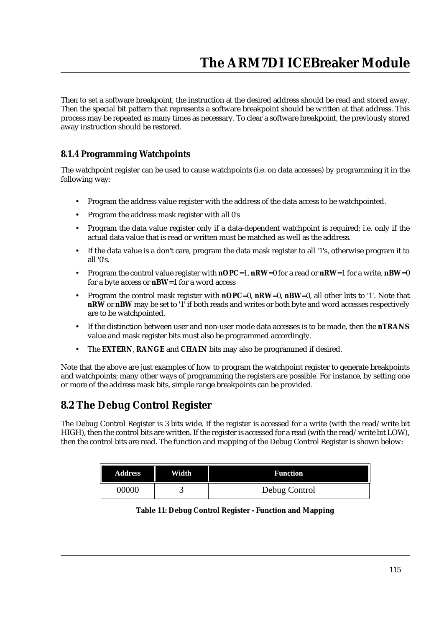Then to set a software breakpoint, the instruction at the desired address should be read and stored away. Then the special bit pattern that represents a software breakpoint should be written at that address. This process may be repeated as many times as necessary. To clear a software breakpoint, the previously stored away instruction should be restored.

### **8.1.4 Programming Watchpoints**

The watchpoint register can be used to cause watchpoints (i.e. on data accesses) by programming it in the following way:

- Program the address value register with the address of the data access to be watchpointed.
- Program the address mask register with all 0's
- Program the data value register only if a data-dependent watchpoint is required; i.e. only if the actual data value that is read or written must be matched as well as the address.
- If the data value is a don't care, program the data mask register to all '1's, otherwise program it to all '0's.
- Program the control value register with **nOPC**=1, **nRW**=0 for a read or **nRW**=1 for a write, **nBW**=0 for a byte access or **nBW**=1 for a word access
- Program the control mask register with **nOPC**=0, **nRW**=0, **nBW**=0, all other bits to '1'. Note that **nRW** or **nBW** may be set to '1' if both reads and writes or both byte and word accesses respectively are to be watchpointed.
- If the distinction between user and non-user mode data accesses is to be made, then the **nTRANS** value and mask register bits must also be programmed accordingly.
- The **EXTERN**, **RANGE** and **CHAIN** bits may also be programmed if desired.

Note that the above are just examples of how to program the watchpoint register to generate breakpoints and watchpoints; many other ways of programming the registers are possible. For instance, by setting one or more of the address mask bits, simple range breakpoints can be provided.

## **8.2 The Debug Control Register**

The Debug Control Register is 3 bits wide. If the register is accessed for a write (with the read/write bit HIGH), then the control bits are written. If the register is accessed for a read (with the read/write bit LOW), then the control bits are read. The function and mapping of the Debug Control Register is shown below:

| <b>Address</b> | <b>Width</b> | <b>Function</b> |
|----------------|--------------|-----------------|
| 00000          | ت            | Debug Control   |

**Table 11: Debug Control Register - Function and Mapping**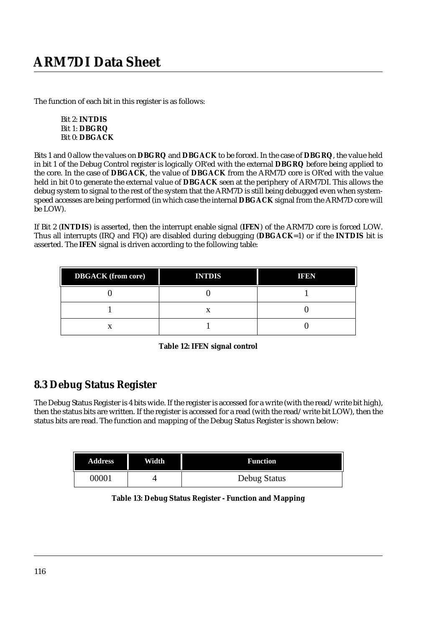The function of each bit in this register is as follows:

Bit 2: **INTDIS** Bit 1: **DBGRQ** Bit 0: **DBGACK**

Bits 1 and 0 allow the values on **DBGRQ** and **DBGACK** to be forced. In the case of **DBGRQ**, the value held in bit 1 of the Debug Control register is logically OR'ed with the external **DBGRQ** before being applied to the core. In the case of **DBGACK**, the value of **DBGACK** from the ARM7D core is OR'ed with the value held in bit 0 to generate the external value of **DBGACK** seen at the periphery of ARM7DI. This allows the debug system to signal to the rest of the system that the ARM7D is still being debugged even when systemspeed accesses are being performed (in which case the internal **DBGACK** signal from the ARM7D core will be LOW).

If Bit 2 (**INTDIS**) is asserted, then the interrupt enable signal (**IFEN**) of the ARM7D core is forced LOW. Thus all interrupts (IRQ and FIQ) are disabled during debugging (**DBGACK**=1) or if the **INTDIS** bit is asserted. The **IFEN** signal is driven according to the following table:

| <b>DBGACK</b> (from core) | <b>INTDIS</b> | <b>IFEN</b> |
|---------------------------|---------------|-------------|
|                           |               |             |
|                           |               |             |
|                           |               |             |

|  |  |  |  | <b>Table 12: IFEN signal control</b> |
|--|--|--|--|--------------------------------------|
|--|--|--|--|--------------------------------------|

## **8.3 Debug Status Register**

The Debug Status Register is 4 bits wide. If the register is accessed for a write (with the read/write bit high), then the status bits are written. If the register is accessed for a read (with the read/write bit LOW), then the status bits are read. The function and mapping of the Debug Status Register is shown below:

| <b>Address</b> | <b>Width</b> | <b>Function</b> |
|----------------|--------------|-----------------|
| 00001          |              | Debug Status    |

**Table 13: Debug Status Register - Function and Mapping**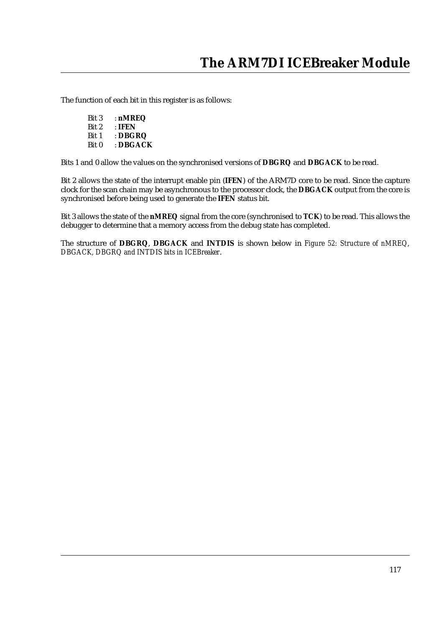The function of each bit in this register is as follows:

Bit 3 : **nMREQ**<br>Bit 2 : **IFEN** Bit 2 : **IFEN**<br>Bit 1 : **DBG** Bit 1 : **DBGRQ**<br>Bit 0 : **DBGAC** Bit 0 : **DBGACK**

Bits 1 and 0 allow the values on the synchronised versions of **DBGRQ** and **DBGACK** to be read.

Bit 2 allows the state of the interrupt enable pin (**IFEN**) of the ARM7D core to be read. Since the capture clock for the scan chain may be asynchronous to the processor clock, the **DBGACK** output from the core is synchronised before being used to generate the **IFEN** status bit.

Bit 3 allows the state of the **nMREQ** signal from the core (synchronised to **TCK**) to be read. This allows the debugger to determine that a memory access from the debug state has completed.

The structure of **DBGRQ**, **DBGACK** and **INTDIS** is shown below in *Figure 52: Structure of nMREQ, DBGACK, DBGRQ and INTDIS bits in ICEBreaker*.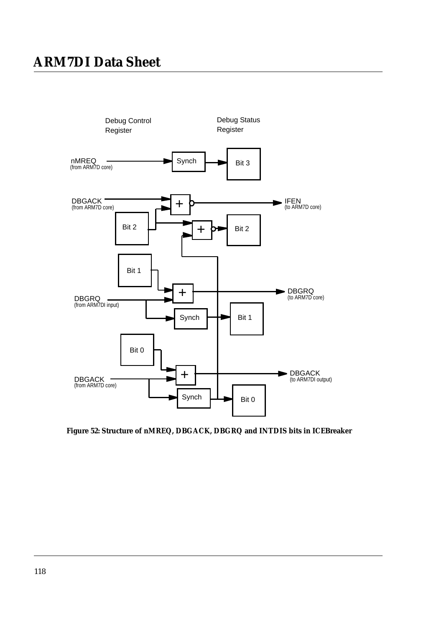

 **Figure 52: Structure of nMREQ, DBGACK, DBGRQ and INTDIS bits in ICEBreaker**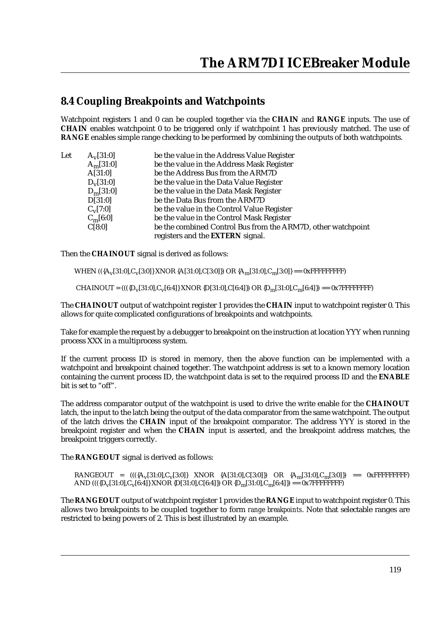### **8.4 Coupling Breakpoints and Watchpoints**

Watchpoint registers 1 and 0 can be coupled together via the **CHAIN** and **RANGE** inputs. The use of **CHAIN** enables watchpoint 0 to be triggered only if watchpoint 1 has previously matched. The use of **RANGE** enables simple range checking to be performed by combining the outputs of both watchpoints.

| Let | $A_v[31:0]$   | be the value in the Address Value Register                   |
|-----|---------------|--------------------------------------------------------------|
|     | $A_m[31:0]$   | be the value in the Address Mask Register                    |
|     | A[31:0]       | be the Address Bus from the ARM7D                            |
|     | $D_v[31:0]$   | be the value in the Data Value Register                      |
|     | $D_m[31:0]$   | be the value in the Data Mask Register                       |
|     | D[31:0]       | be the Data Bus from the ARM7D                               |
|     | $C_{V}$ [7:0] | be the value in the Control Value Register                   |
|     | $C_m[6:0]$    | be the value in the Control Mask Register                    |
|     | C[8:0]        | be the combined Control Bus from the ARM7D, other watchpoint |
|     |               | registers and the EXTERN signal.                             |

Then the **CHAINOUT** signal is derived as follows:

WHEN  $(({A_v[31:0],C_v[3:0]}\)$  XNOR  ${A[31:0],C[3:0]}\)$  OR  ${A_m[31:0],C_m[3:0]}\}$  == 0xFFFFFFFFFF

CHAINOUT = ((({Dv[31:0],Cv[6:4]} XNOR {D[31:0],C[6:4]}) OR {Dm[31:0],Cm[6:4]}) == 0x7FFFFFFFF)

The **CHAINOUT** output of watchpoint register 1 provides the **CHAIN** input to watchpoint register 0. This allows for quite complicated configurations of breakpoints and watchpoints.

Take for example the request by a debugger to breakpoint on the instruction at location YYY when running process XXX in a multiprocess system.

If the current process ID is stored in memory, then the above function can be implemented with a watchpoint and breakpoint chained together. The watchpoint address is set to a known memory location containing the current process ID, the watchpoint data is set to the required process ID and the **ENABLE** bit is set to "off".

The address comparator output of the watchpoint is used to drive the write enable for the **CHAINOUT** latch, the input to the latch being the output of the data comparator from the same watchpoint. The output of the latch drives the **CHAIN** input of the breakpoint comparator. The address YYY is stored in the breakpoint register and when the **CHAIN** input is asserted, and the breakpoint address matches, the breakpoint triggers correctly.

The **RANGEOUT** signal is derived as follows:

RANGEOUT =  $(((A_{\nu}[31:0], C_{\nu}[3:0])$  XNOR  $\{A[31:0], C[3:0]\})$  OR  $\{A_{m}[31:0], C_{m}[3:0]\})$  == 0xFFFFFFFFFF AND ((( ${D_{\rm v}}[31:0]$ , $C_{\rm v}[6:4]$ } XNOR {D[31:0], $C[6:4]$ }) OR {D<sub>m</sub>[31:0], $C_{\rm m}[6:4]$ }) == 0x7FFFFFFFFF

The **RANGEOUT** output of watchpoint register 1 provides the **RANGE** input to watchpoint register 0. This allows two breakpoints to be coupled together to form *range breakpoints*. Note that selectable ranges are restricted to being powers of 2. This is best illustrated by an example.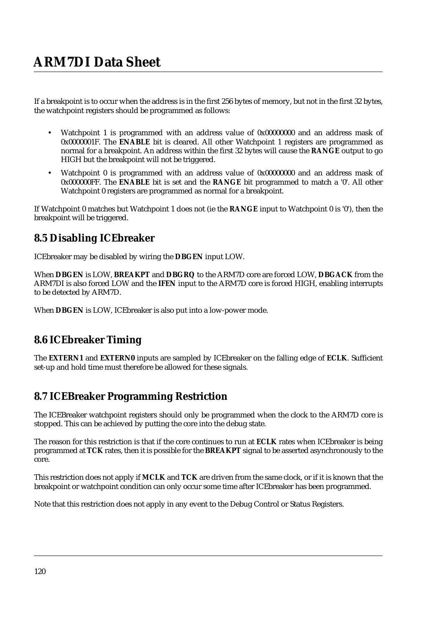If a breakpoint is to occur when the address is in the first 256 bytes of memory, but not in the first 32 bytes, the watchpoint registers should be programmed as follows:

- Watchpoint 1 is programmed with an address value of 0x00000000 and an address mask of 0x0000001F. The **ENABLE** bit is cleared. All other Watchpoint 1 registers are programmed as normal for a breakpoint. An address within the first 32 bytes will cause the **RANGE** output to go HIGH but the breakpoint will not be triggered.
- Watchpoint 0 is programmed with an address value of 0x00000000 and an address mask of 0x000000FF. The **ENABLE** bit is set and the **RANGE** bit programmed to match a '0'. All other Watchpoint 0 registers are programmed as normal for a breakpoint.

If Watchpoint 0 matches but Watchpoint 1 does not (ie the **RANGE** input to Watchpoint 0 is '0'), then the breakpoint will be triggered.

## **8.5 Disabling ICEbreaker**

ICEbreaker may be disabled by wiring the **DBGEN** input LOW.

When **DBGEN** is LOW, **BREAKPT** and **DBGRQ** to the ARM7D core are forced LOW, **DBGACK** from the ARM7DI is also forced LOW and the **IFEN** input to the ARM7D core is forced HIGH, enabling interrupts to be detected by ARM7D.

When **DBGEN** is LOW, ICEbreaker is also put into a low-power mode.

## **8.6 ICEbreaker Timing**

The **EXTERN1** and **EXTERN0** inputs are sampled by ICEbreaker on the falling edge of **ECLK**. Sufficient set-up and hold time must therefore be allowed for these signals.

## **8.7 ICEBreaker Programming Restriction**

The ICEBreaker watchpoint registers should only be programmed when the clock to the ARM7D core is stopped. This can be achieved by putting the core into the debug state.

The reason for this restriction is that if the core continues to run at **ECLK** rates when ICEbreaker is being programmed at **TCK** rates, then it is possible for the **BREAKPT** signal to be asserted asynchronously to the core.

This restriction does not apply if **MCLK** and **TCK** are driven from the same clock, or if it is known that the breakpoint or watchpoint condition can only occur some time after ICEbreaker has been programmed.

Note that this restriction does not apply in any event to the Debug Control or Status Registers.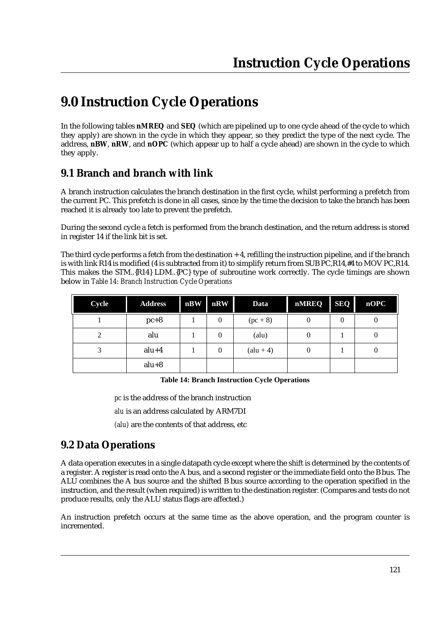## **9.0 Instruction Cycle Operations**

In the following tables **nMREQ** and **SEQ** (which are pipelined up to one cycle ahead of the cycle to which they apply) are shown in the cycle in which they appear, so they predict the type of the next cycle. The address, **nBW**, **nRW**, and **nOPC** (which appear up to half a cycle ahead) are shown in the cycle to which they apply.

## **9.1 Branch and branch with link**

A branch instruction calculates the branch destination in the first cycle, whilst performing a prefetch from the current PC. This prefetch is done in all cases, since by the time the decision to take the branch has been reached it is already too late to prevent the prefetch.

During the second cycle a fetch is performed from the branch destination, and the return address is stored in register 14 if the link bit is set.

The third cycle performs a fetch from the destination + 4, refilling the instruction pipeline, and if the branch is with link R14 is modified (4 is subtracted from it) to simplify return from SUB PC,R14,#4 to MOV PC,R14. This makes the STM..{R14} LDM..{PC} type of subroutine work correctly. The cycle timings are shown below in *Table 14: Branch Instruction Cycle Operations*

| Cycle | <b>Address</b> | nBW | nRW<br>ı     | Data        | nMREQ | <b>SEQ</b> | $n$ OPC |
|-------|----------------|-----|--------------|-------------|-------|------------|---------|
|       | $pc + 8$       |     | 0            | $(pc + 8)$  | U     | O          |         |
| 2     | alu            |     | 0            | (alu)       | 0     |            |         |
| 3     | $alu+4$        |     | $\mathbf{0}$ | $(alu + 4)$ | U     |            |         |
|       | $alu+8$        |     |              |             |       |            |         |

**Table 14: Branch Instruction Cycle Operations**

*pc* is the address of the branch instruction

*alu* is an address calculated by ARM7DI

*(alu)* are the contents of that address, etc

## **9.2 Data Operations**

A data operation executes in a single datapath cycle except where the shift is determined by the contents of a register. A register is read onto the A bus, and a second register or the immediate field onto the B bus. The ALU combines the A bus source and the shifted B bus source according to the operation specified in the instruction, and the result (when required) is written to the destination register. (Compares and tests do not produce results, only the ALU status flags are affected.)

An instruction prefetch occurs at the same time as the above operation, and the program counter is incremented.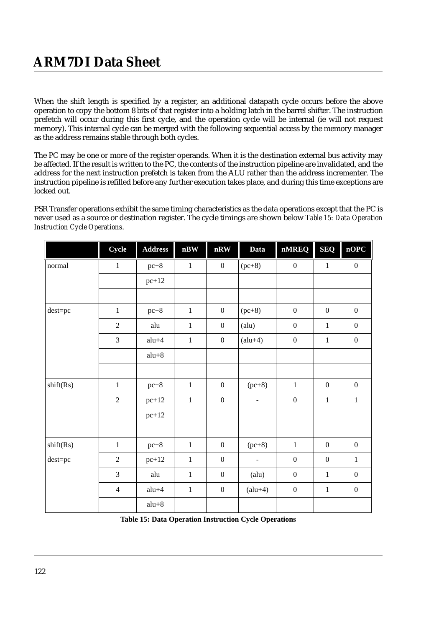When the shift length is specified by a register, an additional datapath cycle occurs before the above operation to copy the bottom 8 bits of that register into a holding latch in the barrel shifter. The instruction prefetch will occur during this first cycle, and the operation cycle will be internal (ie will not request memory). This internal cycle can be merged with the following sequential access by the memory manager as the address remains stable through both cycles.

The PC may be one or more of the register operands. When it is the destination external bus activity may be affected. If the result is written to the PC, the contents of the instruction pipeline are invalidated, and the address for the next instruction prefetch is taken from the ALU rather than the address incrementer. The instruction pipeline is refilled before any further execution takes place, and during this time exceptions are locked out.

PSR Transfer operations exhibit the same timing characteristics as the data operations except that the PC is never used as a source or destination register. The cycle timings are shown below *Table 15: Data Operation Instruction Cycle Operations*.

|             | Cycle          | <b>Address</b>              | nBW          | n <sub>RW</sub>  | <b>Data</b>              | nMREQ            | <b>SEQ</b>       | $\overline{noPC}$ |
|-------------|----------------|-----------------------------|--------------|------------------|--------------------------|------------------|------------------|-------------------|
| normal      | $\mathbf{1}$   | $pc + 8$                    | $\mathbf{1}$ | $\boldsymbol{0}$ | $(pc+8)$                 | $\boldsymbol{0}$ | $\mathbf{1}$     | $\boldsymbol{0}$  |
|             |                | $pc+12$                     |              |                  |                          |                  |                  |                   |
|             |                |                             |              |                  |                          |                  |                  |                   |
| $dest = pc$ | $\mathbf{1}$   | $pc + 8$                    | $\mathbf{1}$ | $\boldsymbol{0}$ | $(pc+8)$                 | $\boldsymbol{0}$ | $\overline{0}$   | $\boldsymbol{0}$  |
|             | $\overline{2}$ | alu                         | $\mathbf{1}$ | $\boldsymbol{0}$ | (alu)                    | $\boldsymbol{0}$ | $\mathbf{1}$     | $\boldsymbol{0}$  |
|             | 3              | $alu+4$                     | $\mathbf{1}$ | $\boldsymbol{0}$ | $(alu+4)$                | $\boldsymbol{0}$ | $\mathbf{1}$     | $\boldsymbol{0}$  |
|             |                | $\text{alu}{+}\text{8}$     |              |                  |                          |                  |                  |                   |
|             |                |                             |              |                  |                          |                  |                  |                   |
| shift(Rs)   | $\mathbf{1}$   | $pc + 8$                    | $\mathbf{1}$ | $\boldsymbol{0}$ | $(pc+8)$                 | $\mathbf{1}$     | $\boldsymbol{0}$ | $\boldsymbol{0}$  |
|             | $\sqrt{2}$     | $pc+12$                     | $\mathbf{1}$ | $\boldsymbol{0}$ | $\overline{\phantom{a}}$ | $\boldsymbol{0}$ | $\mathbf{1}$     | $\mathbf{1}$      |
|             |                | $pc+12$                     |              |                  |                          |                  |                  |                   |
|             |                |                             |              |                  |                          |                  |                  |                   |
| shift(Rs)   | $\mathbf{1}$   | $pc + 8$                    | $\mathbf{1}$ | $\boldsymbol{0}$ | $(pc+8)$                 | $\mathbf{1}$     | $\boldsymbol{0}$ | $\boldsymbol{0}$  |
| $dest=pc$   | $\sqrt{2}$     | $pc+12$                     | $\mathbf 1$  | $\boldsymbol{0}$ | $\blacksquare$           | $\boldsymbol{0}$ | $\boldsymbol{0}$ | $\mathbf{1}$      |
|             | $\overline{3}$ | $\mathop{\rm alu}\nolimits$ | $\mathbf{1}$ | $\boldsymbol{0}$ | (alu)                    | $\boldsymbol{0}$ | $\mathbf{1}$     | $\boldsymbol{0}$  |
|             | $\overline{4}$ | $alu+4$                     | $\mathbf{1}$ | $\boldsymbol{0}$ | $(alu+4)$                | $\boldsymbol{0}$ | $\mathbf{1}$     | $\boldsymbol{0}$  |
|             |                | $alu+8$                     |              |                  |                          |                  |                  |                   |

**Table 15: Data Operation Instruction Cycle Operations**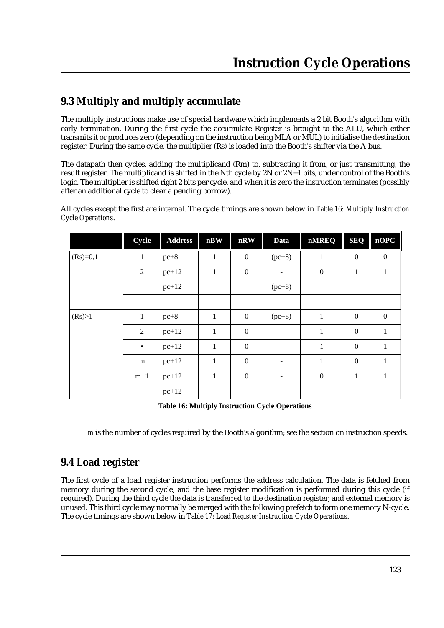## **9.3 Multiply and multiply accumulate**

The multiply instructions make use of special hardware which implements a 2 bit Booth's algorithm with early termination. During the first cycle the accumulate Register is brought to the ALU, which either transmits it or produces zero (depending on the instruction being MLA or MUL) to initialise the destination register. During the same cycle, the multiplier (Rs) is loaded into the Booth's shifter via the A bus.

The datapath then cycles, adding the multiplicand (Rm) to, subtracting it from, or just transmitting, the result register. The multiplicand is shifted in the Nth cycle by 2N or 2N+1 bits, under control of the Booth's logic. The multiplier is shifted right 2 bits per cycle, and when it is zero the instruction terminates (possibly after an additional cycle to clear a pending borrow).

All cycles except the first are internal. The cycle timings are shown below in *Table 16: Multiply Instruction Cycle Operations*.

|            | Cycle          | <b>Address</b> | nBW          | n <sub>RW</sub>  | Data     | nMREQ            | <b>SEQ</b>       | $n$ OPC          |
|------------|----------------|----------------|--------------|------------------|----------|------------------|------------------|------------------|
| $(Rs)=0,1$ | $\mathbf{1}$   | $pc + 8$       | $\mathbf{1}$ | $\boldsymbol{0}$ | $(pc+8)$ | $\mathbf{1}$     | $\boldsymbol{0}$ | $\boldsymbol{0}$ |
|            | $\overline{2}$ | $pc+12$        | $\mathbf{1}$ | $\boldsymbol{0}$ | -        | $\boldsymbol{0}$ | 1                | 1                |
|            |                | $pc+12$        |              |                  | $(pc+8)$ |                  |                  |                  |
|            |                |                |              |                  |          |                  |                  |                  |
| (Rs) > 1   | $\mathbf{1}$   | $pc + 8$       | $\mathbf{1}$ | $\boldsymbol{0}$ | $(pc+8)$ | $\mathbf{1}$     | $\boldsymbol{0}$ | $\boldsymbol{0}$ |
|            | 2              | $pc+12$        | $\mathbf{1}$ | $\boldsymbol{0}$ |          | 1                | $\boldsymbol{0}$ | 1                |
|            | $\bullet$      | $pc+12$        | $\mathbf{1}$ | $\boldsymbol{0}$ |          | $\mathbf{1}$     | $\boldsymbol{0}$ | 1                |
|            | m              | $pc+12$        | $\mathbf{1}$ | $\boldsymbol{0}$ |          | $\mathbf{1}$     | $\boldsymbol{0}$ | 1                |
|            | $m+1$          | $pc+12$        | $\mathbf{1}$ | $\boldsymbol{0}$ | -        | $\boldsymbol{0}$ | 1                | $\mathbf{1}$     |
|            |                | $pc+12$        |              |                  |          |                  |                  |                  |

**Table 16: Multiply Instruction Cycle Operations**

*m* is the number of cycles required by the Booth's algorithm; see the section on instruction speeds.

### **9.4 Load register**

The first cycle of a load register instruction performs the address calculation. The data is fetched from memory during the second cycle, and the base register modification is performed during this cycle (if required). During the third cycle the data is transferred to the destination register, and external memory is unused. This third cycle may normally be merged with the following prefetch to form one memory N-cycle. The cycle timings are shown below in *Table 17: Load Register Instruction Cycle Operations*.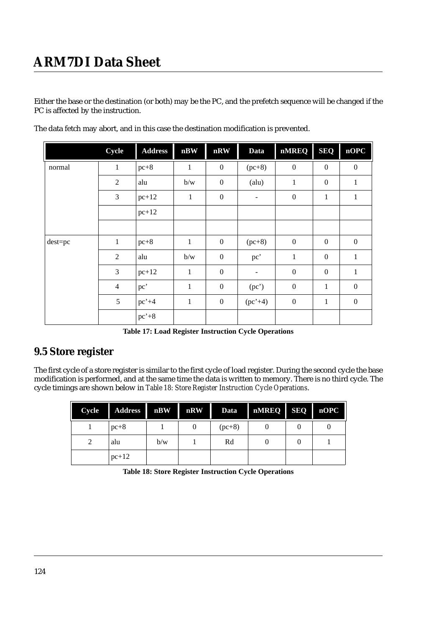Either the base or the destination (or both) may be the PC, and the prefetch sequence will be changed if the PC is affected by the instruction.

|             | Cycle          | <b>Address</b> | nBW          | nRW              | <b>Data</b>              | nMREQ            | <b>SEQ</b>       | $n$ OPC          |
|-------------|----------------|----------------|--------------|------------------|--------------------------|------------------|------------------|------------------|
| normal      | $\mathbf{1}$   | $pc + 8$       | $\mathbf{1}$ | $\boldsymbol{0}$ | $(pc+8)$                 | $\boldsymbol{0}$ | $\boldsymbol{0}$ | $\mathbf{0}$     |
|             | 2              | alu            | b/w          | $\boldsymbol{0}$ | (alu)                    | $\mathbf{1}$     | $\boldsymbol{0}$ | $\mathbf{1}$     |
|             | 3              | $pc+12$        | $\mathbf{1}$ | $\mathbf{0}$     | $\overline{\phantom{a}}$ | $\boldsymbol{0}$ | $\mathbf{1}$     | 1                |
|             |                | $pc+12$        |              |                  |                          |                  |                  |                  |
|             |                |                |              |                  |                          |                  |                  |                  |
| $dest = pc$ | $\mathbf{1}$   | $pc + 8$       | $\mathbf{1}$ | $\mathbf{0}$     | $(pc+8)$                 | $\boldsymbol{0}$ | $\boldsymbol{0}$ | $\mathbf{0}$     |
|             | $\overline{2}$ | alu            | b/w          | $\boldsymbol{0}$ | pc'                      | $\mathbf{1}$     | $\boldsymbol{0}$ | $\mathbf{1}$     |
|             | $\mathfrak{Z}$ | $pc+12$        | $\mathbf{1}$ | $\boldsymbol{0}$ | $\overline{\phantom{a}}$ | $\boldsymbol{0}$ | $\boldsymbol{0}$ | $\mathbf{1}$     |
|             | $\overline{4}$ | pc'            | $\mathbf{1}$ | $\boldsymbol{0}$ | (pc')                    | $\boldsymbol{0}$ | 1                | $\boldsymbol{0}$ |
|             | 5              | $pc'+4$        | $\mathbf{1}$ | $\boldsymbol{0}$ | $(pc'+4)$                | $\boldsymbol{0}$ | $\mathbf{1}$     | $\mathbf{0}$     |
|             |                | $pc'+8$        |              |                  |                          |                  |                  |                  |

The data fetch may abort, and in this case the destination modification is prevented.

**Table 17: Load Register Instruction Cycle Operations**

## **9.5 Store register**

The first cycle of a store register is similar to the first cycle of load register. During the second cycle the base modification is performed, and at the same time the data is written to memory. There is no third cycle. The cycle timings are shown below in *Table 18: Store Register Instruction Cycle Operations*.

| <b>Cycle</b> | <b>Address</b> | nBW | nRW | Data     | $nMREQ$ SEQ $nOPC$ |  |
|--------------|----------------|-----|-----|----------|--------------------|--|
|              | $pc + 8$       |     |     | $(pc+8)$ |                    |  |
|              | alu            | b/w |     | Rd       |                    |  |
|              | $pc+12$        |     |     |          |                    |  |

**Table 18: Store Register Instruction Cycle Operations**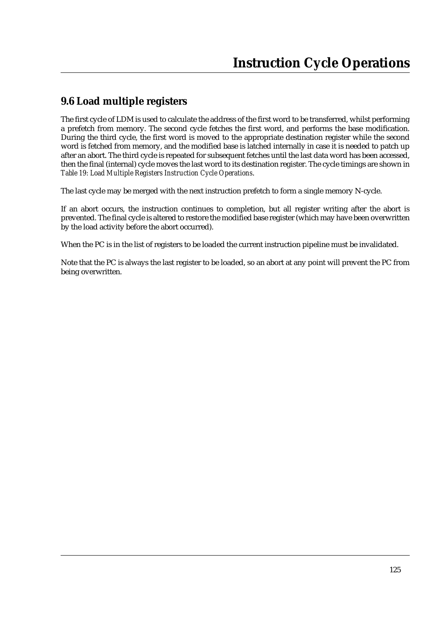## **9.6 Load multiple registers**

The first cycle of LDM is used to calculate the address of the first word to be transferred, whilst performing a prefetch from memory. The second cycle fetches the first word, and performs the base modification. During the third cycle, the first word is moved to the appropriate destination register while the second word is fetched from memory, and the modified base is latched internally in case it is needed to patch up after an abort. The third cycle is repeated for subsequent fetches until the last data word has been accessed, then the final (internal) cycle moves the last word to its destination register. The cycle timings are shown in *Table 19: Load Multiple Registers Instruction Cycle Operations*.

The last cycle may be merged with the next instruction prefetch to form a single memory N-cycle.

If an abort occurs, the instruction continues to completion, but all register writing after the abort is prevented. The final cycle is altered to restore the modified base register (which may have been overwritten by the load activity before the abort occurred).

When the PC is in the list of registers to be loaded the current instruction pipeline must be invalidated.

Note that the PC is always the last register to be loaded, so an abort at any point will prevent the PC from being overwritten.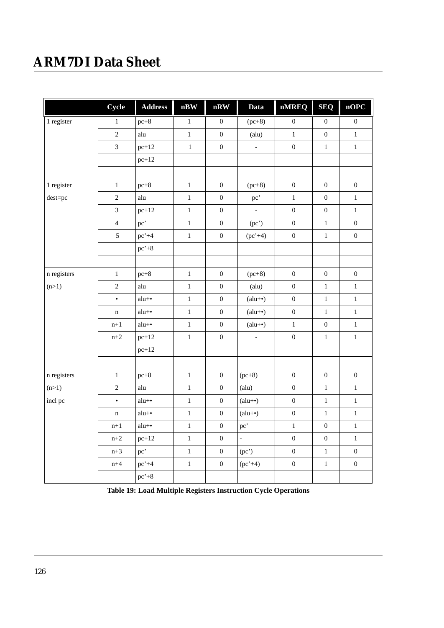|             | Cycle          | <b>Address</b> | nBW          | nRW              | <b>Data</b>              | nMREQ            | <b>SEQ</b>       | $n$ OPC          |
|-------------|----------------|----------------|--------------|------------------|--------------------------|------------------|------------------|------------------|
| 1 register  | $\,1\,$        | $pc + 8$       | $\,1\,$      | $\boldsymbol{0}$ | $(pc+8)$                 | $\boldsymbol{0}$ | $\boldsymbol{0}$ | $\boldsymbol{0}$ |
|             | $\sqrt{2}$     | alu            | $\mathbf{1}$ | $\boldsymbol{0}$ | (alu)                    | $\,1$            | $\boldsymbol{0}$ | $\mathbf 1$      |
|             | $\overline{3}$ | $pc+12$        | $\,1$        | $\boldsymbol{0}$ | $\mathbb{Z}^d$           | $\boldsymbol{0}$ | $\,1\,$          | $\,1$            |
|             |                | $pc+12$        |              |                  |                          |                  |                  |                  |
|             |                |                |              |                  |                          |                  |                  |                  |
| 1 register  | $\,1\,$        | $pc + 8$       | $\,1$        | $\boldsymbol{0}$ | $(pc+8)$                 | $\boldsymbol{0}$ | $\mathbf{0}$     | $\boldsymbol{0}$ |
| $dest = pc$ | $\sqrt{2}$     | alu            | $\,1$        | $\boldsymbol{0}$ | pc'                      | $\mathbf 1$      | $\boldsymbol{0}$ | $\,1\,$          |
|             | $\mathfrak{Z}$ | $pc+12$        | $\mathbf{1}$ | $\boldsymbol{0}$ | $\overline{\phantom{a}}$ | $\boldsymbol{0}$ | $\boldsymbol{0}$ | $\,1$            |
|             | $\overline{4}$ | pc'            | $\mathbf{1}$ | $\boldsymbol{0}$ | (pc')                    | $\boldsymbol{0}$ | $\,1$            | $\boldsymbol{0}$ |
|             | 5              | $pc'+4$        | $\,1\,$      | $\boldsymbol{0}$ | $(pc'+4)$                | $\boldsymbol{0}$ | $\,1$            | $\boldsymbol{0}$ |
|             |                | $pc'+8$        |              |                  |                          |                  |                  |                  |
|             |                |                |              |                  |                          |                  |                  |                  |
| n registers | $\mathbf{1}$   | $pc + 8$       | $\,1$        | $\boldsymbol{0}$ | $(pc+8)$                 | $\boldsymbol{0}$ | $\boldsymbol{0}$ | $\boldsymbol{0}$ |
| (n>1)       | $\sqrt{2}$     | alu            | $\,1$        | $\boldsymbol{0}$ | (alu)                    | $\mathbf 0$      | $\,1$            | $\mathbf 1$      |
|             | $\bullet$      | $alu++$        | $\,1$        | $\boldsymbol{0}$ | $(alu+•)$                | $\boldsymbol{0}$ | $\,1\,$          | $\,1$            |
|             | $\mathbf n$    | alu+ $\bullet$ | $\,1$        | $\boldsymbol{0}$ | $(alu+•)$                | $\boldsymbol{0}$ | $\mathbf{1}$     | $\,1$            |
|             | $n+1$          | $alu++$        | $\,1\,$      | $\boldsymbol{0}$ | $(alu+•)$                | $\,1$            | $\boldsymbol{0}$ | $\mathbf 1$      |
|             | $n+2$          | $pc+12$        | $\,1$        | $\boldsymbol{0}$ | $\mathbb{L}$             | $\boldsymbol{0}$ | $\,1$            | $\,1$            |
|             |                | $pc+12$        |              |                  |                          |                  |                  |                  |
|             |                |                |              |                  |                          |                  |                  |                  |
| n registers | $\,1$          | $pc + 8$       | $\,1$        | $\boldsymbol{0}$ | $(pc+8)$                 | $\boldsymbol{0}$ | $\boldsymbol{0}$ | $\boldsymbol{0}$ |
| (n>1)       | $\sqrt{2}$     | alu            | $\,1$        | $\boldsymbol{0}$ | (alu)                    | $\boldsymbol{0}$ | $\,1$            | $\,1$            |
| incl pc     | $\bullet$      | $alu++$        | $\,1\,$      | $\boldsymbol{0}$ | $(alu+•)$                | $\boldsymbol{0}$ | $\,1$            | $\,1$            |
|             | $\mathbf n$    | alu+ $\bullet$ | $\,1$        | $\boldsymbol{0}$ | $(alu+•)$                | $\boldsymbol{0}$ | $\,1\,$          | $\mathbf{1}$     |
|             | $n+1$          | alu+<br>•      | $\,1$        | $\boldsymbol{0}$ | pc'                      | $\mathbf{1}$     | $\boldsymbol{0}$ | $\,1$            |
|             | $n+2$          | $pc+12$        | $\mathbf{1}$ | $\boldsymbol{0}$ | $\overline{\phantom{a}}$ | $\boldsymbol{0}$ | $\boldsymbol{0}$ | $\,1$            |
|             | $n+3$          | pc'            | $\,1\,$      | $\boldsymbol{0}$ | (pc')                    | $\boldsymbol{0}$ | $\,1$            | $\boldsymbol{0}$ |
|             | $n+4$          | $pc'+4$        | $\,1$        | $\boldsymbol{0}$ | $(pc'+4)$                | $\boldsymbol{0}$ | $\,1$            | $\boldsymbol{0}$ |
|             |                | $pc'+8$        |              |                  |                          |                  |                  |                  |

**Table 19: Load Multiple Registers Instruction Cycle Operations**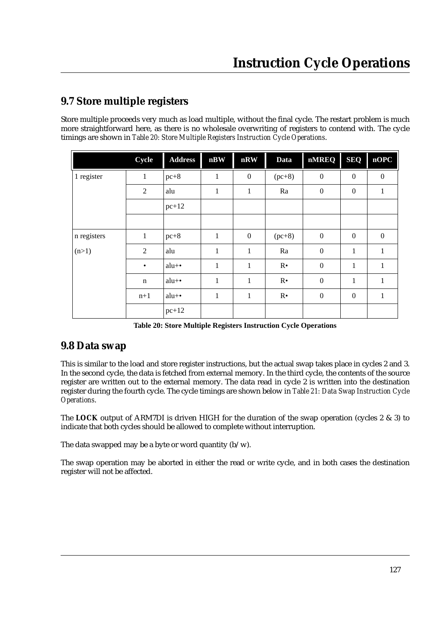### **9.7 Store multiple registers**

Store multiple proceeds very much as load multiple, without the final cycle. The restart problem is much more straightforward here, as there is no wholesale overwriting of registers to contend with. The cycle timings are shown in *Table 20: Store Multiple Registers Instruction Cycle Operations*.

|             | Cycle          | <b>Address</b> | nBW          | n <sub>RW</sub>  | <b>Data</b>   | nMREQ            | <b>SEQ</b>       | $n$ OPC          |
|-------------|----------------|----------------|--------------|------------------|---------------|------------------|------------------|------------------|
| 1 register  | $\mathbf{1}$   | $pc + 8$       | 1            | $\boldsymbol{0}$ | $(pc+8)$      | $\boldsymbol{0}$ | $\boldsymbol{0}$ | $\boldsymbol{0}$ |
|             | $\overline{2}$ | alu            | $\mathbf{1}$ | $\mathbf{1}$     | Ra            | $\boldsymbol{0}$ | $\boldsymbol{0}$ | 1                |
|             |                | $pc+12$        |              |                  |               |                  |                  |                  |
|             |                |                |              |                  |               |                  |                  |                  |
| n registers | $\mathbf{1}$   | $pc + 8$       | $\mathbf{1}$ | $\boldsymbol{0}$ | $(pc+8)$      | $\boldsymbol{0}$ | $\boldsymbol{0}$ | $\boldsymbol{0}$ |
| (n>1)       | $\overline{2}$ | alu            | 1            | 1                | Ra            | $\mathbf{0}$     | 1                | 1                |
|             | $\bullet$      | $alu++$        | 1            | 1                | $R^{\bullet}$ | $\boldsymbol{0}$ | 1                | 1                |
|             | $\mathbf n$    | $alu++$        | 1            | $\mathbf{1}$     | $R^{\bullet}$ | $\boldsymbol{0}$ | 1                | 1                |
|             | $n+1$          | alu $+$ •      | $\mathbf{1}$ | 1                | $R^{\bullet}$ | $\boldsymbol{0}$ | $\theta$         | 1                |
|             |                | $pc+12$        |              |                  |               |                  |                  |                  |

**Table 20: Store Multiple Registers Instruction Cycle Operations**

### **9.8 Data swap**

This is similar to the load and store register instructions, but the actual swap takes place in cycles 2 and 3. In the second cycle, the data is fetched from external memory. In the third cycle, the contents of the source register are written out to the external memory. The data read in cycle 2 is written into the destination register during the fourth cycle. The cycle timings are shown below in *Table 21: Data Swap Instruction Cycle Operations*.

The **LOCK** output of ARM7DI is driven HIGH for the duration of the swap operation (cycles 2 & 3) to indicate that both cycles should be allowed to complete without interruption.

The data swapped may be a byte or word quantity  $(b/w)$ .

The swap operation may be aborted in either the read or write cycle, and in both cases the destination register will not be affected.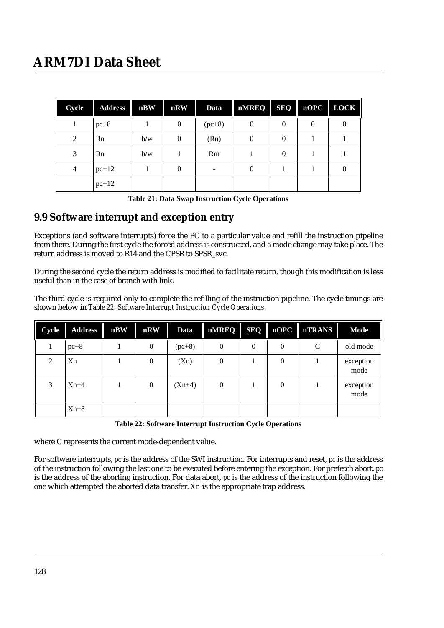| Cycle          | <b>Address</b> | nBW | n <sub>RW</sub>  | Data     | nMREQ    | <b>SEQ</b> |   | $n$ OPC   LOCK |
|----------------|----------------|-----|------------------|----------|----------|------------|---|----------------|
|                | $pc + 8$       |     | $\boldsymbol{0}$ | $(pc+8)$ | $\theta$ | $\theta$   | 0 |                |
| 2              | Rn             | b/w | $\theta$         | (Rn)     | $\theta$ | $\theta$   |   |                |
| 3              | Rn             | b/w |                  | Rm       |          | $\theta$   |   |                |
| $\overline{4}$ | $pc+12$        |     | $\theta$         |          | $\theta$ |            |   |                |
|                | $pc+12$        |     |                  |          |          |            |   |                |

**Table 21: Data Swap Instruction Cycle Operations**

### **9.9 Software interrupt and exception entry**

Exceptions (and software interrupts) force the PC to a particular value and refill the instruction pipeline from there. During the first cycle the forced address is constructed, and a mode change may take place. The return address is moved to R14 and the CPSR to SPSR\_svc.

During the second cycle the return address is modified to facilitate return, though this modification is less useful than in the case of branch with link.

The third cycle is required only to complete the refilling of the instruction pipeline. The cycle timings are shown below in *Table 22: Software Interrupt Instruction Cycle Operations*.

| Cycle | <b>Address</b> | nBW | nRW          | Data     | nMREQ            | SEQ | $n$ OPC  | nTRANS | <b>Mode</b>       |
|-------|----------------|-----|--------------|----------|------------------|-----|----------|--------|-------------------|
|       | $pc + 8$       |     | 0            | $(pc+8)$ | 0                | 0   | $\theta$ | C      | old mode          |
| 2     | Xn             |     | $\mathbf{0}$ | (Xn)     | $\theta$         |     | $\theta$ |        | exception<br>mode |
| 3     | $Xn+4$         |     | $\mathbf{0}$ | $(Xn+4)$ | $\boldsymbol{0}$ |     | $\theta$ |        | exception<br>mode |
|       | $Xn+8$         |     |              |          |                  |     |          |        |                   |

**Table 22: Software Interrupt Instruction Cycle Operations**

where C represents the current mode-dependent value.

For software interrupts, *pc* is the address of the SWI instruction. For interrupts and reset, *pc* is the address of the instruction following the last one to be executed before entering the exception. For prefetch abort, *pc* is the address of the aborting instruction. For data abort, *pc* is the address of the instruction following the one which attempted the aborted data transfer. *Xn* is the appropriate trap address.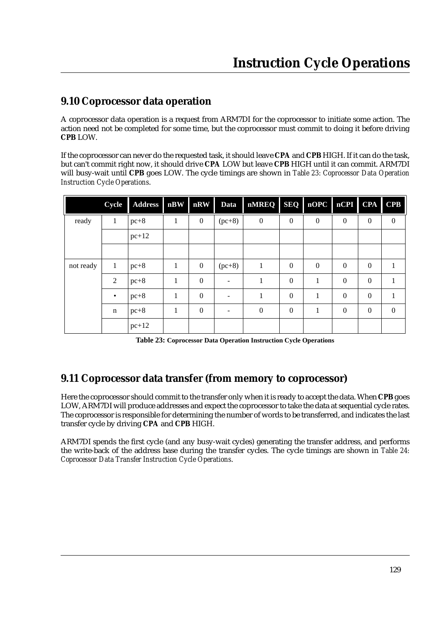### **9.10 Coprocessor data operation**

A coprocessor data operation is a request from ARM7DI for the coprocessor to initiate some action. The action need not be completed for some time, but the coprocessor must commit to doing it before driving **CPB** LOW.

If the coprocessor can never do the requested task, it should leave **CPA** and **CPB** HIGH. If it can do the task, but can't commit right now, it should drive **CPA** LOW but leave **CPB** HIGH until it can commit. ARM7DI will busy-wait until **CPB** goes LOW. The cycle timings are shown in *Table 23: Coprocessor Data Operation Instruction Cycle Operations*.

|           | Cycle          | Address BW |   | n <sub>RW</sub>  | <b>Data</b>              | nMREQ SEQ nOPC nCPI CPA CPB |                |                  |                  |              |                |
|-----------|----------------|------------|---|------------------|--------------------------|-----------------------------|----------------|------------------|------------------|--------------|----------------|
| ready     | 1              | $pc + 8$   | 1 | $\boldsymbol{0}$ | $(pc+8)$                 | $\mathbf{0}$                | $\mathbf{0}$   | $\overline{0}$   | $\overline{0}$   | $\mathbf{0}$ | $\overline{0}$ |
|           |                | $pc+12$    |   |                  |                          |                             |                |                  |                  |              |                |
|           |                |            |   |                  |                          |                             |                |                  |                  |              |                |
| not ready | 1              | $pc + 8$   | 1 | $\boldsymbol{0}$ | $(pc+8)$                 | 1                           | $\mathbf{0}$   | $\boldsymbol{0}$ | $\boldsymbol{0}$ | $\Omega$     | 1              |
|           | $\overline{2}$ | $pc + 8$   | 1 | $\boldsymbol{0}$ | $\overline{\phantom{a}}$ | 1<br>л.                     | $\overline{0}$ | 1                | $\boldsymbol{0}$ | $\mathbf{0}$ | 1              |
|           | $\bullet$      | $pc + 8$   | 1 | $\boldsymbol{0}$ | $\overline{\phantom{a}}$ | $\mathbf{I}$                | $\mathbf{0}$   | 1                | $\mathbf{0}$     | $\Omega$     | 1              |
|           | $\mathbf n$    | $pc + 8$   | 1 | $\overline{0}$   |                          | $\theta$                    | $\mathbf{0}$   | 1                | $\overline{0}$   | $\Omega$     | $\overline{0}$ |
|           |                | $pc+12$    |   |                  |                          |                             |                |                  |                  |              |                |

**Table 23: Coprocessor Data Operation Instruction Cycle Operations**

### **9.11 Coprocessor data transfer (from memory to coprocessor)**

Here the coprocessor should commit to the transfer only when it is ready to accept the data. When **CPB** goes LOW, ARM7DI will produce addresses and expect the coprocessor to take the data at sequential cycle rates. The coprocessor is responsible for determining the number of words to be transferred, and indicates the last transfer cycle by driving **CPA** and **CPB** HIGH.

ARM7DI spends the first cycle (and any busy-wait cycles) generating the transfer address, and performs the write-back of the address base during the transfer cycles. The cycle timings are shown in *Table 24: Coprocessor Data Transfer Instruction Cycle Operations*.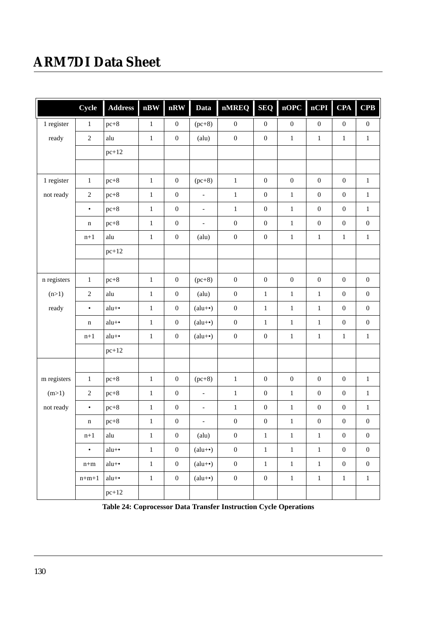|             | Cycle          | <b>Address</b> | nBW          | nRW              | <b>Data</b>              | nMREQ            | <b>SEQ</b>       | $n$ OPC          | $n$ CPI          | <b>CPA</b>       | <b>CPB</b>       |
|-------------|----------------|----------------|--------------|------------------|--------------------------|------------------|------------------|------------------|------------------|------------------|------------------|
| 1 register  | $\,1\,$        | $pc + 8$       | $\,1$        | $\boldsymbol{0}$ | $(pc+8)$                 | $\boldsymbol{0}$ | $\boldsymbol{0}$ | $\boldsymbol{0}$ | $\boldsymbol{0}$ | $\boldsymbol{0}$ | $\boldsymbol{0}$ |
| ready       | $\overline{2}$ | alu            | $\mathbf{1}$ | $\boldsymbol{0}$ | (alu)                    | $\boldsymbol{0}$ | $\boldsymbol{0}$ | $\mathbf{1}$     | $\,1\,$          | $\,1\,$          | $\,1$            |
|             |                | $pc+12$        |              |                  |                          |                  |                  |                  |                  |                  |                  |
|             |                |                |              |                  |                          |                  |                  |                  |                  |                  |                  |
| 1 register  | $\mathbf 1$    | $pc + 8$       | $\,1\,$      | $\boldsymbol{0}$ | $(pc+8)$                 | $\,1\,$          | $\boldsymbol{0}$ | $\boldsymbol{0}$ | $\boldsymbol{0}$ | $\boldsymbol{0}$ | $\,1$            |
| not ready   | $\sqrt{2}$     | $pc + 8$       | $\,1$        | $\boldsymbol{0}$ | $\frac{1}{2}$            | $\mathbf{1}$     | $\boldsymbol{0}$ | $\mathbf{1}$     | $\boldsymbol{0}$ | $\boldsymbol{0}$ | $\mathbf{1}$     |
|             | $\bullet$      | $pc + 8$       | $\mathbf{1}$ | $\boldsymbol{0}$ | $\Box$                   | $\,1$            | $\boldsymbol{0}$ | $\mathbf 1$      | $\boldsymbol{0}$ | $\boldsymbol{0}$ | $\,1$            |
|             | $\mathbf n$    | $pc + 8$       | $\mathbf{1}$ | $\boldsymbol{0}$ | $\blacksquare$           | $\boldsymbol{0}$ | $\boldsymbol{0}$ | $\mathbf{1}$     | $\boldsymbol{0}$ | $\boldsymbol{0}$ | $\boldsymbol{0}$ |
|             | $n+1$          | alu            | $\mathbf{1}$ | $\boldsymbol{0}$ | (alu)                    | $\boldsymbol{0}$ | $\boldsymbol{0}$ | $\,1\,$          | $\mathbf{1}$     | $\mathbf{1}$     | $\,1$            |
|             |                | $pc+12$        |              |                  |                          |                  |                  |                  |                  |                  |                  |
|             |                |                |              |                  |                          |                  |                  |                  |                  |                  |                  |
| n registers | $\,1\,$        | $pc + 8$       | $\,1\,$      | $\boldsymbol{0}$ | $(pc+8)$                 | $\boldsymbol{0}$ | $\boldsymbol{0}$ | $\boldsymbol{0}$ | $\boldsymbol{0}$ | $\boldsymbol{0}$ | $\boldsymbol{0}$ |
| (n>1)       | $\overline{2}$ | alu            | $\mathbf{1}$ | $\boldsymbol{0}$ | (alu)                    | $\boldsymbol{0}$ | $\,1\,$          | $\mathbf{1}$     | $\mathbf 1$      | $\boldsymbol{0}$ | $\boldsymbol{0}$ |
| ready       | $\bullet$      | alu+ $\bullet$ | $\mathbf{1}$ | $\boldsymbol{0}$ | $(alu+•)$                | $\boldsymbol{0}$ | $\mathbf{1}$     | $\mathbf{1}$     | $\,1\,$          | $\boldsymbol{0}$ | $\boldsymbol{0}$ |
|             | $\mathbf n$    | alu+ $\bullet$ | $\mathbf{1}$ | $\boldsymbol{0}$ | $(alu+•)$                | $\boldsymbol{0}$ | $\mathbf{1}$     | $\mathbf{1}$     | $\mathbf{1}$     | $\boldsymbol{0}$ | $\boldsymbol{0}$ |
|             | $n+1$          | alu+ $\bullet$ | $\mathbf{1}$ | $\boldsymbol{0}$ | $(alu+•)$                | $\boldsymbol{0}$ | $\boldsymbol{0}$ | $\mathbf{1}$     | $\mathbf{1}$     | $\mathbf 1$      | $\,1$            |
|             |                | $pc+12$        |              |                  |                          |                  |                  |                  |                  |                  |                  |
|             |                |                |              |                  |                          |                  |                  |                  |                  |                  |                  |
| m registers | $\,1\,$        | $pc + 8$       | $\,1\,$      | $\boldsymbol{0}$ | $(pc+8)$                 | $\,1$            | $\boldsymbol{0}$ | $\boldsymbol{0}$ | $\boldsymbol{0}$ | $\boldsymbol{0}$ | $\,1$            |
| (m>1)       | $\overline{2}$ | $pc + 8$       | $\mathbf{1}$ | $\boldsymbol{0}$ | $\overline{\phantom{a}}$ | $\mathbf{1}$     | $\boldsymbol{0}$ | $\mathbf{1}$     | $\boldsymbol{0}$ | $\boldsymbol{0}$ | $\mathbf{1}$     |
| not ready   | $\bullet$      | $pc + 8$       | $\mathbf{1}$ | $\boldsymbol{0}$ | $\overline{\phantom{a}}$ | $\,1$            | $\boldsymbol{0}$ | $\mathbf{1}$     | $\boldsymbol{0}$ | $\boldsymbol{0}$ | $\mathbf{1}$     |
|             | $\mathbf n$    | $pc + 8$       | $\mathbf{1}$ | $\boldsymbol{0}$ | $\overline{\phantom{a}}$ | $\boldsymbol{0}$ | $\boldsymbol{0}$ | $\mathbf{1}$     | $\boldsymbol{0}$ | $\boldsymbol{0}$ | $\boldsymbol{0}$ |
|             | $\sqrt{n+1}$   | alu            | $\,1$        | $\boldsymbol{0}$ | (alu)                    | $\boldsymbol{0}$ | $\,1\,$          | $\,1$            | $\,1\,$          | $\boldsymbol{0}$ | $\boldsymbol{0}$ |
|             | $\bullet$      | alu+ $\bullet$ | $\,1$        | $\boldsymbol{0}$ | $(alu+•)$                | $\boldsymbol{0}$ | $\,1$            | $\,1$            | $\,1$            | $\boldsymbol{0}$ | $\boldsymbol{0}$ |
|             | $n+m$          | alu+ $\bullet$ | $\,1$        | $\boldsymbol{0}$ | $(alu+•)$                | $\boldsymbol{0}$ | $\,1\,$          | $\,1$            | $\,1$            | $\boldsymbol{0}$ | $\boldsymbol{0}$ |
|             | $n+m+1$        | alu+ $\bullet$ | $\,1$        | $\boldsymbol{0}$ | $(alu+•)$                | $\boldsymbol{0}$ | $\boldsymbol{0}$ | $\,1\,$          | $\,1\,$          | $\,1\,$          | $\,1$            |
|             |                | $pc+12$        |              |                  |                          |                  |                  |                  |                  |                  |                  |

**Table 24: Coprocessor Data Transfer Instruction Cycle Operations**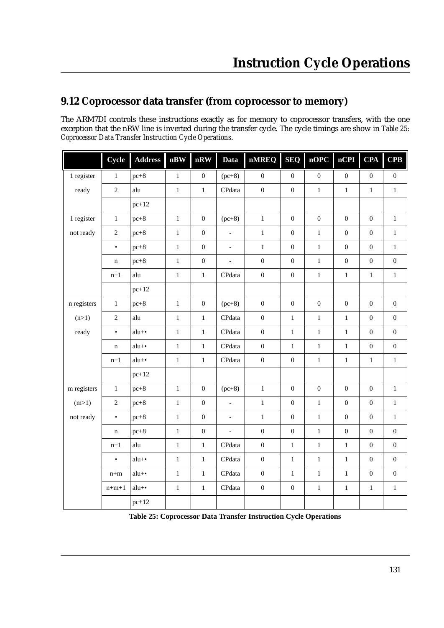## **9.12 Coprocessor data transfer (from coprocessor to memory)**

The ARM7DI controls these instructions exactly as for memory to coprocessor transfers, with the one exception that the nRW line is inverted during the transfer cycle. The cycle timings are show in *Table 25: Coprocessor Data Transfer Instruction Cycle Operations*.

|             | Cycle          | <b>Address</b> | nBW          | nRW              | Data                     | nMREQ            | <b>SEQ</b>       | $n$ OPC          | nCPI             | <b>CPA</b>       | $\bf{CPB}$       |
|-------------|----------------|----------------|--------------|------------------|--------------------------|------------------|------------------|------------------|------------------|------------------|------------------|
| 1 register  | $\mathbf{1}$   | $pc + 8$       | $\,1$        | $\mathbf{0}$     | $(pc+8)$                 | $\mathbf{0}$     | $\overline{0}$   | $\mathbf{0}$     | $\boldsymbol{0}$ | $\overline{0}$   | $\boldsymbol{0}$ |
| ready       | $\overline{2}$ | alu            | $1\,$        | $\mathbf{1}$     | CPdata                   | $\boldsymbol{0}$ | $\boldsymbol{0}$ | $\mathbf{1}$     | $\mathbf{1}$     | $\,1$            | $\,1$            |
|             |                | $pc+12$        |              |                  |                          |                  |                  |                  |                  |                  |                  |
| 1 register  | $\,1$          | $pc + 8$       | $\mathbf{1}$ | $\boldsymbol{0}$ | $(pc+8)$                 | $\mathbf{1}$     | $\mathbf{0}$     | $\mathbf{0}$     | $\boldsymbol{0}$ | $\overline{0}$   | $\,1$            |
| not ready   | $\sqrt{2}$     | $pc + 8$       | $\,1\,$      | $\boldsymbol{0}$ | $\frac{1}{2}$            | $\,1$            | $\boldsymbol{0}$ | $\,1$            | $\boldsymbol{0}$ | $\overline{0}$   | $\,1$            |
|             | $\bullet$      | $pc + 8$       | $\mathbf{1}$ | $\boldsymbol{0}$ | $\Box$                   | $\,1$            | $\overline{0}$   | $\mathbf{1}$     | $\boldsymbol{0}$ | $\overline{0}$   | $\,1$            |
|             | $\mathbf n$    | $pc + 8$       | $\,1$        | $\boldsymbol{0}$ | $\frac{1}{2}$            | $\boldsymbol{0}$ | $\boldsymbol{0}$ | $\,1$            | $\boldsymbol{0}$ | $\boldsymbol{0}$ | $\boldsymbol{0}$ |
|             | $n+1$          | alu            | $\mathbf{1}$ | $\mathbf{1}$     | CPdata                   | $\boldsymbol{0}$ | $\boldsymbol{0}$ | $1\,$            | $\mathbf{1}$     | $\,1$            | $\,1$            |
|             |                | $pc+12$        |              |                  |                          |                  |                  |                  |                  |                  |                  |
| n registers | $\mathbf{1}$   | $pc + 8$       | $\,1$        | $\boldsymbol{0}$ | $(pc+8)$                 | $\boldsymbol{0}$ | $\boldsymbol{0}$ | $\boldsymbol{0}$ | $\boldsymbol{0}$ | $\boldsymbol{0}$ | $\boldsymbol{0}$ |
| (n>1)       | $\sqrt{2}$     | alu            | $\,1$        | $\,1\,$          | CPdata                   | $\boldsymbol{0}$ | $\,1$            | $\,1\,$          | $\mathbf{1}$     | $\boldsymbol{0}$ | $\boldsymbol{0}$ |
| ready       | $\bullet$      | $alu+$         | $\,1$        | $\,1\,$          | CPdata                   | $\boldsymbol{0}$ | $\,1$            | $\,1\,$          | $\,1\,$          | $\boldsymbol{0}$ | $\boldsymbol{0}$ |
|             | $\mathbf n$    | $alu+$         | $\,1$        | $\,1\,$          | CPdata                   | $\boldsymbol{0}$ | $\,1$            | $\,1\,$          | $\,1\,$          | $\boldsymbol{0}$ | $\boldsymbol{0}$ |
|             | $n+1$          | alu+ $\bullet$ | $\mathbf{1}$ | $\,1\,$          | CPdata                   | $\boldsymbol{0}$ | $\boldsymbol{0}$ | $\,1\,$          | $\,1\,$          | $\,1$            | $\,1$            |
|             |                | $pc+12$        |              |                  |                          |                  |                  |                  |                  |                  |                  |
| m registers | $\,1$          | $pc + 8$       | $\,1$        | $\boldsymbol{0}$ | $(pc+8)$                 | $\,1$            | $\boldsymbol{0}$ | $\boldsymbol{0}$ | $\boldsymbol{0}$ | $\boldsymbol{0}$ | $\mathbf{1}$     |
| (m>1)       | $\overline{c}$ | $pc + 8$       | $1\,$        | $\boldsymbol{0}$ | $\overline{\phantom{a}}$ | $\,1$            | $\overline{0}$   | $\mathbf{1}$     | $\boldsymbol{0}$ | $\boldsymbol{0}$ | $\mathbf{1}$     |
| not ready   | $\bullet$      | $pc + 8$       | $\,1$        | $\boldsymbol{0}$ | $\overline{\phantom{a}}$ | $\mathbf{1}$     | $\boldsymbol{0}$ | $\,1\,$          | $\boldsymbol{0}$ | $\boldsymbol{0}$ | $\mathbf{1}$     |
|             | $\mathbf n$    | $pc + 8$       | $1\,$        | $\boldsymbol{0}$ | $\Box$                   | $\boldsymbol{0}$ | $\boldsymbol{0}$ | $\mathbf{1}$     | $\boldsymbol{0}$ | $\boldsymbol{0}$ | $\boldsymbol{0}$ |
|             | $n+1$          | alu            | $\,1$        | $\,1\,$          | CPdata                   | $\boldsymbol{0}$ | $\,1$            | $\,1\,$          | $\,1\,$          | $\boldsymbol{0}$ | $\boldsymbol{0}$ |
|             | $\bullet$      | $alu++$        | $\mathbf{1}$ | $\mathbf{1}$     | CPdata                   | $\boldsymbol{0}$ | $\mathbf{1}$     | $\mathbf{1}$     | $\mathbf{1}$     | $\boldsymbol{0}$ | $\boldsymbol{0}$ |
|             | $n+m$          | alu+ $\bullet$ | $1\,$        | $\mathbf{1}$     | CPdata                   | $\boldsymbol{0}$ | $\mathbf{1}$     | $\mathbf{1}$     | $\mathbf{1}$     | $\boldsymbol{0}$ | $\boldsymbol{0}$ |
|             | $n+m+1$        | $alu+$         | $\mathbf{1}$ | $\mathbf 1$      | CPdata                   | $\boldsymbol{0}$ | $\boldsymbol{0}$ | $\mathbf 1$      | $\,1\,$          | $\mathbf 1$      | $\,1$            |
|             |                | $pc+12$        |              |                  |                          |                  |                  |                  |                  |                  |                  |

**Table 25: Coprocessor Data Transfer Instruction Cycle Operations**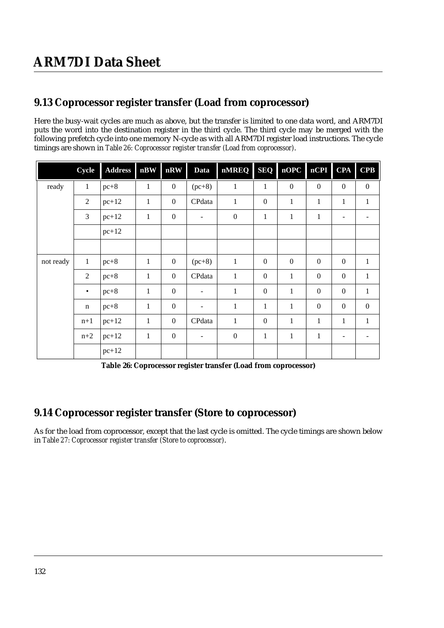## **9.13 Coprocessor register transfer (Load from coprocessor)**

Here the busy-wait cycles are much as above, but the transfer is limited to one data word, and ARM7DI puts the word into the destination register in the third cycle. The third cycle may be merged with the following prefetch cycle into one memory N-cycle as with all ARM7DI register load instructions. The cycle timings are shown in *Table 26: Coprocessor register transfer (Load from coprocessor)*.

|           | Cycle          | <b>Address</b> | nBW          | nRW              | <b>Data</b> | nMREQ            | <b>SEQ</b>       | $nOPC$ $nCPI$    |                  | <b>CPA</b>                   | CPB              |
|-----------|----------------|----------------|--------------|------------------|-------------|------------------|------------------|------------------|------------------|------------------------------|------------------|
| ready     | $\mathbf{1}$   | $pc + 8$       | $\mathbf{1}$ | $\overline{0}$   | $(pc+8)$    | $\mathbf{1}$     | $\mathbf{1}$     | $\mathbf{0}$     | $\boldsymbol{0}$ | $\boldsymbol{0}$             | $\boldsymbol{0}$ |
|           | $\overline{2}$ | $pc+12$        | $\mathbf{1}$ | $\mathbf{0}$     | CPdata      | 1                | $\boldsymbol{0}$ | $\mathbf{1}$     | $\mathbf{1}$     | $\mathbf{1}$                 | $\mathbf{1}$     |
|           | 3              | $pc+12$        | $\mathbf{1}$ | $\boldsymbol{0}$ |             | $\boldsymbol{0}$ | 1                | $\mathbf{1}$     | $\mathbf{1}$     |                              |                  |
|           |                | $pc+12$        |              |                  |             |                  |                  |                  |                  |                              |                  |
|           |                |                |              |                  |             |                  |                  |                  |                  |                              |                  |
| not ready | $\mathbf{1}$   | $pc + 8$       | $\mathbf{1}$ | $\boldsymbol{0}$ | $(pc+8)$    | $\mathbf{1}$     | $\boldsymbol{0}$ | $\boldsymbol{0}$ | $\boldsymbol{0}$ | $\overline{0}$               | $\mathbf{1}$     |
|           | $\overline{2}$ | $pc + 8$       | $\mathbf{1}$ | $\overline{0}$   | CPdata      | 1                | $\boldsymbol{0}$ | $\mathbf{1}$     | $\boldsymbol{0}$ | $\mathbf{0}$                 | $\mathbf{1}$     |
|           | $\bullet$      | $pc + 8$       | $\mathbf{1}$ | $\boldsymbol{0}$ | -           | $\mathbf{1}$     | $\boldsymbol{0}$ | 1                | $\boldsymbol{0}$ | $\boldsymbol{0}$             | $\mathbf{1}$     |
|           | n              | $pc + 8$       | $\mathbf{1}$ | $\boldsymbol{0}$ |             | $\mathbf{1}$     | $\mathbf{1}$     | $\mathbf{1}$     | $\boldsymbol{0}$ | $\boldsymbol{0}$             | $\boldsymbol{0}$ |
|           | $n+1$          | $pc+12$        | $\mathbf{1}$ | $\overline{0}$   | CPdata      | $\mathbf{1}$     | $\boldsymbol{0}$ | $\mathbf{1}$     | $\mathbf{1}$     | $\mathbf{1}$                 | $\mathbf{1}$     |
|           | $n+2$          | $pc+12$        | $\mathbf{1}$ | $\overline{0}$   | -           | $\boldsymbol{0}$ | 1                | $\mathbf{1}$     | $\mathbf{1}$     | $\qquad \qquad \blacksquare$ |                  |
|           |                | $pc+12$        |              |                  |             |                  |                  |                  |                  |                              |                  |

**Table 26: Coprocessor register transfer (Load from coprocessor)**

### **9.14 Coprocessor register transfer (Store to coprocessor)**

As for the load from coprocessor, except that the last cycle is omitted. The cycle timings are shown below in *Table 27: Coprocessor register transfer (Store to coprocessor)*.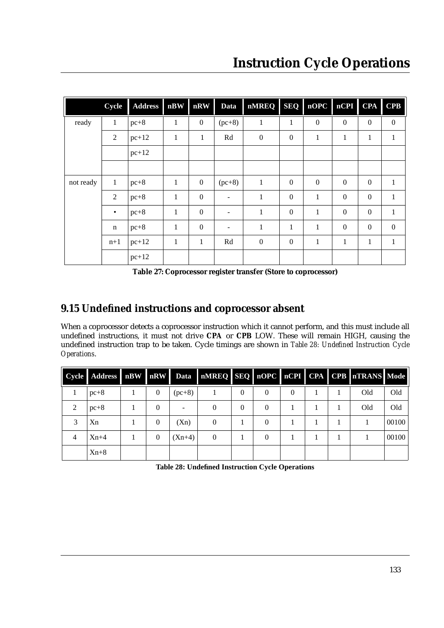|           | Cycle          | <b>Address</b> | nBW          | n <sub>RW</sub>  | <b>Data</b> | nMREQ            |                  | $SEQ$ nOPC nCPI $CRA$ CPB |                  |                |                  |
|-----------|----------------|----------------|--------------|------------------|-------------|------------------|------------------|---------------------------|------------------|----------------|------------------|
| ready     | $\mathbf{1}$   | $pc + 8$       | 1            | $\overline{0}$   | $(pc+8)$    | 1                | $\mathbf{1}$     | $\overline{0}$            | $\boldsymbol{0}$ | $\mathbf{0}$   | $\boldsymbol{0}$ |
|           | $\overline{2}$ | $pc+12$        | 1            | $\mathbf{1}$     | Rd          | $\mathbf{0}$     | $\mathbf{0}$     | 1                         | 1                | $\mathbf{1}$   | 1                |
|           |                | $pc+12$        |              |                  |             |                  |                  |                           |                  |                |                  |
|           |                |                |              |                  |             |                  |                  |                           |                  |                |                  |
| not ready | $\mathbf{1}$   | $pc + 8$       | 1            | $\boldsymbol{0}$ | $(pc+8)$    | 1                | $\mathbf{0}$     | $\boldsymbol{0}$          | $\overline{0}$   | $\Omega$       | $\mathbf{1}$     |
|           | $\overline{2}$ | $pc + 8$       | $\mathbf{1}$ | $\boldsymbol{0}$ | ۰           | 1                | $\overline{0}$   | $\mathbf{1}$              | $\boldsymbol{0}$ | $\mathbf{0}$   | $\mathbf{1}$     |
|           | $\bullet$      | $pc + 8$       | $\mathbf{1}$ | $\boldsymbol{0}$ |             | 1                | $\boldsymbol{0}$ | $\mathbf{1}$              | $\boldsymbol{0}$ | $\overline{0}$ | $\mathbf{1}$     |
|           | $\mathbf n$    | $pc + 8$       | $\mathbf{1}$ | $\boldsymbol{0}$ |             | 1                | 1                | 1                         | $\boldsymbol{0}$ | $\Omega$       | $\boldsymbol{0}$ |
|           | $n+1$          | $pc+12$        | 1            | 1                | Rd          | $\boldsymbol{0}$ | $\mathbf{0}$     | $\mathbf{1}$              | 1                | 1              | $\mathbf{1}$     |
|           |                | $pc+12$        |              |                  |             |                  |                  |                           |                  |                |                  |

**Table 27: Coprocessor register transfer (Store to coprocessor)**

### **9.15 Undefined instructions and coprocessor absent**

When a coprocessor detects a coprocessor instruction which it cannot perform, and this must include all undefined instructions, it must not drive **CPA** or **CPB** LOW. These will remain HIGH, causing the undefined instruction trap to be taken. Cycle timings are shown in *Table 28: Undefined Instruction Cycle Operations*.

| Cycle          | Address   nBW   nRW |          |          |   |          |          |          |  | Data   nMREQ   SEQ   nOPC   nCPI   CPA   CPB   nTRANS   Mode |       |
|----------------|---------------------|----------|----------|---|----------|----------|----------|--|--------------------------------------------------------------|-------|
|                | $pc + 8$            | $\theta$ | $(pc+8)$ |   | 0        | $\theta$ | $\Omega$ |  | Old                                                          | Old   |
|                | $pc + 8$            | $\Omega$ | ۰        |   | $\theta$ | $\Omega$ |          |  | Old                                                          | Old   |
| 3              | Xn                  | $\Omega$ | (Xn)     | 0 |          | $\Omega$ |          |  |                                                              | 00100 |
| $\overline{4}$ | $Xn+4$              | 0        | $(Xn+4)$ | 0 |          | $\Omega$ |          |  |                                                              | 00100 |
|                | $Xn+8$              |          |          |   |          |          |          |  |                                                              |       |

**Table 28: Undefined Instruction Cycle Operations**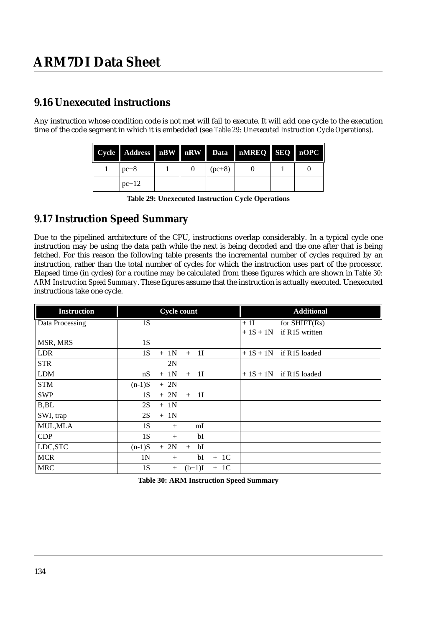## **9.16 Unexecuted instructions**

Any instruction whose condition code is not met will fail to execute. It will add one cycle to the execution time of the code segment in which it is embedded (see *Table 29: Unexecuted Instruction Cycle Operations*).

|            |  |          | Cycle Address nBW nRW Data nMREQ SEQ nOPC |  |
|------------|--|----------|-------------------------------------------|--|
| $ pc + 8 $ |  | $(pc+8)$ |                                           |  |
| $ pc+12 $  |  |          |                                           |  |

**Table 29: Unexecuted Instruction Cycle Operations**

### **9.17 Instruction Speed Summary**

Due to the pipelined architecture of the CPU, instructions overlap considerably. In a typical cycle one instruction may be using the data path while the next is being decoded and the one after that is being fetched. For this reason the following table presents the incremental number of cycles required by an instruction, rather than the total number of cycles for which the instruction uses part of the processor. Elapsed time (in cycles) for a routine may be calculated from these figures which are shown in *Table 30: ARM Instruction Speed Summary*. These figures assume that the instruction is actually executed. Unexecuted instructions take one cycle.

| <b>Instruction</b> |                | <b>Cycle count</b>    |                      |        | <b>Additional</b>            |
|--------------------|----------------|-----------------------|----------------------|--------|------------------------------|
| Data Processing    | 1S             |                       |                      |        | $+1I$<br>for $SHIFT(Rs)$     |
|                    |                |                       |                      |        | if $R15$ written<br>$+1S+1N$ |
| MSR, MRS           | 1S             |                       |                      |        |                              |
| <b>LDR</b>         | 1S             | 1 <sup>N</sup><br>$+$ | $1\mathrm{I}$<br>$+$ |        | if R15 loaded<br>$+1S+1N$    |
| <b>STR</b>         |                | 2N                    |                      |        |                              |
| <b>LDM</b>         | nS             | $+ 1N$                | <sup>11</sup><br>$+$ |        | if R15 loaded<br>$+1S+1N$    |
| <b>STM</b>         | $(n-1)S$       | $+ 2N$                |                      |        |                              |
| <b>SWP</b>         | 1S             | $+ 2N$                | -11<br>$+$           |        |                              |
| B,BL               | 2S             | $+ 1N$                |                      |        |                              |
| SWI, trap          | 2S             | 1 <sub>N</sub><br>$+$ |                      |        |                              |
| MUL, MLA           | 1S             | $^{+}$                | mI                   |        |                              |
| <b>CDP</b>         | 1S             | $+$                   | bI                   |        |                              |
| LDC, STC           | $(n-1)S$       | 2N<br>$+$             | bI<br>$+$            |        |                              |
| <b>MCR</b>         | 1 <sub>N</sub> | $^{+}$                | bI                   | $+ 1C$ |                              |
| <b>MRC</b>         | 1S             | $^{+}$                | $(b+1)I$             | $+ 1C$ |                              |

**Table 30: ARM Instruction Speed Summary**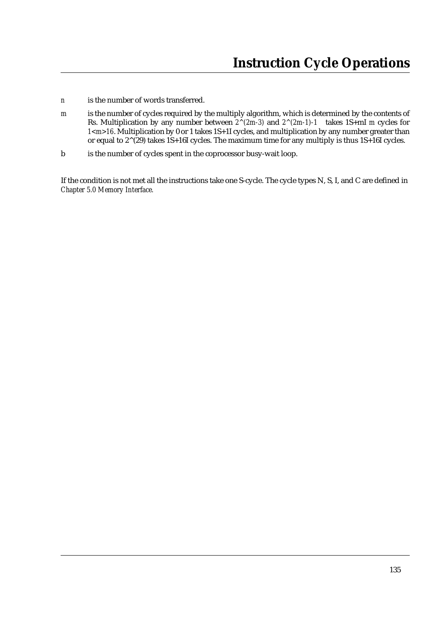- *n* is the number of words transferred.
- *m* is the number of cycles required by the multiply algorithm, which is determined by the contents of Rs. Multiplication by any number between *2^(2m-3)* and *2^(2m-1)-1* takes 1S+mI *m* cycles for *1<m>16*. Multiplication by 0 or 1 takes 1S+1I cycles, and multiplication by any number greater than or equal to 2^(29) takes 1S+16I cycles. The maximum time for any multiply is thus 1S+16I cycles.
- b is the number of cycles spent in the coprocessor busy-wait loop.

If the condition is not met all the instructions take one S-cycle. The cycle types N, S, I, and C are defined in *Chapter 5.0 Memory Interface.*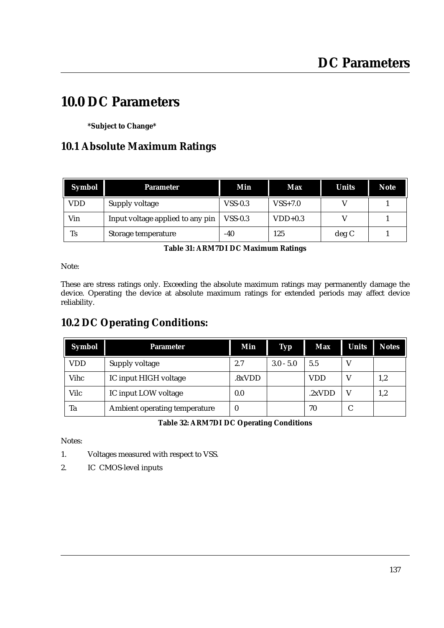## **10.0 DC Parameters**

**\*Subject to Change\***

## **10.1 Absolute Maximum Ratings**

| Symbol     | <b>Parameter</b>                 | Min       | Max       | <b>Units</b> | <b>Note</b> |
|------------|----------------------------------|-----------|-----------|--------------|-------------|
| <b>VDD</b> | Supply voltage                   | $VSS-0.3$ | $VSS+7.0$ |              |             |
| Vin        | Input voltage applied to any pin | $VSS-0.3$ | $VDD+0.3$ |              |             |
| Ts         | Storage temperature              | -40       | 125       | deg C        |             |

**Table 31: ARM7DI DC Maximum Ratings**

Note:

These are stress ratings only. Exceeding the absolute maximum ratings may permanently damage the device. Operating the device at absolute maximum ratings for extended periods may affect device reliability.

## **10.2 DC Operating Conditions:**

| <b>Symbol</b> | <b>Parameter</b>              | Min    | Typ         | Max        | <b>Units</b> | <b>Notes</b> |
|---------------|-------------------------------|--------|-------------|------------|--------------|--------------|
| <b>VDD</b>    | Supply voltage                | 2.7    | $3.0 - 5.0$ | 5.5        | V            |              |
| Vihc          | IC input HIGH voltage         | .8xVDD |             | <b>VDD</b> | V            | 1,2          |
| Vilc          | IC input LOW voltage          | 0.0    |             | .2xVDD     | V            | 1,2          |
| Ta            | Ambient operating temperature | 0      |             | 70         |              |              |

### **Table 32: ARM7DI DC Operating Conditions**

Notes:

- 1. Voltages measured with respect to VSS.
- 2. IC CMOS-level inputs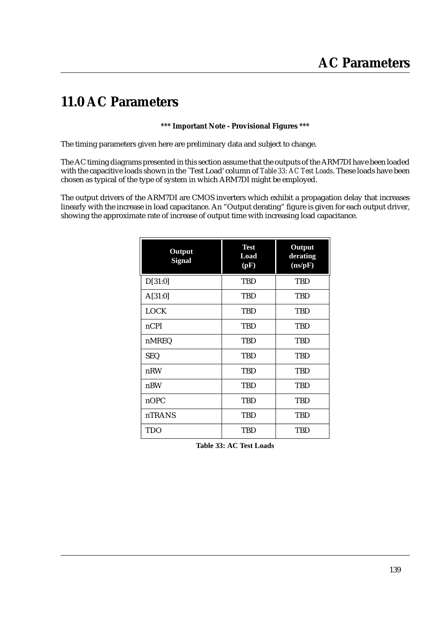## **11.0 AC Parameters**

#### **\*\*\* Important Note - Provisional Figures \*\*\***

The timing parameters given here are preliminary data and subject to change.

The AC timing diagrams presented in this section assume that the outputs of the ARM7DI have been loaded with the capacitive loads shown in the `Test Load' column of *Table 33: AC Test Loads*. These loads have been chosen as typical of the type of system in which ARM7DI might be employed.

The output drivers of the ARM7DI are CMOS inverters which exhibit a propagation delay that increases linearly with the increase in load capacitance. An "Output derating" figure is given for each output driver, showing the approximate rate of increase of output time with increasing load capacitance.

| Output<br><b>Signal</b> | <b>Test</b><br>Load<br>(pF) | Output<br>derating<br>(ns/pF) |  |
|-------------------------|-----------------------------|-------------------------------|--|
| D[31:0]                 | TBD                         | <b>TBD</b>                    |  |
| A[31:0]                 | TBD                         | TBD                           |  |
| <b>LOCK</b>             | TBD                         | TBD                           |  |
| nCPI                    | TBD                         | TBD                           |  |
| nMREQ                   | TBD                         | <b>TBD</b>                    |  |
| <b>SEQ</b>              | TBD                         | TBD                           |  |
| nRW                     | TBD                         | TBD                           |  |
| nBW                     | TBD                         | TBD                           |  |
| nOPC                    | TBD                         | <b>TBD</b>                    |  |
| nTRANS                  | TBD                         | TBD                           |  |
| TDO                     | TBD                         | TBD                           |  |

**Table 33: AC Test Loads**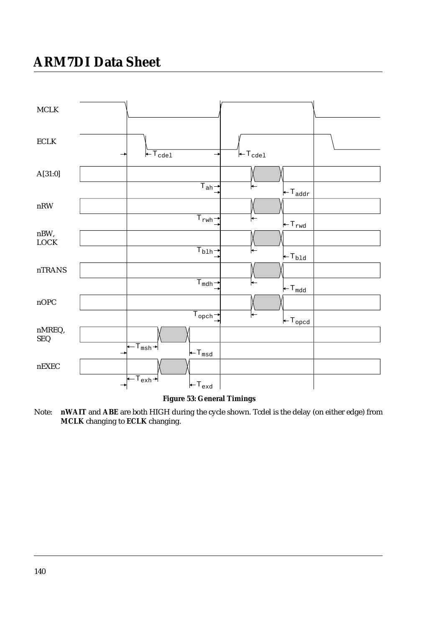

 **Figure 53: General Timings**

Note: **nWAIT** and **ABE** are both HIGH during the cycle shown. Tcdel is the delay (on either edge) from **MCLK** changing to **ECLK** changing.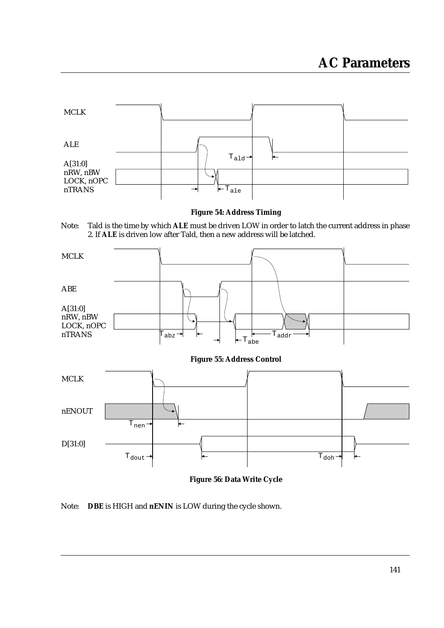

#### **Figure 54: Address Timing**

Note: Tald is the time by which **ALE** must be driven LOW in order to latch the current address in phase 2. If **ALE** is driven low after Tald, then a new address will be latched.





 **Figure 56: Data Write Cycle**

Note: **DBE** is HIGH and **nENIN** is LOW during the cycle shown.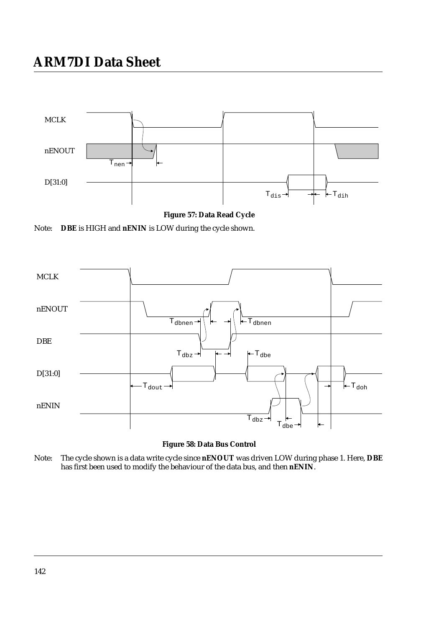







Note: The cycle shown is a data write cycle since **nENOUT** was driven LOW during phase 1. Here, **DBE** has first been used to modify the behaviour of the data bus, and then **nENIN**.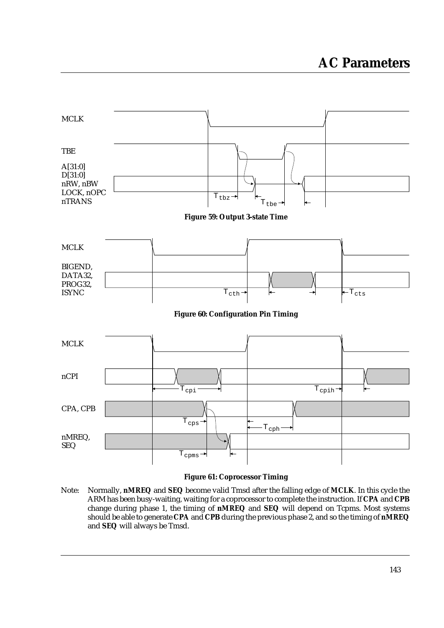

#### **Figure 61: Coprocessor Timing**

Note: Normally, **nMREQ** and **SEQ** become valid Tmsd after the falling edge of **MCLK**. In this cycle the ARM has been busy-waiting, waiting for a coprocessor to complete the instruction. If **CPA** and **CPB** change during phase 1, the timing of **nMREQ** and **SEQ** will depend on Tcpms. Most systems should be able to generate **CPA** and **CPB** during the previous phase 2, and so the timing of **nMREQ** and **SEQ** will always be Tmsd.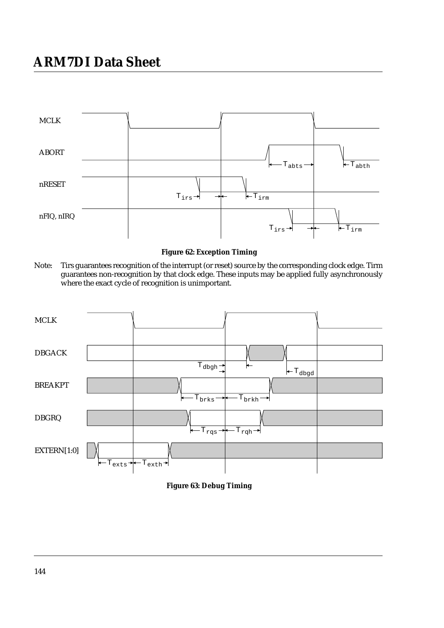

 **Figure 62: Exception Timing**

Note: Tirs guarantees recognition of the interrupt (or reset) source by the corresponding clock edge. Tirm guarantees non-recognition by that clock edge. These inputs may be applied fully asynchronously where the exact cycle of recognition is unimportant.



 **Figure 63: Debug Timing**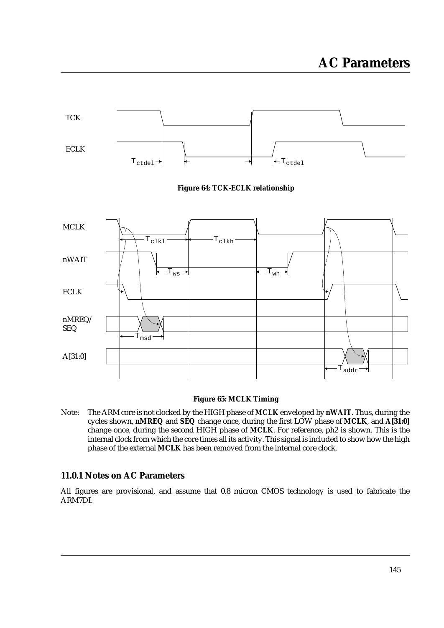

 **Figure 64: TCK-ECLK relationship**



### **Figure 65: MCLK Timing**

Note: The ARM core is not clocked by the HIGH phase of **MCLK** enveloped by **nWAIT**. Thus, during the cycles shown, **nMREQ** and **SEQ** change once, during the first LOW phase of **MCLK**, and **A[31:0]** change once, during the second HIGH phase of **MCLK**. For reference, ph2 is shown. This is the internal clock from which the core times all its activity. This signal is included to show how the high phase of the external **MCLK** has been removed from the internal core clock.

### **11.0.1 Notes on AC Parameters**

All figures are provisional, and assume that 0.8 micron CMOS technology is used to fabricate the ARM7DI.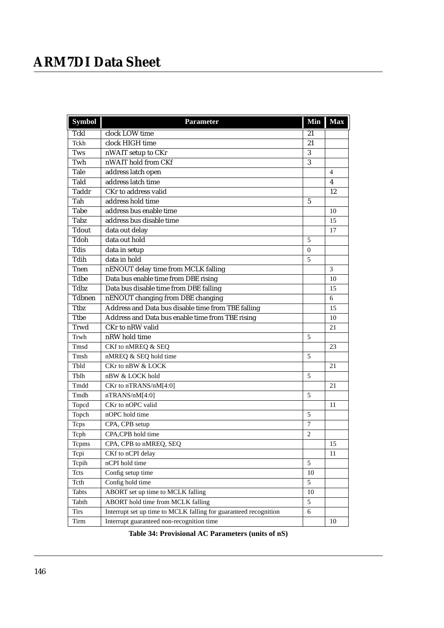# **ARM7DI Data Sheet**

| Symbol        | <b>Parameter</b>                                                 | Min            | <b>Max</b> |
|---------------|------------------------------------------------------------------|----------------|------------|
| Tckl          | clock LOW time                                                   | 21             |            |
| Tckh          | clock HIGH time                                                  | 21             |            |
| Tws           | nWAIT setup to CKr                                               | 3              |            |
| Twh           | nWAIT hold from CKf                                              | 3              |            |
| Tale          | address latch open                                               |                | 4          |
| Tald          | address latch time                                               |                | 4          |
| Taddr         | CKr to address valid                                             |                | 12         |
| Tah           | address hold time                                                | 5              |            |
| Tabe          | address bus enable time                                          |                | 10         |
| Tabz          | address bus disable time                                         |                | 15         |
| Tdout         | data out delay                                                   |                | 17         |
| Tdoh          | data out hold                                                    | 5              |            |
| Tdis          | data in setup                                                    | $\overline{0}$ |            |
| Tdih          | data in hold                                                     | 5              |            |
| Tnen          | nENOUT delay time from MCLK falling                              |                | 3          |
| Tdbe          | Data bus enable time from DBE rising                             |                | 10         |
| Tdbz          | Data bus disable time from DBE falling                           |                | 15         |
| <b>Tdbnen</b> | nENOUT changing from DBE changing                                |                | 6          |
| Ttbz          | Address and Data bus disable time from TBE falling               |                | 15         |
| <b>Tthe</b>   | Address and Data bus enable time from TBE rising                 |                | 10         |
| Trwd          | CKr to nRW valid                                                 |                | 21         |
| Trwh          | nRW hold time                                                    | 5              |            |
| Tmsd          | CKf to nMREQ & SEQ                                               |                | 23         |
| Tmsh          | nMREQ & SEQ hold time                                            | 5              |            |
| Tbld          | CKr to nBW & LOCK                                                |                | 21         |
| Tblh          | nBW & LOCK hold                                                  | 5              |            |
| Tmdd          | CKr to nTRANS/nM[4:0]                                            |                | 21         |
| Tmdh          | nTRANS/nM[4:0]                                                   | 5              |            |
| Topcd         | CKr to nOPC valid                                                |                | 11         |
| Topch         | nOPC hold time                                                   | 5              |            |
| Tcps          | CPA, CPB setup                                                   | 7              |            |
| Tcph          | CPA,CPB hold time                                                | $\overline{c}$ |            |
| Tepms         | CPA, CPB to nMREQ, SEQ                                           |                | 15         |
| Tcpi          | CKf to nCPI delay                                                |                | 11         |
| Tcpih         | nCPI hold time                                                   | 5              |            |
| Tcts          | Config setup time                                                | 10             |            |
| Tcth          | Config hold time                                                 | 5              |            |
| Tabts         | ABORT set up time to MCLK falling                                | 10             |            |
| Tabth         | ABORT hold time from MCLK falling                                | 5              |            |
| <b>Tirs</b>   | Interrupt set up time to MCLK falling for guaranteed recognition | $6\,$          |            |
| Tirm          | Interrupt guaranteed non-recognition time                        |                | 10         |

**Table 34: Provisional AC Parameters (units of nS)**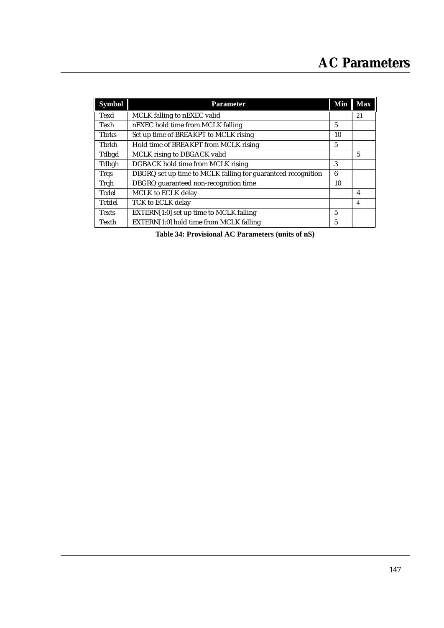# **AC Parameters**

| <b>Symbol</b> | <b>Parameter</b>                                             | Min | <b>Max</b> |
|---------------|--------------------------------------------------------------|-----|------------|
| Texd          | MCLK falling to nEXEC valid                                  |     | 21         |
| Texh          | nEXEC hold time from MCLK falling                            | 5   |            |
| <b>Thrks</b>  | Set up time of BREAKPT to MCLK rising                        | 10  |            |
| Tbrkh         | Hold time of BREAKPT from MCLK rising                        | 5   |            |
| Tdbgd         | MCLK rising to DBGACK valid                                  |     | 5          |
| Tdbgh         | DGBACK hold time from MCLK rising                            | 3   |            |
| <b>Trqs</b>   | DBGRQ set up time to MCLK falling for guaranteed recognition | 6   |            |
| Trqh          | DBGRQ guaranteed non-recognition time                        | 10  |            |
| Tcdel         | MCLK to ECLK delay                                           |     | 4          |
| Tctdel        | TCK to ECLK delay                                            |     | 4          |
| <b>Texts</b>  | EXTERN[1:0] set up time to MCLK falling                      | 5   |            |
| Texth         | EXTERN[1:0] hold time from MCLK falling                      | 5   |            |

**Table 34: Provisional AC Parameters (units of nS)**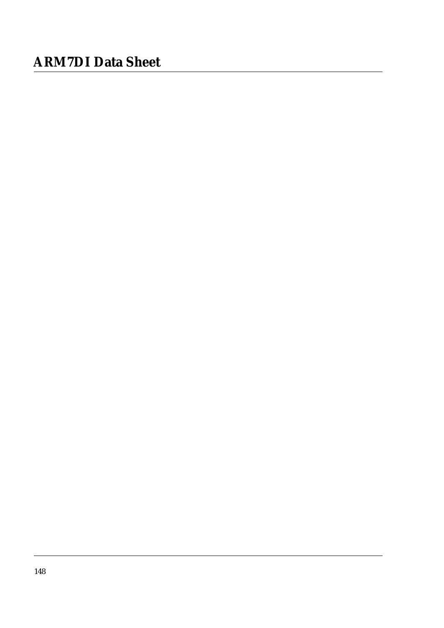# **ARM7DI Data Sheet**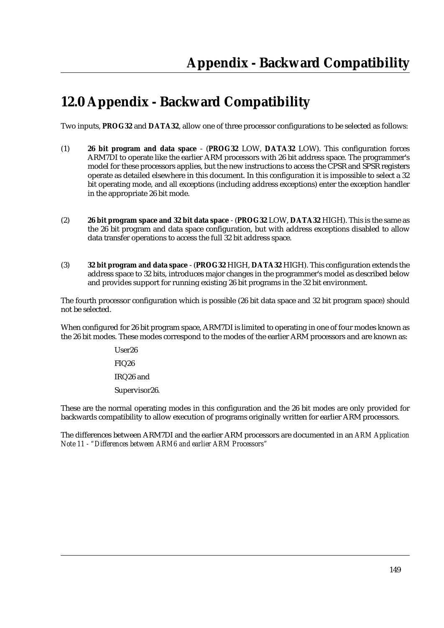### **12.0 Appendix - Backward Compatibility**

Two inputs, **PROG32** and **DATA32**, allow one of three processor configurations to be selected as follows:

- (1) **26 bit program and data space** (**PROG32** LOW, **DATA32** LOW). This configuration forces ARM7DI to operate like the earlier ARM processors with 26 bit address space. The programmer's model for these processors applies, but the new instructions to access the CPSR and SPSR registers operate as detailed elsewhere in this document. In this configuration it is impossible to select a 32 bit operating mode, and all exceptions (including address exceptions) enter the exception handler in the appropriate 26 bit mode.
- (2) **26 bit program space and 32 bit data space** (**PROG32** LOW, **DATA32** HIGH). This is the same as the 26 bit program and data space configuration, but with address exceptions disabled to allow data transfer operations to access the full 32 bit address space.
- (3) **32 bit program and data space** (**PROG32** HIGH, **DATA32** HIGH). This configuration extends the address space to 32 bits, introduces major changes in the programmer's model as described below and provides support for running existing 26 bit programs in the 32 bit environment.

The fourth processor configuration which is possible (26 bit data space and 32 bit program space) should not be selected.

When configured for 26 bit program space, ARM7DI is limited to operating in one of four modes known as the 26 bit modes. These modes correspond to the modes of the earlier ARM processors and are known as:

User26

FIQ26

IRQ26 and

Supervisor26.

These are the normal operating modes in this configuration and the 26 bit modes are only provided for backwards compatibility to allow execution of programs originally written for earlier ARM processors.

The differences between ARM7DI and the earlier ARM processors are documented in an *ARM Application Note 11 - "Differences between ARM6 and earlier ARM Processors"*